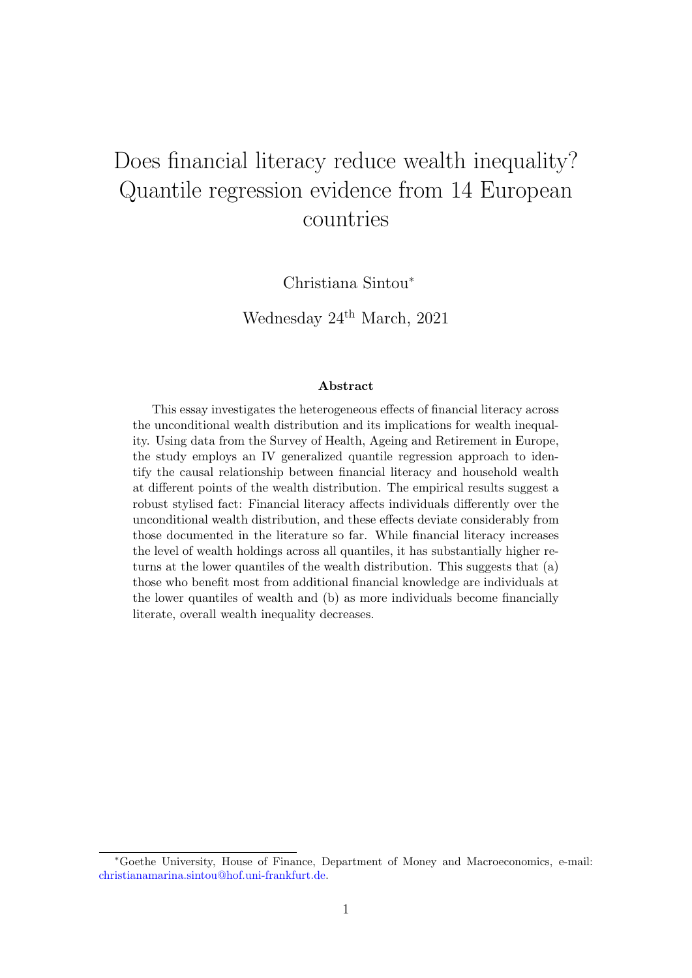# Does financial literacy reduce wealth inequality? Quantile regression evidence from 14 European countries

Christiana Sintou<sup>∗</sup>

Wednesday  $24^{\text{th}}$  March, 2021

#### Abstract

This essay investigates the heterogeneous effects of financial literacy across the unconditional wealth distribution and its implications for wealth inequality. Using data from the Survey of Health, Ageing and Retirement in Europe, the study employs an IV generalized quantile regression approach to identify the causal relationship between financial literacy and household wealth at different points of the wealth distribution. The empirical results suggest a robust stylised fact: Financial literacy affects individuals differently over the unconditional wealth distribution, and these effects deviate considerably from those documented in the literature so far. While financial literacy increases the level of wealth holdings across all quantiles, it has substantially higher returns at the lower quantiles of the wealth distribution. This suggests that (a) those who benefit most from additional financial knowledge are individuals at the lower quantiles of wealth and (b) as more individuals become financially literate, overall wealth inequality decreases.

<sup>∗</sup>Goethe University, House of Finance, Department of Money and Macroeconomics, e-mail: [christianamarina.sintou@hof.uni-frankfurt.de.](mailto: christianamarina.sintou@hof.uni-frankfurt.de)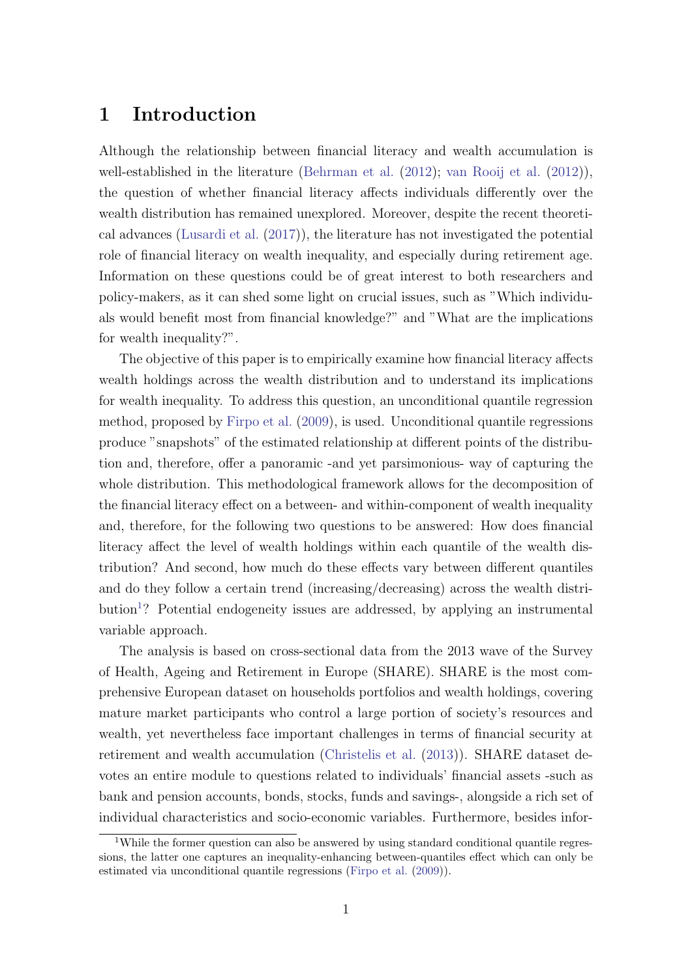## 1 Introduction

Although the relationship between financial literacy and wealth accumulation is well-established in the literature [\(Behrman et al.](#page-47-0) [\(2012\)](#page-47-0); [van Rooij et al.](#page-50-0) [\(2012\)](#page-50-0)), the question of whether financial literacy affects individuals differently over the wealth distribution has remained unexplored. Moreover, despite the recent theoretical advances [\(Lusardi et al.](#page-49-0) [\(2017\)](#page-49-0)), the literature has not investigated the potential role of financial literacy on wealth inequality, and especially during retirement age. Information on these questions could be of great interest to both researchers and policy-makers, as it can shed some light on crucial issues, such as "Which individuals would benefit most from financial knowledge?" and "What are the implications for wealth inequality?".

The objective of this paper is to empirically examine how financial literacy affects wealth holdings across the wealth distribution and to understand its implications for wealth inequality. To address this question, an unconditional quantile regression method, proposed by [Firpo et al.](#page-49-1) [\(2009\)](#page-49-1), is used. Unconditional quantile regressions produce "snapshots" of the estimated relationship at different points of the distribution and, therefore, offer a panoramic -and yet parsimonious- way of capturing the whole distribution. This methodological framework allows for the decomposition of the financial literacy effect on a between- and within-component of wealth inequality and, therefore, for the following two questions to be answered: How does financial literacy affect the level of wealth holdings within each quantile of the wealth distribution? And second, how much do these effects vary between different quantiles and do they follow a certain trend (increasing/decreasing) across the wealth distri-bution<sup>[1](#page-1-0)</sup>? Potential endogeneity issues are addressed, by applying an instrumental variable approach.

The analysis is based on cross-sectional data from the 2013 wave of the Survey of Health, Ageing and Retirement in Europe (SHARE). SHARE is the most comprehensive European dataset on households portfolios and wealth holdings, covering mature market participants who control a large portion of society's resources and wealth, yet nevertheless face important challenges in terms of financial security at retirement and wealth accumulation [\(Christelis et al.](#page-48-0) [\(2013\)](#page-48-0)). SHARE dataset devotes an entire module to questions related to individuals' financial assets -such as bank and pension accounts, bonds, stocks, funds and savings-, alongside a rich set of individual characteristics and socio-economic variables. Furthermore, besides infor-

<span id="page-1-0"></span><sup>&</sup>lt;sup>1</sup>While the former question can also be answered by using standard conditional quantile regressions, the latter one captures an inequality-enhancing between-quantiles effect which can only be estimated via unconditional quantile regressions [\(Firpo et al.](#page-49-1) [\(2009\)](#page-49-1)).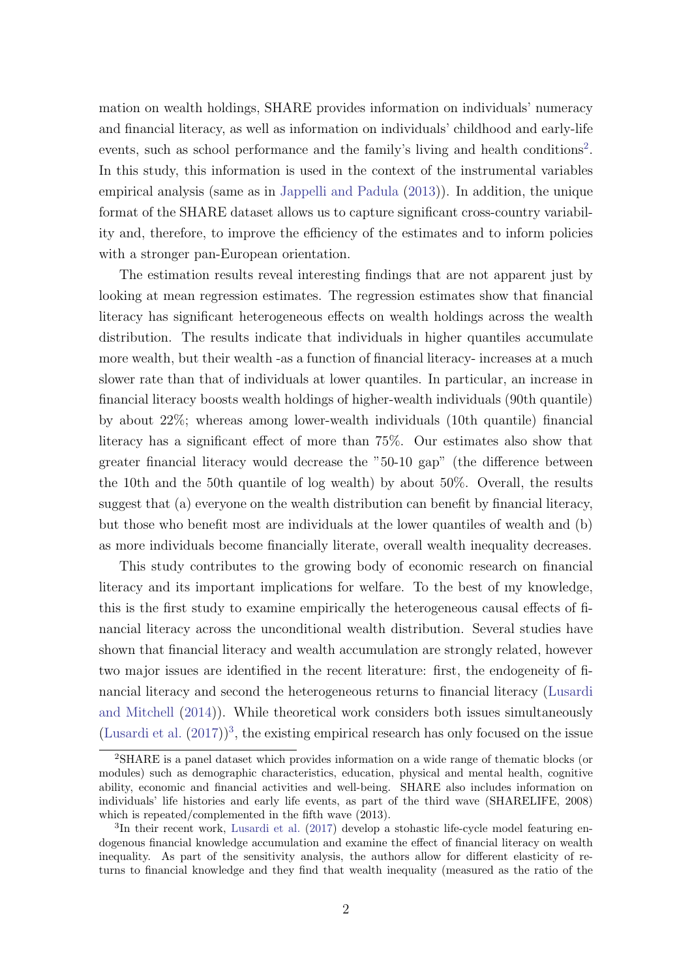mation on wealth holdings, SHARE provides information on individuals' numeracy and financial literacy, as well as information on individuals' childhood and early-life events, such as school performance and the family's living and health conditions<sup>[2](#page-2-0)</sup>. In this study, this information is used in the context of the instrumental variables empirical analysis (same as in [Jappelli and Padula](#page-49-2) [\(2013\)](#page-49-2)). In addition, the unique format of the SHARE dataset allows us to capture significant cross-country variability and, therefore, to improve the efficiency of the estimates and to inform policies with a stronger pan-European orientation.

The estimation results reveal interesting findings that are not apparent just by looking at mean regression estimates. The regression estimates show that financial literacy has significant heterogeneous effects on wealth holdings across the wealth distribution. The results indicate that individuals in higher quantiles accumulate more wealth, but their wealth -as a function of financial literacy- increases at a much slower rate than that of individuals at lower quantiles. In particular, an increase in financial literacy boosts wealth holdings of higher-wealth individuals (90th quantile) by about 22%; whereas among lower-wealth individuals (10th quantile) financial literacy has a significant effect of more than 75%. Our estimates also show that greater financial literacy would decrease the "50-10 gap" (the difference between the 10th and the 50th quantile of log wealth) by about 50%. Overall, the results suggest that (a) everyone on the wealth distribution can benefit by financial literacy, but those who benefit most are individuals at the lower quantiles of wealth and (b) as more individuals become financially literate, overall wealth inequality decreases.

This study contributes to the growing body of economic research on financial literacy and its important implications for welfare. To the best of my knowledge, this is the first study to examine empirically the heterogeneous causal effects of financial literacy across the unconditional wealth distribution. Several studies have shown that financial literacy and wealth accumulation are strongly related, however two major issues are identified in the recent literature: first, the endogeneity of financial literacy and second the heterogeneous returns to financial literacy [\(Lusardi](#page-49-3) [and Mitchell](#page-49-3) [\(2014\)](#page-49-3)). While theoretical work considers both issues simultaneously [\(Lusardi et al.](#page-49-0)  $(2017)^3$  $(2017)^3$  $(2017)^3$ , the existing empirical research has only focused on the issue

<span id="page-2-0"></span><sup>2</sup>SHARE is a panel dataset which provides information on a wide range of thematic blocks (or modules) such as demographic characteristics, education, physical and mental health, cognitive ability, economic and financial activities and well-being. SHARE also includes information on individuals' life histories and early life events, as part of the third wave (SHARELIFE, 2008) which is repeated/complemented in the fifth wave (2013).

<span id="page-2-1"></span><sup>&</sup>lt;sup>3</sup>In their recent work, [Lusardi et al.](#page-49-0) [\(2017\)](#page-49-0) develop a stohastic life-cycle model featuring endogenous financial knowledge accumulation and examine the effect of financial literacy on wealth inequality. As part of the sensitivity analysis, the authors allow for different elasticity of returns to financial knowledge and they find that wealth inequality (measured as the ratio of the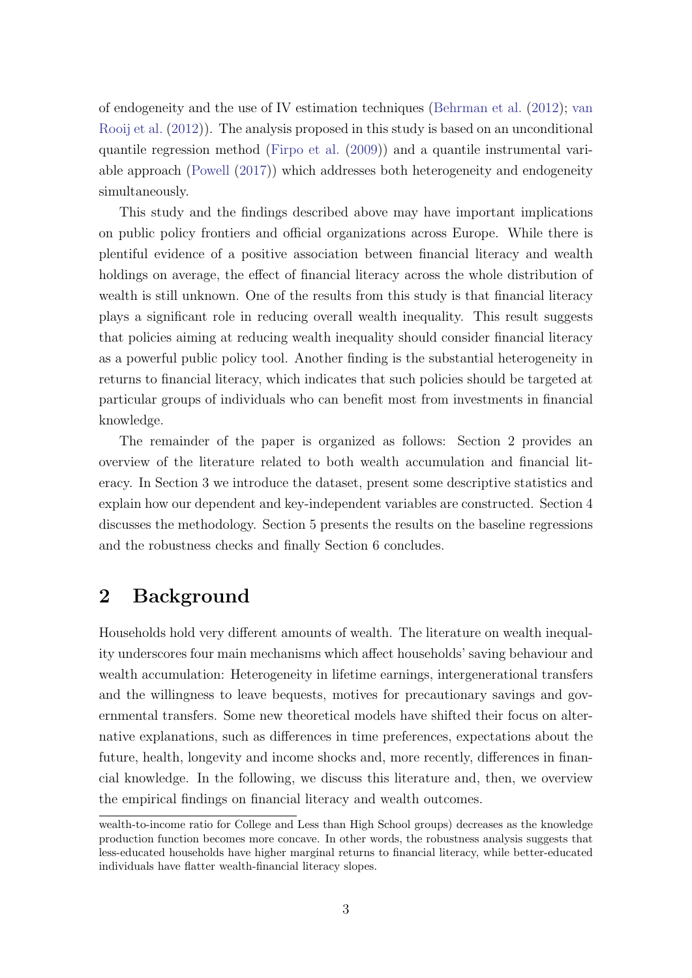of endogeneity and the use of IV estimation techniques [\(Behrman et al.](#page-47-0) [\(2012\)](#page-47-0); [van](#page-50-0) [Rooij et al.](#page-50-0) [\(2012\)](#page-50-0)). The analysis proposed in this study is based on an unconditional quantile regression method [\(Firpo et al.](#page-49-1) [\(2009\)](#page-49-1)) and a quantile instrumental variable approach [\(Powell](#page-50-1) [\(2017\)](#page-50-1)) which addresses both heterogeneity and endogeneity simultaneously.

This study and the findings described above may have important implications on public policy frontiers and official organizations across Europe. While there is plentiful evidence of a positive association between financial literacy and wealth holdings on average, the effect of financial literacy across the whole distribution of wealth is still unknown. One of the results from this study is that financial literacy plays a significant role in reducing overall wealth inequality. This result suggests that policies aiming at reducing wealth inequality should consider financial literacy as a powerful public policy tool. Another finding is the substantial heterogeneity in returns to financial literacy, which indicates that such policies should be targeted at particular groups of individuals who can benefit most from investments in financial knowledge.

The remainder of the paper is organized as follows: Section 2 provides an overview of the literature related to both wealth accumulation and financial literacy. In Section 3 we introduce the dataset, present some descriptive statistics and explain how our dependent and key-independent variables are constructed. Section 4 discusses the methodology. Section 5 presents the results on the baseline regressions and the robustness checks and finally Section 6 concludes.

# 2 Background

Households hold very different amounts of wealth. The literature on wealth inequality underscores four main mechanisms which affect households' saving behaviour and wealth accumulation: Heterogeneity in lifetime earnings, intergenerational transfers and the willingness to leave bequests, motives for precautionary savings and governmental transfers. Some new theoretical models have shifted their focus on alternative explanations, such as differences in time preferences, expectations about the future, health, longevity and income shocks and, more recently, differences in financial knowledge. In the following, we discuss this literature and, then, we overview the empirical findings on financial literacy and wealth outcomes.

wealth-to-income ratio for College and Less than High School groups) decreases as the knowledge production function becomes more concave. In other words, the robustness analysis suggests that less-educated households have higher marginal returns to financial literacy, while better-educated individuals have flatter wealth-financial literacy slopes.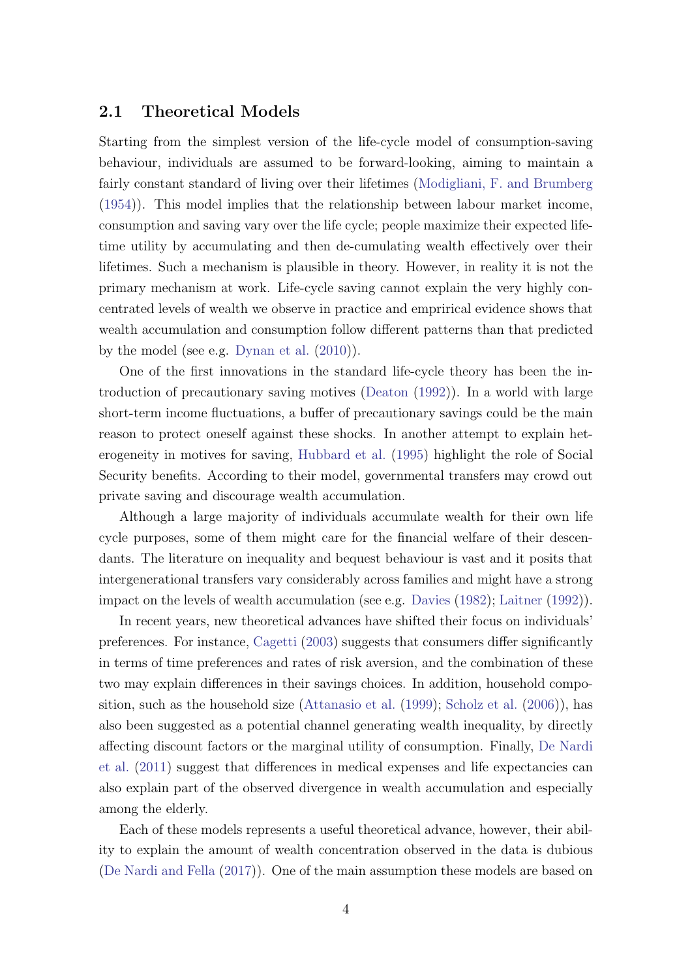#### 2.1 Theoretical Models

Starting from the simplest version of the life-cycle model of consumption-saving behaviour, individuals are assumed to be forward-looking, aiming to maintain a fairly constant standard of living over their lifetimes [\(Modigliani, F. and Brumberg](#page-50-2) [\(1954\)](#page-50-2)). This model implies that the relationship between labour market income, consumption and saving vary over the life cycle; people maximize their expected lifetime utility by accumulating and then de-cumulating wealth effectively over their lifetimes. Such a mechanism is plausible in theory. However, in reality it is not the primary mechanism at work. Life-cycle saving cannot explain the very highly concentrated levels of wealth we observe in practice and emprirical evidence shows that wealth accumulation and consumption follow different patterns than that predicted by the model (see e.g. [Dynan et al.](#page-49-4) [\(2010\)](#page-49-4)).

One of the first innovations in the standard life-cycle theory has been the introduction of precautionary saving motives [\(Deaton](#page-48-1) [\(1992\)](#page-48-1)). In a world with large short-term income fluctuations, a buffer of precautionary savings could be the main reason to protect oneself against these shocks. In another attempt to explain heterogeneity in motives for saving, [Hubbard et al.](#page-49-5) [\(1995\)](#page-49-5) highlight the role of Social Security benefits. According to their model, governmental transfers may crowd out private saving and discourage wealth accumulation.

Although a large majority of individuals accumulate wealth for their own life cycle purposes, some of them might care for the financial welfare of their descendants. The literature on inequality and bequest behaviour is vast and it posits that intergenerational transfers vary considerably across families and might have a strong impact on the levels of wealth accumulation (see e.g. [Davies](#page-48-2) [\(1982\)](#page-48-2); [Laitner](#page-49-6) [\(1992\)](#page-49-6)).

In recent years, new theoretical advances have shifted their focus on individuals' preferences. For instance, [Cagetti](#page-48-3) [\(2003\)](#page-48-3) suggests that consumers differ significantly in terms of time preferences and rates of risk aversion, and the combination of these two may explain differences in their savings choices. In addition, household composition, such as the household size [\(Attanasio et al.](#page-47-1) [\(1999\)](#page-47-1); [Scholz et al.](#page-50-3) [\(2006\)](#page-50-3)), has also been suggested as a potential channel generating wealth inequality, by directly affecting discount factors or the marginal utility of consumption. Finally, [De Nardi](#page-48-4) [et al.](#page-48-4) [\(2011\)](#page-48-4) suggest that differences in medical expenses and life expectancies can also explain part of the observed divergence in wealth accumulation and especially among the elderly.

Each of these models represents a useful theoretical advance, however, their ability to explain the amount of wealth concentration observed in the data is dubious [\(De Nardi and Fella](#page-48-5) [\(2017\)](#page-48-5)). One of the main assumption these models are based on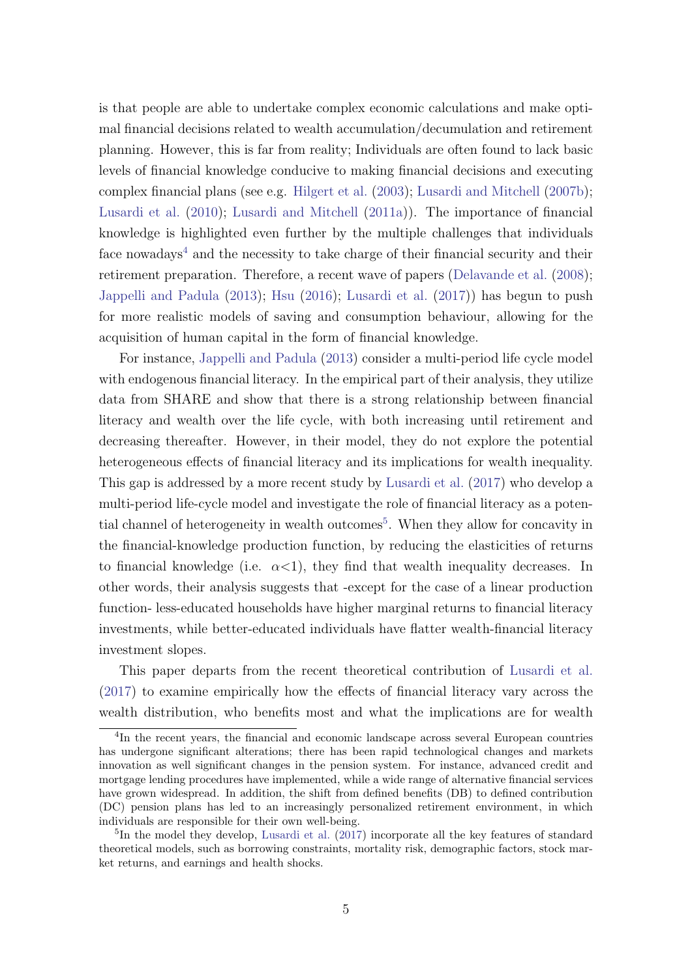is that people are able to undertake complex economic calculations and make optimal financial decisions related to wealth accumulation/decumulation and retirement planning. However, this is far from reality; Individuals are often found to lack basic levels of financial knowledge conducive to making financial decisions and executing complex financial plans (see e.g. [Hilgert et al.](#page-49-7) [\(2003\)](#page-49-7); [Lusardi and Mitchell](#page-49-8) [\(2007b\)](#page-49-8); [Lusardi et al.](#page-50-4) [\(2010\)](#page-50-4); [Lusardi and Mitchell](#page-50-5) [\(2011a\)](#page-50-5)). The importance of financial knowledge is highlighted even further by the multiple challenges that individuals face nowadays<sup>[4](#page-5-0)</sup> and the necessity to take charge of their financial security and their retirement preparation. Therefore, a recent wave of papers [\(Delavande et al.](#page-48-6) [\(2008\)](#page-48-6); [Jappelli and Padula](#page-49-2) [\(2013\)](#page-49-2); [Hsu](#page-49-9) [\(2016\)](#page-49-9); [Lusardi et al.](#page-49-0) [\(2017\)](#page-49-0)) has begun to push for more realistic models of saving and consumption behaviour, allowing for the acquisition of human capital in the form of financial knowledge.

For instance, [Jappelli and Padula](#page-49-2) [\(2013\)](#page-49-2) consider a multi-period life cycle model with endogenous financial literacy. In the empirical part of their analysis, they utilize data from SHARE and show that there is a strong relationship between financial literacy and wealth over the life cycle, with both increasing until retirement and decreasing thereafter. However, in their model, they do not explore the potential heterogeneous effects of financial literacy and its implications for wealth inequality. This gap is addressed by a more recent study by [Lusardi et al.](#page-49-0) [\(2017\)](#page-49-0) who develop a multi-period life-cycle model and investigate the role of financial literacy as a poten-tial channel of heterogeneity in wealth outcomes<sup>[5](#page-5-1)</sup>. When they allow for concavity in the financial-knowledge production function, by reducing the elasticities of returns to financial knowledge (i.e.  $\alpha$ <1), they find that wealth inequality decreases. In other words, their analysis suggests that -except for the case of a linear production function- less-educated households have higher marginal returns to financial literacy investments, while better-educated individuals have flatter wealth-financial literacy investment slopes.

This paper departs from the recent theoretical contribution of [Lusardi et al.](#page-49-0) [\(2017\)](#page-49-0) to examine empirically how the effects of financial literacy vary across the wealth distribution, who benefits most and what the implications are for wealth

<span id="page-5-0"></span><sup>&</sup>lt;sup>4</sup>In the recent years, the financial and economic landscape across several European countries has undergone significant alterations; there has been rapid technological changes and markets innovation as well significant changes in the pension system. For instance, advanced credit and mortgage lending procedures have implemented, while a wide range of alternative financial services have grown widespread. In addition, the shift from defined benefits (DB) to defined contribution (DC) pension plans has led to an increasingly personalized retirement environment, in which individuals are responsible for their own well-being.

<span id="page-5-1"></span><sup>&</sup>lt;sup>5</sup>In the model they develop, [Lusardi et al.](#page-49-0) [\(2017\)](#page-49-0) incorporate all the key features of standard theoretical models, such as borrowing constraints, mortality risk, demographic factors, stock market returns, and earnings and health shocks.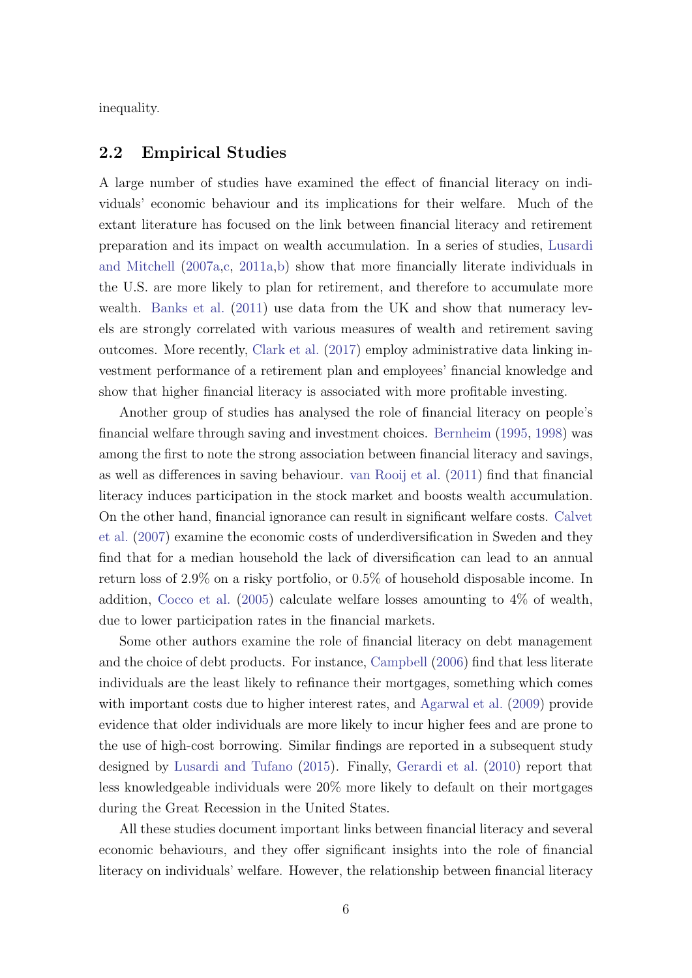inequality.

#### 2.2 Empirical Studies

A large number of studies have examined the effect of financial literacy on individuals' economic behaviour and its implications for their welfare. Much of the extant literature has focused on the link between financial literacy and retirement preparation and its impact on wealth accumulation. In a series of studies, [Lusardi](#page-49-10) [and Mitchell](#page-49-10) [\(2007a](#page-49-10)[,c,](#page-50-6) [2011a](#page-50-5)[,b\)](#page-50-7) show that more financially literate individuals in the U.S. are more likely to plan for retirement, and therefore to accumulate more wealth. [Banks et al.](#page-47-2) [\(2011\)](#page-47-2) use data from the UK and show that numeracy levels are strongly correlated with various measures of wealth and retirement saving outcomes. More recently, [Clark et al.](#page-48-7) [\(2017\)](#page-48-7) employ administrative data linking investment performance of a retirement plan and employees' financial knowledge and show that higher financial literacy is associated with more profitable investing.

Another group of studies has analysed the role of financial literacy on people's financial welfare through saving and investment choices. [Bernheim](#page-47-3) [\(1995,](#page-47-3) [1998\)](#page-47-4) was among the first to note the strong association between financial literacy and savings, as well as differences in saving behaviour. [van Rooij et al.](#page-50-8) [\(2011\)](#page-50-8) find that financial literacy induces participation in the stock market and boosts wealth accumulation. On the other hand, financial ignorance can result in significant welfare costs. [Calvet](#page-48-8) [et al.](#page-48-8) [\(2007\)](#page-48-8) examine the economic costs of underdiversification in Sweden and they find that for a median household the lack of diversification can lead to an annual return loss of 2.9% on a risky portfolio, or 0.5% of household disposable income. In addition, [Cocco et al.](#page-48-9) [\(2005\)](#page-48-9) calculate welfare losses amounting to 4% of wealth, due to lower participation rates in the financial markets.

Some other authors examine the role of financial literacy on debt management and the choice of debt products. For instance, [Campbell](#page-48-10) [\(2006\)](#page-48-10) find that less literate individuals are the least likely to refinance their mortgages, something which comes with important costs due to higher interest rates, and [Agarwal et al.](#page-47-5) [\(2009\)](#page-47-5) provide evidence that older individuals are more likely to incur higher fees and are prone to the use of high-cost borrowing. Similar findings are reported in a subsequent study designed by [Lusardi and Tufano](#page-50-9) [\(2015\)](#page-50-9). Finally, [Gerardi et al.](#page-49-11) [\(2010\)](#page-49-11) report that less knowledgeable individuals were 20% more likely to default on their mortgages during the Great Recession in the United States.

All these studies document important links between financial literacy and several economic behaviours, and they offer significant insights into the role of financial literacy on individuals' welfare. However, the relationship between financial literacy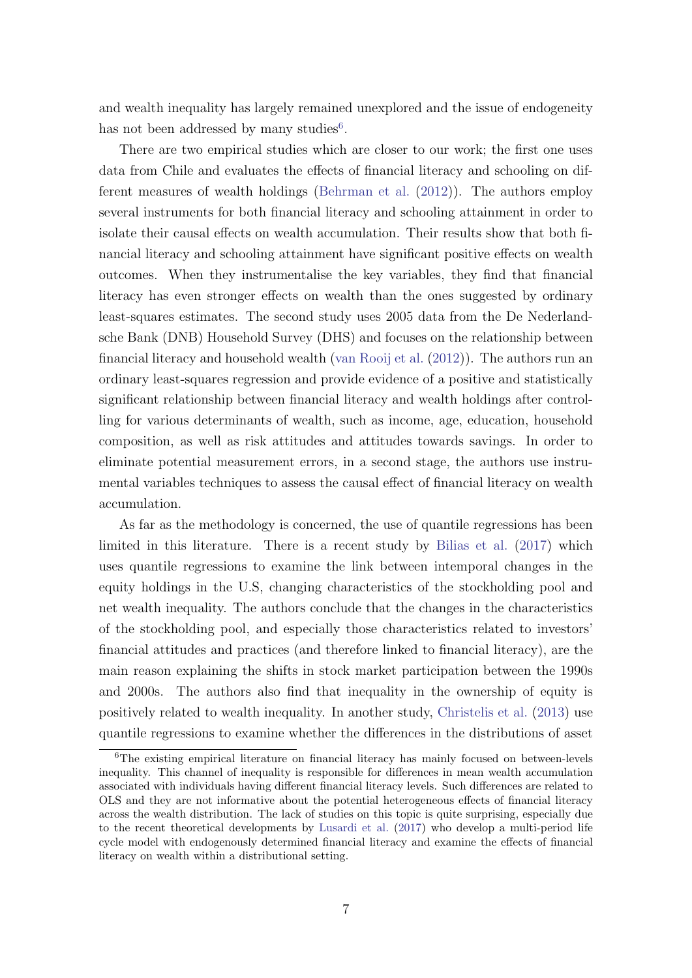and wealth inequality has largely remained unexplored and the issue of endogeneity has not been addressed by many studies<sup>[6](#page-7-0)</sup>.

There are two empirical studies which are closer to our work; the first one uses data from Chile and evaluates the effects of financial literacy and schooling on different measures of wealth holdings [\(Behrman et al.](#page-47-0) [\(2012\)](#page-47-0)). The authors employ several instruments for both financial literacy and schooling attainment in order to isolate their causal effects on wealth accumulation. Their results show that both financial literacy and schooling attainment have significant positive effects on wealth outcomes. When they instrumentalise the key variables, they find that financial literacy has even stronger effects on wealth than the ones suggested by ordinary least-squares estimates. The second study uses 2005 data from the De Nederlandsche Bank (DNB) Household Survey (DHS) and focuses on the relationship between financial literacy and household wealth [\(van Rooij et al.](#page-50-0) [\(2012\)](#page-50-0)). The authors run an ordinary least-squares regression and provide evidence of a positive and statistically significant relationship between financial literacy and wealth holdings after controlling for various determinants of wealth, such as income, age, education, household composition, as well as risk attitudes and attitudes towards savings. In order to eliminate potential measurement errors, in a second stage, the authors use instrumental variables techniques to assess the causal effect of financial literacy on wealth accumulation.

As far as the methodology is concerned, the use of quantile regressions has been limited in this literature. There is a recent study by [Bilias et al.](#page-47-6) [\(2017\)](#page-47-6) which uses quantile regressions to examine the link between intemporal changes in the equity holdings in the U.S, changing characteristics of the stockholding pool and net wealth inequality. The authors conclude that the changes in the characteristics of the stockholding pool, and especially those characteristics related to investors' financial attitudes and practices (and therefore linked to financial literacy), are the main reason explaining the shifts in stock market participation between the 1990s and 2000s. The authors also find that inequality in the ownership of equity is positively related to wealth inequality. In another study, [Christelis et al.](#page-48-0) [\(2013\)](#page-48-0) use quantile regressions to examine whether the differences in the distributions of asset

<span id="page-7-0"></span> $6$ The existing empirical literature on financial literacy has mainly focused on between-levels inequality. This channel of inequality is responsible for differences in mean wealth accumulation associated with individuals having different financial literacy levels. Such differences are related to OLS and they are not informative about the potential heterogeneous effects of financial literacy across the wealth distribution. The lack of studies on this topic is quite surprising, especially due to the recent theoretical developments by [Lusardi et al.](#page-49-0) [\(2017\)](#page-49-0) who develop a multi-period life cycle model with endogenously determined financial literacy and examine the effects of financial literacy on wealth within a distributional setting.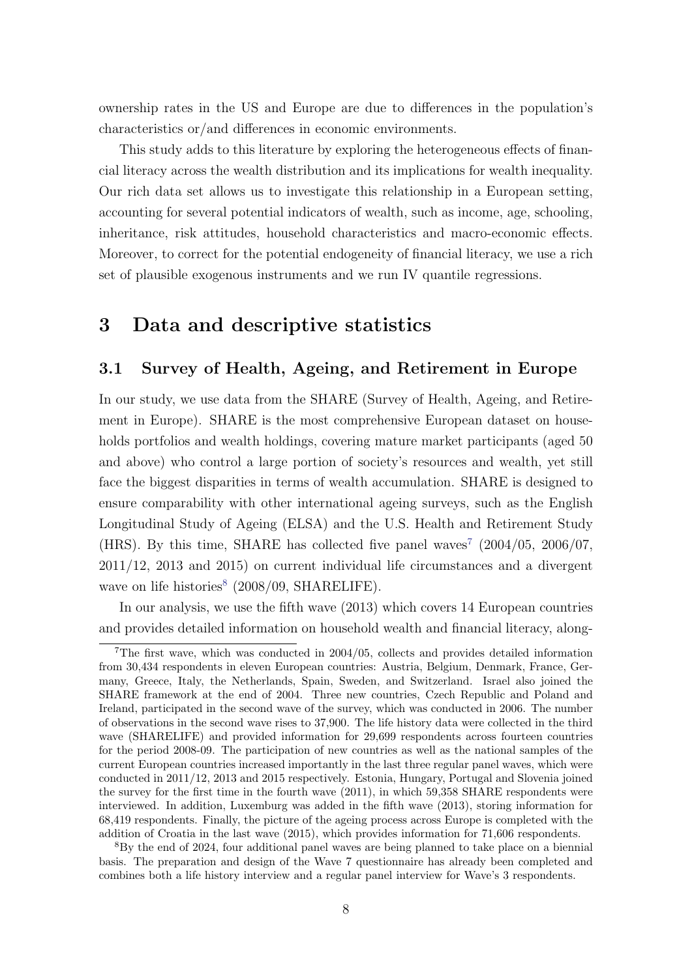ownership rates in the US and Europe are due to differences in the population's characteristics or/and differences in economic environments.

This study adds to this literature by exploring the heterogeneous effects of financial literacy across the wealth distribution and its implications for wealth inequality. Our rich data set allows us to investigate this relationship in a European setting, accounting for several potential indicators of wealth, such as income, age, schooling, inheritance, risk attitudes, household characteristics and macro-economic effects. Moreover, to correct for the potential endogeneity of financial literacy, we use a rich set of plausible exogenous instruments and we run IV quantile regressions.

# 3 Data and descriptive statistics

### 3.1 Survey of Health, Ageing, and Retirement in Europe

In our study, we use data from the SHARE (Survey of Health, Ageing, and Retirement in Europe). SHARE is the most comprehensive European dataset on households portfolios and wealth holdings, covering mature market participants (aged 50 and above) who control a large portion of society's resources and wealth, yet still face the biggest disparities in terms of wealth accumulation. SHARE is designed to ensure comparability with other international ageing surveys, such as the English Longitudinal Study of Ageing (ELSA) and the U.S. Health and Retirement Study (HRS). By this time, SHARE has collected five panel waves<sup>[7](#page-8-0)</sup> (2004/05, 2006/07, 2011/12, 2013 and 2015) on current individual life circumstances and a divergent wave on life histories<sup>[8](#page-8-1)</sup> (2008/09, SHARELIFE).

In our analysis, we use the fifth wave (2013) which covers 14 European countries and provides detailed information on household wealth and financial literacy, along-

<span id="page-8-0"></span><sup>7</sup>The first wave, which was conducted in 2004/05, collects and provides detailed information from 30,434 respondents in eleven European countries: Austria, Belgium, Denmark, France, Germany, Greece, Italy, the Netherlands, Spain, Sweden, and Switzerland. Israel also joined the SHARE framework at the end of 2004. Three new countries, Czech Republic and Poland and Ireland, participated in the second wave of the survey, which was conducted in 2006. The number of observations in the second wave rises to 37,900. The life history data were collected in the third wave (SHARELIFE) and provided information for 29,699 respondents across fourteen countries for the period 2008-09. The participation of new countries as well as the national samples of the current European countries increased importantly in the last three regular panel waves, which were conducted in 2011/12, 2013 and 2015 respectively. Estonia, Hungary, Portugal and Slovenia joined the survey for the first time in the fourth wave (2011), in which 59,358 SHARE respondents were interviewed. In addition, Luxemburg was added in the fifth wave (2013), storing information for 68,419 respondents. Finally, the picture of the ageing process across Europe is completed with the addition of Croatia in the last wave (2015), which provides information for 71,606 respondents.

<span id="page-8-1"></span><sup>8</sup>By the end of 2024, four additional panel waves are being planned to take place on a biennial basis. The preparation and design of the Wave 7 questionnaire has already been completed and combines both a life history interview and a regular panel interview for Wave's 3 respondents.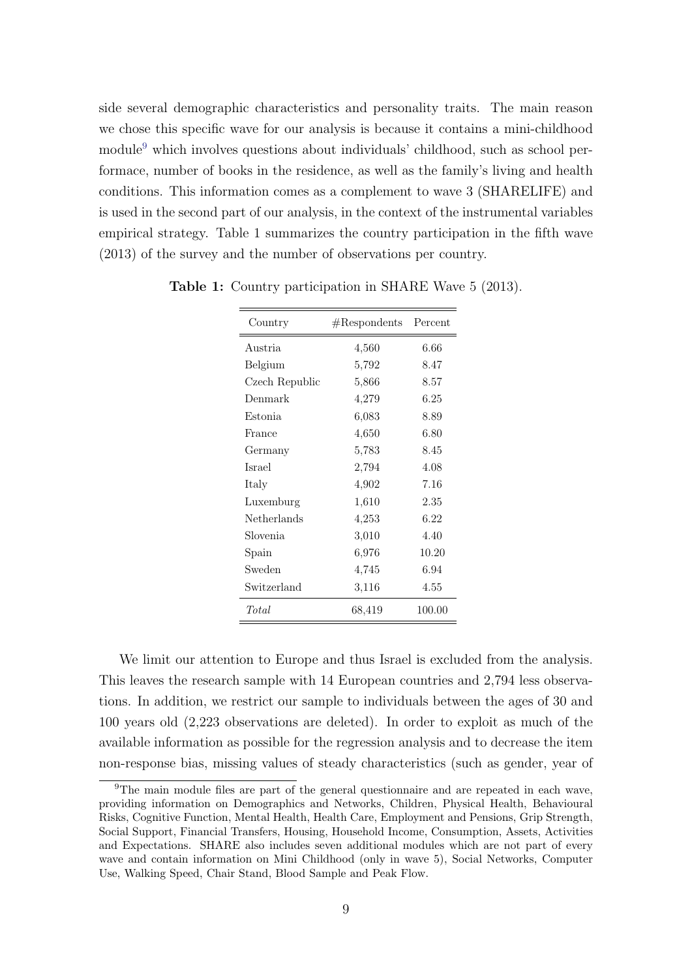side several demographic characteristics and personality traits. The main reason we chose this specific wave for our analysis is because it contains a mini-childhood module<sup>[9](#page-9-0)</sup> which involves questions about individuals' childhood, such as school performace, number of books in the residence, as well as the family's living and health conditions. This information comes as a complement to wave 3 (SHARELIFE) and is used in the second part of our analysis, in the context of the instrumental variables empirical strategy. Table 1 summarizes the country participation in the fifth wave (2013) of the survey and the number of observations per country.

| Country        | #Response | Percent |
|----------------|-----------|---------|
| Austria        | 4,560     | 6.66    |
| Belgium        | 5,792     | 8.47    |
| Czech Republic | 5,866     | 8.57    |
| Denmark        | 4,279     | 6.25    |
| Estonia        | 6,083     | 8.89    |
| France         | 4,650     | 6.80    |
| Germany        | 5,783     | 8.45    |
| <b>Israel</b>  | 2,794     | 4.08    |
| Italy          | 4,902     | 7.16    |
| Luxemburg      | 1,610     | 2.35    |
| Netherlands    | 4,253     | 6.22    |
| Slovenia       | 3,010     | 4.40    |
| Spain          | 6,976     | 10.20   |
| Sweden         | 4,745     | 6.94    |
| Switzerland    | 3,116     | 4.55    |
| Total          | 68,419    | 100.00  |

Table 1: Country participation in SHARE Wave 5 (2013).

We limit our attention to Europe and thus Israel is excluded from the analysis. This leaves the research sample with 14 European countries and 2,794 less observations. In addition, we restrict our sample to individuals between the ages of 30 and 100 years old (2,223 observations are deleted). In order to exploit as much of the available information as possible for the regression analysis and to decrease the item non-response bias, missing values of steady characteristics (such as gender, year of

<span id="page-9-0"></span><sup>9</sup>The main module files are part of the general questionnaire and are repeated in each wave, providing information on Demographics and Networks, Children, Physical Health, Behavioural Risks, Cognitive Function, Mental Health, Health Care, Employment and Pensions, Grip Strength, Social Support, Financial Transfers, Housing, Household Income, Consumption, Assets, Activities and Expectations. SHARE also includes seven additional modules which are not part of every wave and contain information on Mini Childhood (only in wave 5), Social Networks, Computer Use, Walking Speed, Chair Stand, Blood Sample and Peak Flow.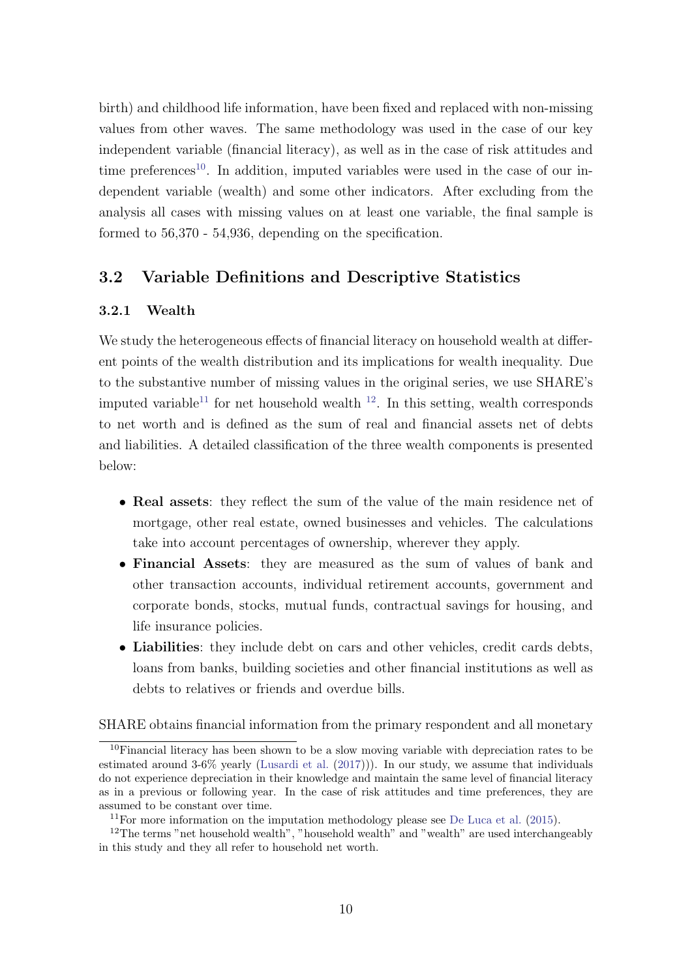birth) and childhood life information, have been fixed and replaced with non-missing values from other waves. The same methodology was used in the case of our key independent variable (financial literacy), as well as in the case of risk attitudes and time preferences<sup>[10](#page-10-0)</sup>. In addition, imputed variables were used in the case of our independent variable (wealth) and some other indicators. After excluding from the analysis all cases with missing values on at least one variable, the final sample is formed to 56,370 - 54,936, depending on the specification.

## 3.2 Variable Definitions and Descriptive Statistics

#### 3.2.1 Wealth

We study the heterogeneous effects of financial literacy on household wealth at different points of the wealth distribution and its implications for wealth inequality. Due to the substantive number of missing values in the original series, we use SHARE's imputed variable<sup>[11](#page-10-1)</sup> for net household wealth  $12$ . In this setting, wealth corresponds to net worth and is defined as the sum of real and financial assets net of debts and liabilities. A detailed classification of the three wealth components is presented below:

- Real assets: they reflect the sum of the value of the main residence net of mortgage, other real estate, owned businesses and vehicles. The calculations take into account percentages of ownership, wherever they apply.
- Financial Assets: they are measured as the sum of values of bank and other transaction accounts, individual retirement accounts, government and corporate bonds, stocks, mutual funds, contractual savings for housing, and life insurance policies.
- Liabilities: they include debt on cars and other vehicles, credit cards debts, loans from banks, building societies and other financial institutions as well as debts to relatives or friends and overdue bills.

SHARE obtains financial information from the primary respondent and all monetary

<span id="page-10-0"></span> $10$ Financial literacy has been shown to be a slow moving variable with depreciation rates to be estimated around 3-6% yearly [\(Lusardi et al.](#page-49-0) [\(2017\)](#page-49-0))). In our study, we assume that individuals do not experience depreciation in their knowledge and maintain the same level of financial literacy as in a previous or following year. In the case of risk attitudes and time preferences, they are assumed to be constant over time.

<span id="page-10-2"></span><span id="page-10-1"></span> $11$ For more information on the imputation methodology please see [De Luca et al.](#page-48-11) [\(2015\)](#page-48-11).

 $12$ The terms "net household wealth", "household wealth" and "wealth" are used interchangeably in this study and they all refer to household net worth.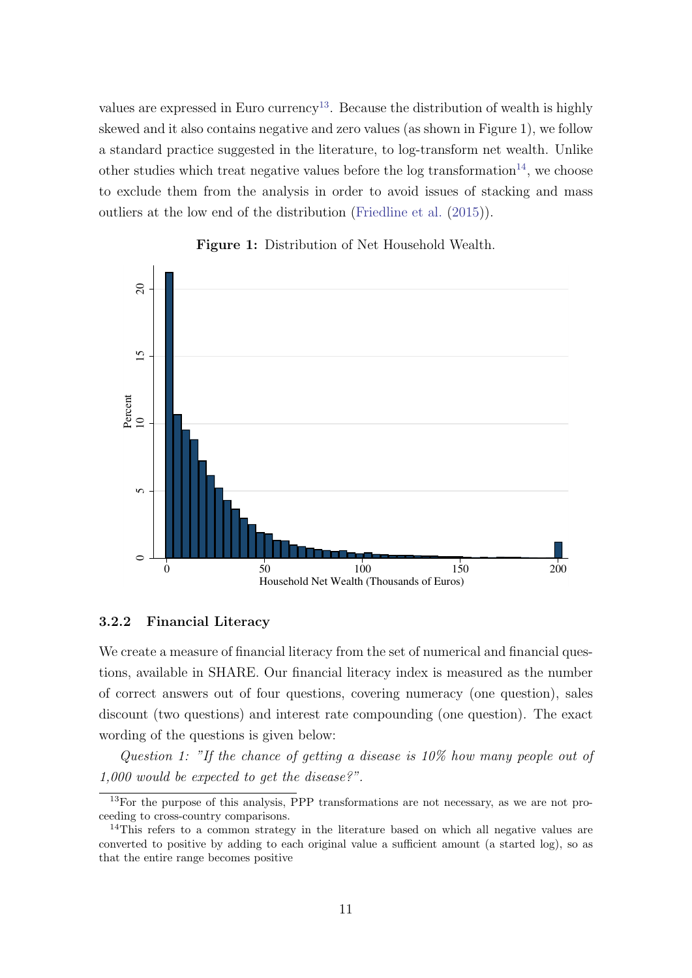values are expressed in Euro currency<sup>[13](#page-11-0)</sup>. Because the distribution of wealth is highly skewed and it also contains negative and zero values (as shown in Figure 1), we follow a standard practice suggested in the literature, to log-transform net wealth. Unlike other studies which treat negative values before the log transformation<sup>[14](#page-11-1)</sup>, we choose to exclude them from the analysis in order to avoid issues of stacking and mass outliers at the low end of the distribution [\(Friedline et al.](#page-49-12) [\(2015\)](#page-49-12)).



#### Figure 1: Distribution of Net Household Wealth.

#### 3.2.2 Financial Literacy

We create a measure of financial literacy from the set of numerical and financial questions, available in SHARE. Our financial literacy index is measured as the number of correct answers out of four questions, covering numeracy (one question), sales discount (two questions) and interest rate compounding (one question). The exact wording of the questions is given below:

Question 1: "If the chance of getting a disease is 10% how many people out of 1,000 would be expected to get the disease?".

<span id="page-11-0"></span> $13$ For the purpose of this analysis, PPP transformations are not necessary, as we are not proceeding to cross-country comparisons.

<span id="page-11-1"></span><sup>&</sup>lt;sup>14</sup>This refers to a common strategy in the literature based on which all negative values are converted to positive by adding to each original value a sufficient amount (a started log), so as that the entire range becomes positive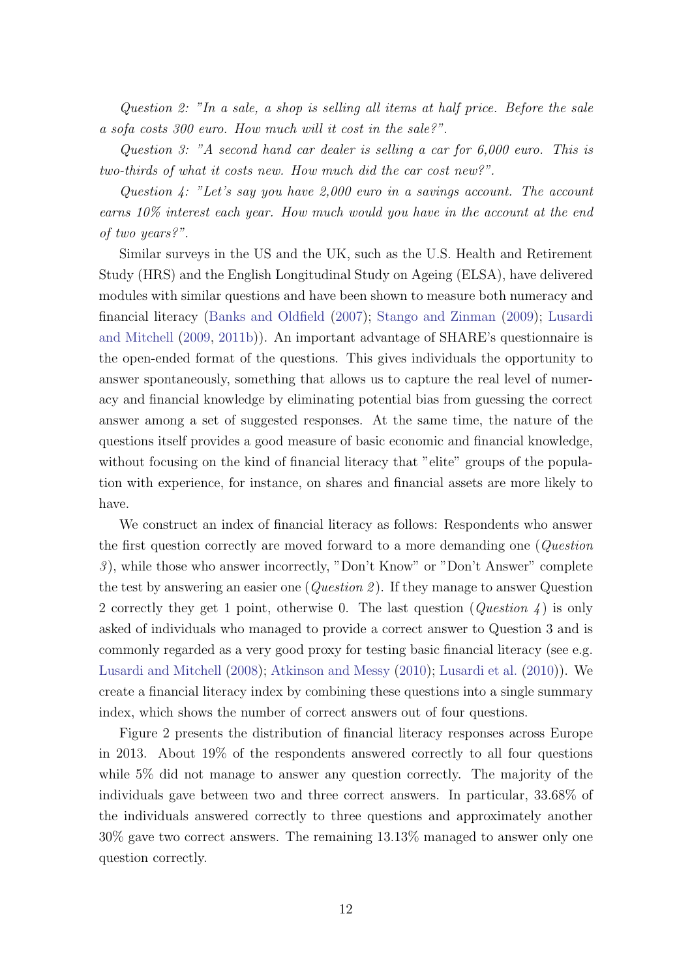Question 2: "In a sale, a shop is selling all items at half price. Before the sale a sofa costs 300 euro. How much will it cost in the sale?".

Question 3: "A second hand car dealer is selling a car for 6,000 euro. This is two-thirds of what it costs new. How much did the car cost new?".

Question 4: "Let's say you have 2,000 euro in a savings account. The account earns 10% interest each year. How much would you have in the account at the end of two years?".

Similar surveys in the US and the UK, such as the U.S. Health and Retirement Study (HRS) and the English Longitudinal Study on Ageing (ELSA), have delivered modules with similar questions and have been shown to measure both numeracy and financial literacy [\(Banks and Oldfield](#page-47-7) [\(2007\)](#page-47-7); [Stango and Zinman](#page-50-10) [\(2009\)](#page-50-10); [Lusardi](#page-49-13) [and Mitchell](#page-49-13) [\(2009,](#page-49-13) [2011b\)](#page-50-7)). An important advantage of SHARE's questionnaire is the open-ended format of the questions. This gives individuals the opportunity to answer spontaneously, something that allows us to capture the real level of numeracy and financial knowledge by eliminating potential bias from guessing the correct answer among a set of suggested responses. At the same time, the nature of the questions itself provides a good measure of basic economic and financial knowledge, without focusing on the kind of financial literacy that "elite" groups of the population with experience, for instance, on shares and financial assets are more likely to have.

We construct an index of financial literacy as follows: Respondents who answer the first question correctly are moved forward to a more demanding one (*Question* 3 ), while those who answer incorrectly, "Don't Know" or "Don't Answer" complete the test by answering an easier one (*Question 2*). If they manage to answer Question 2 correctly they get 1 point, otherwise 0. The last question ( $Question 4$ ) is only asked of individuals who managed to provide a correct answer to Question 3 and is commonly regarded as a very good proxy for testing basic financial literacy (see e.g. [Lusardi and Mitchell](#page-50-11) [\(2008\)](#page-50-11); [Atkinson and Messy](#page-47-8) [\(2010\)](#page-47-8); [Lusardi et al.](#page-50-4) [\(2010\)](#page-50-4)). We create a financial literacy index by combining these questions into a single summary index, which shows the number of correct answers out of four questions.

Figure 2 presents the distribution of financial literacy responses across Europe in 2013. About 19% of the respondents answered correctly to all four questions while 5% did not manage to answer any question correctly. The majority of the individuals gave between two and three correct answers. In particular, 33.68% of the individuals answered correctly to three questions and approximately another 30% gave two correct answers. The remaining 13.13% managed to answer only one question correctly.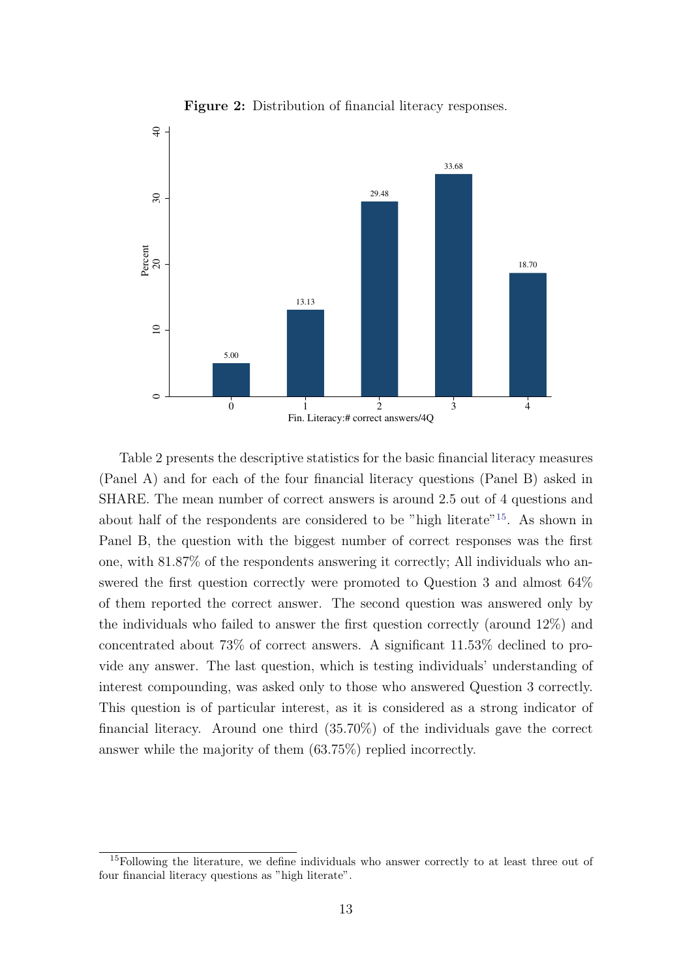

Figure 2: Distribution of financial literacy responses.

Table 2 presents the descriptive statistics for the basic financial literacy measures (Panel A) and for each of the four financial literacy questions (Panel B) asked in SHARE. The mean number of correct answers is around 2.5 out of 4 questions and about half of the respondents are considered to be "high literate"[15](#page-13-0). As shown in Panel B, the question with the biggest number of correct responses was the first one, with 81.87% of the respondents answering it correctly; All individuals who answered the first question correctly were promoted to Question 3 and almost 64% of them reported the correct answer. The second question was answered only by the individuals who failed to answer the first question correctly (around 12%) and concentrated about 73% of correct answers. A significant 11.53% declined to provide any answer. The last question, which is testing individuals' understanding of interest compounding, was asked only to those who answered Question 3 correctly. This question is of particular interest, as it is considered as a strong indicator of financial literacy. Around one third (35.70%) of the individuals gave the correct answer while the majority of them (63.75%) replied incorrectly.

<span id="page-13-0"></span><sup>&</sup>lt;sup>15</sup>Following the literature, we define individuals who answer correctly to at least three out of four financial literacy questions as "high literate".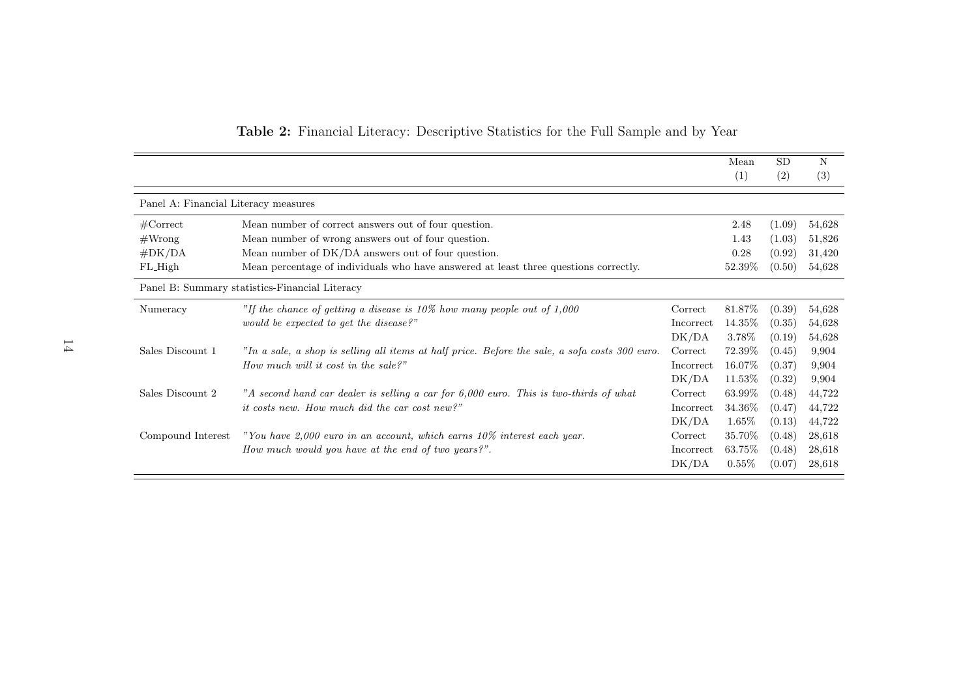|                                      |                                                                                                  |                  | Mean      | <b>SD</b> | N      |
|--------------------------------------|--------------------------------------------------------------------------------------------------|------------------|-----------|-----------|--------|
|                                      |                                                                                                  |                  | (1)       | (2)       | (3)    |
| Panel A: Financial Literacy measures |                                                                                                  |                  |           |           |        |
| $\#\mathrm{Correct}$                 | Mean number of correct answers out of four question.                                             |                  | 2.48      | (1.09)    | 54,628 |
| #Wrong                               | Mean number of wrong answers out of four question.                                               |                  | 1.43      | (1.03)    | 51,826 |
| $\#DK/DA$                            | Mean number of DK/DA answers out of four question.                                               |                  | 0.28      | (0.92)    | 31,420 |
| FL_High                              | Mean percentage of individuals who have answered at least three questions correctly.             |                  | 52.39\%   | (0.50)    | 54,628 |
|                                      | Panel B: Summary statistics-Financial Literacy                                                   |                  |           |           |        |
| Numeracy                             | "If the chance of getting a disease is $10\%$ how many people out of 1,000                       | Correct          | 81.87%    | (0.39)    | 54,628 |
|                                      | would be expected to get the disease?"                                                           | Incorrect        | 14.35\%   | (0.35)    | 54,628 |
|                                      |                                                                                                  | DK/DA            | 3.78%     | (0.19)    | 54,628 |
| Sales Discount 1                     | "In a sale, a shop is selling all items at half price. Before the sale, a sofa costs $300$ euro. | Correct          | 72.39%    | (0.45)    | 9,904  |
|                                      | How much will it cost in the sale?"                                                              | Incorrect        | 16.07%    | (0.37)    | 9,904  |
|                                      |                                                                                                  | DK/DA            | 11.53%    | (0.32)    | 9,904  |
| Sales Discount 2                     | "A second hand car dealer is selling a car for 6,000 euro. This is two-thirds of what            | Correct          | 63.99%    | (0.48)    | 44,722 |
|                                      | <i>it costs new.</i> How much did the car cost new?"                                             | <b>Incorrect</b> | 34.36\%   | (0.47)    | 44,722 |
|                                      |                                                                                                  | DK/DA            | $1.65\%$  | (0.13)    | 44,722 |
| Compound Interest                    | "You have $2,000$ euro in an account, which earns $10\%$ interest each year.                     | Correct          | 35.70%    | (0.48)    | 28,618 |
|                                      | How much would you have at the end of two years?".                                               | Incorrect        | $63.75\%$ | (0.48)    | 28,618 |
|                                      |                                                                                                  | DK/DA            | $0.55\%$  | (0.07)    | 28,618 |

#### Table 2: Financial Literacy: Descriptive Statistics for the Full Sample and by Year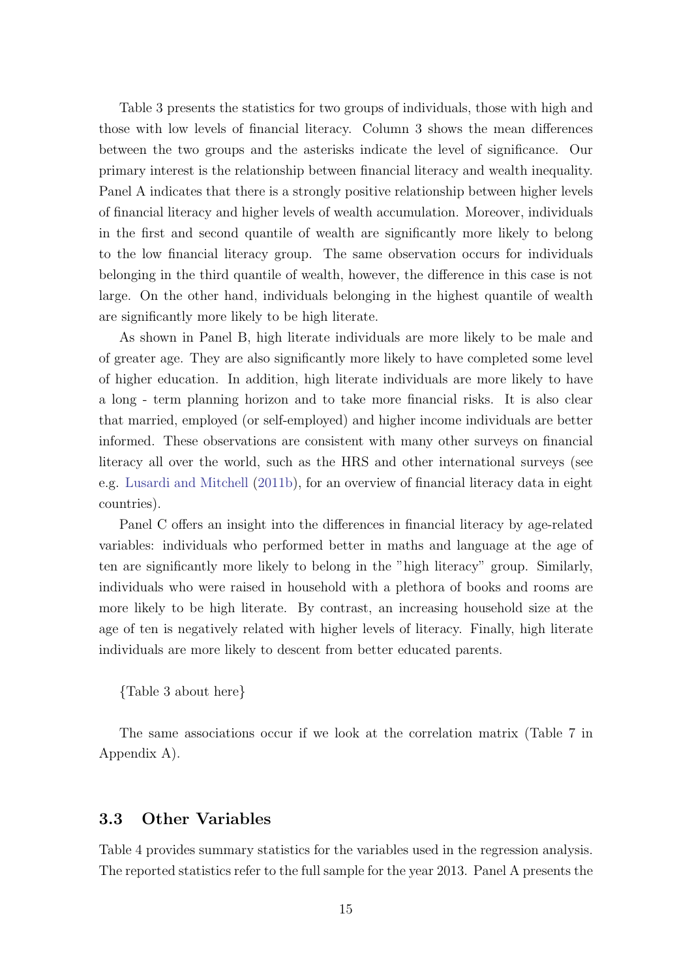Table 3 presents the statistics for two groups of individuals, those with high and those with low levels of financial literacy. Column 3 shows the mean differences between the two groups and the asterisks indicate the level of significance. Our primary interest is the relationship between financial literacy and wealth inequality. Panel A indicates that there is a strongly positive relationship between higher levels of financial literacy and higher levels of wealth accumulation. Moreover, individuals in the first and second quantile of wealth are significantly more likely to belong to the low financial literacy group. The same observation occurs for individuals belonging in the third quantile of wealth, however, the difference in this case is not large. On the other hand, individuals belonging in the highest quantile of wealth are significantly more likely to be high literate.

As shown in Panel B, high literate individuals are more likely to be male and of greater age. They are also significantly more likely to have completed some level of higher education. In addition, high literate individuals are more likely to have a long - term planning horizon and to take more financial risks. It is also clear that married, employed (or self-employed) and higher income individuals are better informed. These observations are consistent with many other surveys on financial literacy all over the world, such as the HRS and other international surveys (see e.g. [Lusardi and Mitchell](#page-50-7) [\(2011b\)](#page-50-7), for an overview of financial literacy data in eight countries).

Panel C offers an insight into the differences in financial literacy by age-related variables: individuals who performed better in maths and language at the age of ten are significantly more likely to belong in the "high literacy" group. Similarly, individuals who were raised in household with a plethora of books and rooms are more likely to be high literate. By contrast, an increasing household size at the age of ten is negatively related with higher levels of literacy. Finally, high literate individuals are more likely to descent from better educated parents.

{Table 3 about here}

The same associations occur if we look at the correlation matrix (Table 7 in Appendix A).

## 3.3 Other Variables

Table 4 provides summary statistics for the variables used in the regression analysis. The reported statistics refer to the full sample for the year 2013. Panel A presents the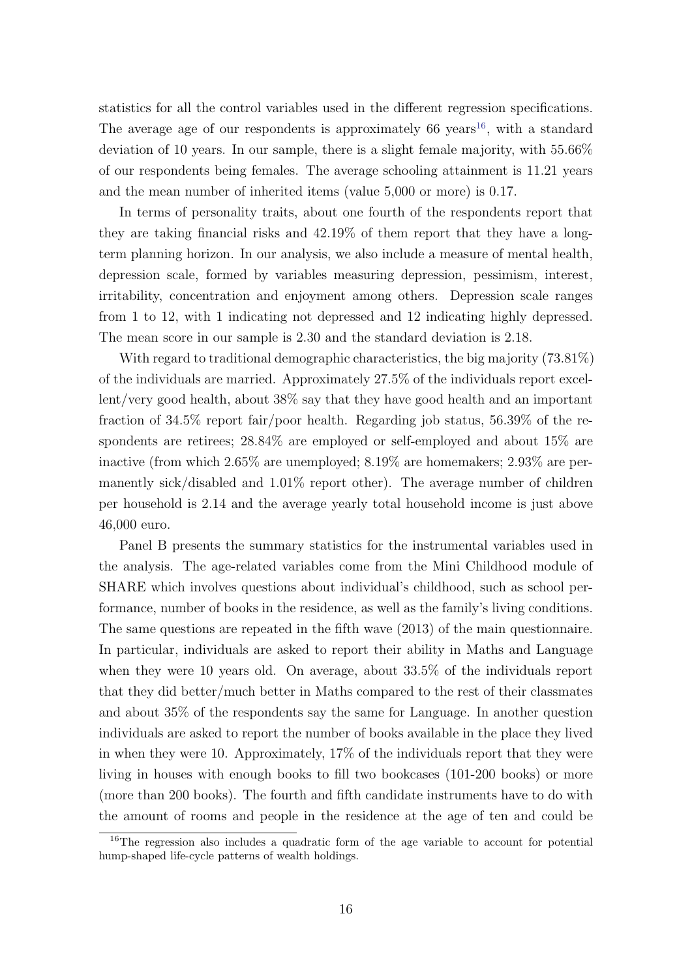statistics for all the control variables used in the different regression specifications. The average age of our respondents is approximately 66 years<sup>[16](#page-16-0)</sup>, with a standard deviation of 10 years. In our sample, there is a slight female majority, with 55.66% of our respondents being females. The average schooling attainment is 11.21 years and the mean number of inherited items (value 5,000 or more) is 0.17.

In terms of personality traits, about one fourth of the respondents report that they are taking financial risks and 42.19% of them report that they have a longterm planning horizon. In our analysis, we also include a measure of mental health, depression scale, formed by variables measuring depression, pessimism, interest, irritability, concentration and enjoyment among others. Depression scale ranges from 1 to 12, with 1 indicating not depressed and 12 indicating highly depressed. The mean score in our sample is 2.30 and the standard deviation is 2.18.

With regard to traditional demographic characteristics, the big majority (73.81%) of the individuals are married. Approximately 27.5% of the individuals report excellent/very good health, about 38% say that they have good health and an important fraction of 34.5% report fair/poor health. Regarding job status, 56.39% of the respondents are retirees;  $28.84\%$  are employed or self-employed and about  $15\%$  are inactive (from which 2.65% are unemployed; 8.19% are homemakers; 2.93% are permanently sick/disabled and 1.01% report other). The average number of children per household is 2.14 and the average yearly total household income is just above 46,000 euro.

Panel B presents the summary statistics for the instrumental variables used in the analysis. The age-related variables come from the Mini Childhood module of SHARE which involves questions about individual's childhood, such as school performance, number of books in the residence, as well as the family's living conditions. The same questions are repeated in the fifth wave (2013) of the main questionnaire. In particular, individuals are asked to report their ability in Maths and Language when they were 10 years old. On average, about 33.5% of the individuals report that they did better/much better in Maths compared to the rest of their classmates and about 35% of the respondents say the same for Language. In another question individuals are asked to report the number of books available in the place they lived in when they were 10. Approximately, 17% of the individuals report that they were living in houses with enough books to fill two bookcases (101-200 books) or more (more than 200 books). The fourth and fifth candidate instruments have to do with the amount of rooms and people in the residence at the age of ten and could be

<span id="page-16-0"></span><sup>&</sup>lt;sup>16</sup>The regression also includes a quadratic form of the age variable to account for potential hump-shaped life-cycle patterns of wealth holdings.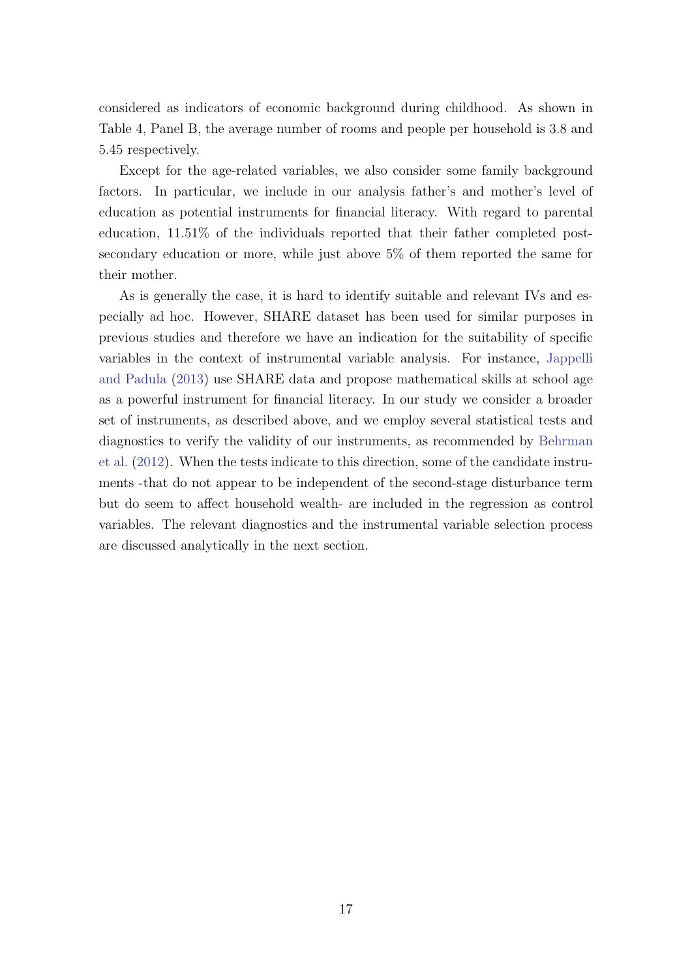considered as indicators of economic background during childhood. As shown in Table 4, Panel B, the average number of rooms and people per household is 3.8 and 5.45 respectively.

Except for the age-related variables, we also consider some family background factors. In particular, we include in our analysis father's and mother's level of education as potential instruments for financial literacy. With regard to parental education, 11.51% of the individuals reported that their father completed postsecondary education or more, while just above 5% of them reported the same for their mother.

As is generally the case, it is hard to identify suitable and relevant IVs and especially ad hoc. However, SHARE dataset has been used for similar purposes in previous studies and therefore we have an indication for the suitability of specific variables in the context of instrumental variable analysis. For instance, [Jappelli](#page-49-2) [and Padula](#page-49-2) [\(2013\)](#page-49-2) use SHARE data and propose mathematical skills at school age as a powerful instrument for financial literacy. In our study we consider a broader set of instruments, as described above, and we employ several statistical tests and diagnostics to verify the validity of our instruments, as recommended by [Behrman](#page-47-0) [et al.](#page-47-0) [\(2012\)](#page-47-0). When the tests indicate to this direction, some of the candidate instruments -that do not appear to be independent of the second-stage disturbance term but do seem to affect household wealth- are included in the regression as control variables. The relevant diagnostics and the instrumental variable selection process are discussed analytically in the next section.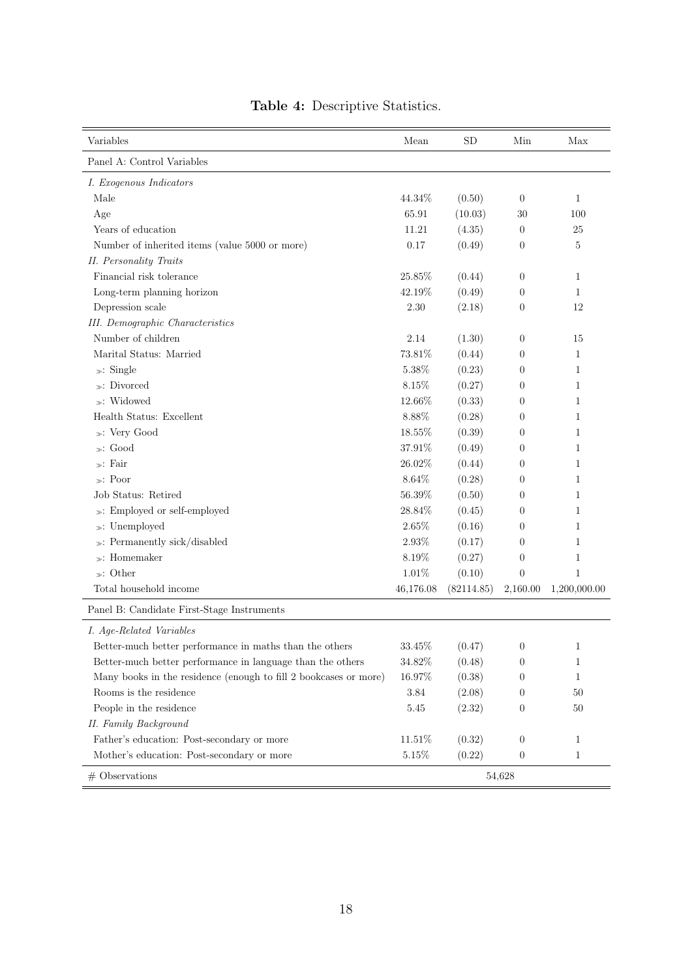| Variables                                                        | Mean      | SD         | Min              | Max          |
|------------------------------------------------------------------|-----------|------------|------------------|--------------|
| Panel A: Control Variables                                       |           |            |                  |              |
| I. Exogenous Indicators                                          |           |            |                  |              |
| Male                                                             | 44.34%    | (0.50)     | $\theta$         | 1            |
| Age                                                              | 65.91     | (10.03)    | 30               | 100          |
| Years of education                                               | 11.21     | (4.35)     | $\theta$         | 25           |
| Number of inherited items (value 5000 or more)                   | 0.17      | (0.49)     | $\theta$         | 5            |
| <b>II.</b> Personality Traits                                    |           |            |                  |              |
| Financial risk tolerance                                         | 25.85%    | (0.44)     | $\boldsymbol{0}$ | 1            |
| Long-term planning horizon                                       | 42.19%    | (0.49)     | $\theta$         | 1            |
| Depression scale                                                 | 2.30      | (2.18)     | $\boldsymbol{0}$ | 12           |
| <b>III.</b> Demographic Characteristics                          |           |            |                  |              |
| Number of children                                               | 2.14      | (1.30)     | $\theta$         | 15           |
| Marital Status: Married                                          | 73.81%    | (0.44)     | $\theta$         | $\mathbf{1}$ |
| $\gg$ : Single                                                   | 5.38%     | (0.23)     | 0                | 1            |
| $\ast$ : Divorced                                                | 8.15%     | (0.27)     | 0                | 1            |
| $\ast$ : Widowed                                                 | 12.66%    | (0.33)     | $\theta$         | 1            |
| Health Status: Excellent                                         | $8.88\%$  | (0.28)     | $\overline{0}$   | 1            |
| »: Very Good                                                     | 18.55%    | (0.39)     | 0                | 1            |
| $\ast$ : Good                                                    | $37.91\%$ | (0.49)     | 0                | 1            |
| $\ast$ : Fair                                                    | 26.02%    | (0.44)     | $\theta$         | 1            |
| $\ast$ : Poor                                                    | 8.64%     | (0.28)     | $\theta$         | 1            |
| Job Status: Retired                                              | 56.39%    | (0.50)     | $\overline{0}$   | 1            |
| »: Employed or self-employed                                     | 28.84%    | (0.45)     | $\overline{0}$   | 1            |
| $\gg:$ Unemployed                                                | 2.65%     | (0.16)     | $\theta$         | 1            |
| $\gg$ : Permanently sick/disabled                                | 2.93%     | (0.17)     | $\overline{0}$   | 1            |
| $\ast$ : Homemaker                                               | 8.19%     | (0.27)     | 0                | 1            |
| $\ast$ : Other                                                   | $1.01\%$  | (0.10)     | $\overline{0}$   | $\mathbf{1}$ |
| Total household income                                           | 46,176.08 | (82114.85) | 2,160.00         | 1,200,000.00 |
| Panel B: Candidate First-Stage Instruments                       |           |            |                  |              |
| I. Age-Related Variables                                         |           |            |                  |              |
| Better-much better performance in maths than the others          | $33.45\%$ | (0.47)     | $\theta$         |              |
| Better-much better performance in language than the others       | 34.82%    | (0.48)     | $\boldsymbol{0}$ | 1            |
| Many books in the residence (enough to fill 2 bookcases or more) | 16.97%    | (0.38)     | 0                | 1            |
| Rooms is the residence                                           | 3.84      | (2.08)     | 0                | 50           |
| People in the residence                                          | $5.45\,$  | (2.32)     | 0                | 50           |
| II. Family Background                                            |           |            |                  |              |
| Father's education: Post-secondary or more                       | 11.51%    | (0.32)     | $\boldsymbol{0}$ | 1            |
| Mother's education: Post-secondary or more                       | $5.15\%$  | (0.22)     | $\boldsymbol{0}$ | 1            |
| $#$ Observations                                                 |           |            | 54,628           |              |

## Table 4: Descriptive Statistics.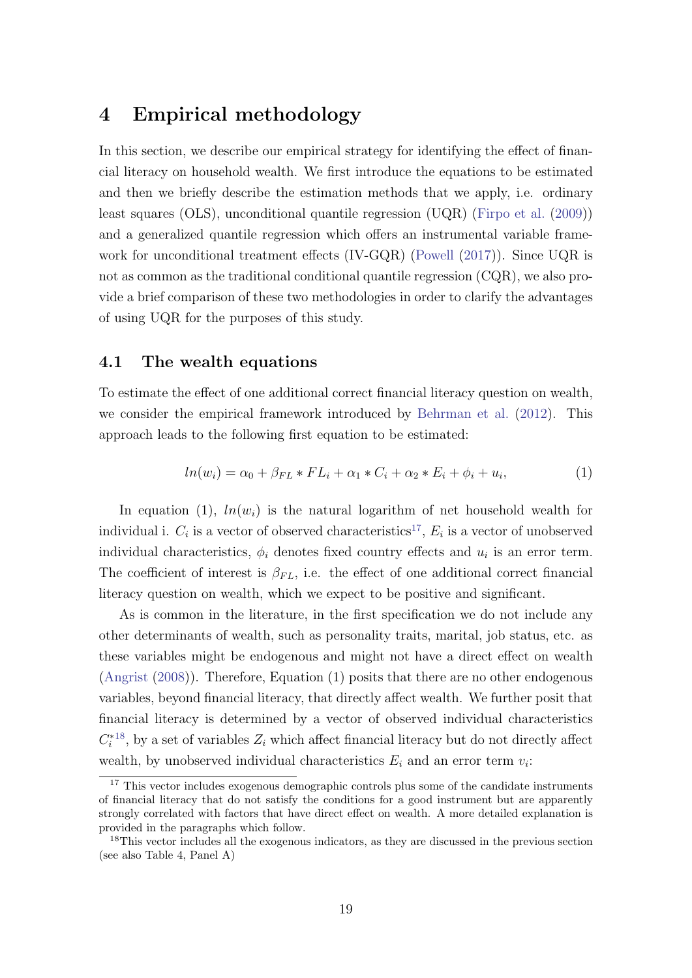# 4 Empirical methodology

In this section, we describe our empirical strategy for identifying the effect of financial literacy on household wealth. We first introduce the equations to be estimated and then we briefly describe the estimation methods that we apply, i.e. ordinary least squares (OLS), unconditional quantile regression (UQR) [\(Firpo et al.](#page-49-1) [\(2009\)](#page-49-1)) and a generalized quantile regression which offers an instrumental variable framework for unconditional treatment effects (IV-GQR) [\(Powell](#page-50-1) [\(2017\)](#page-50-1)). Since UQR is not as common as the traditional conditional quantile regression (CQR), we also provide a brief comparison of these two methodologies in order to clarify the advantages of using UQR for the purposes of this study.

#### 4.1 The wealth equations

To estimate the effect of one additional correct financial literacy question on wealth, we consider the empirical framework introduced by [Behrman et al.](#page-47-0) [\(2012\)](#page-47-0). This approach leads to the following first equation to be estimated:

$$
ln(w_i) = \alpha_0 + \beta_{FL} * FL_i + \alpha_1 * C_i + \alpha_2 * E_i + \phi_i + u_i,
$$
 (1)

In equation (1),  $ln(w_i)$  is the natural logarithm of net household wealth for individual i.  $C_i$  is a vector of observed characteristics<sup>[17](#page-19-0)</sup>,  $E_i$  is a vector of unobserved individual characteristics,  $\phi_i$  denotes fixed country effects and  $u_i$  is an error term. The coefficient of interest is  $\beta_{FL}$ , i.e. the effect of one additional correct financial literacy question on wealth, which we expect to be positive and significant.

As is common in the literature, in the first specification we do not include any other determinants of wealth, such as personality traits, marital, job status, etc. as these variables might be endogenous and might not have a direct effect on wealth [\(Angrist](#page-47-9) [\(2008\)](#page-47-9)). Therefore, Equation (1) posits that there are no other endogenous variables, beyond financial literacy, that directly affect wealth. We further posit that financial literacy is determined by a vector of observed individual characteristics  $C_i^{*18}$  $C_i^{*18}$  $C_i^{*18}$ , by a set of variables  $Z_i$  which affect financial literacy but do not directly affect wealth, by unobserved individual characteristics  $E_i$  and an error term  $v_i$ :

<span id="page-19-0"></span><sup>&</sup>lt;sup>17</sup> This vector includes exogenous demographic controls plus some of the candidate instruments of financial literacy that do not satisfy the conditions for a good instrument but are apparently strongly correlated with factors that have direct effect on wealth. A more detailed explanation is provided in the paragraphs which follow.

<span id="page-19-1"></span><sup>&</sup>lt;sup>18</sup>This vector includes all the exogenous indicators, as they are discussed in the previous section (see also Table 4, Panel A)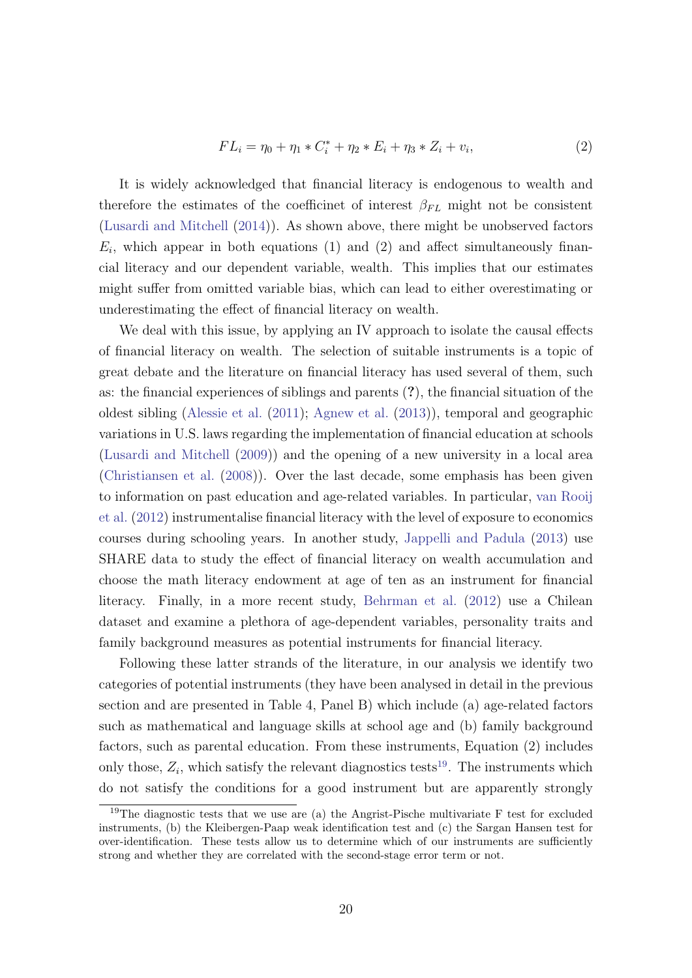$$
FL_i = \eta_0 + \eta_1 * C_i^* + \eta_2 * E_i + \eta_3 * Z_i + v_i,
$$
\n(2)

It is widely acknowledged that financial literacy is endogenous to wealth and therefore the estimates of the coefficinet of interest  $\beta_{FL}$  might not be consistent [\(Lusardi and Mitchell](#page-49-3) [\(2014\)](#page-49-3)). As shown above, there might be unobserved factors  $E_i$ , which appear in both equations (1) and (2) and affect simultaneously financial literacy and our dependent variable, wealth. This implies that our estimates might suffer from omitted variable bias, which can lead to either overestimating or underestimating the effect of financial literacy on wealth.

We deal with this issue, by applying an IV approach to isolate the causal effects of financial literacy on wealth. The selection of suitable instruments is a topic of great debate and the literature on financial literacy has used several of them, such as: the financial experiences of siblings and parents (?), the financial situation of the oldest sibling [\(Alessie et al.](#page-47-10) [\(2011\)](#page-47-10); [Agnew et al.](#page-47-11) [\(2013\)](#page-47-11)), temporal and geographic variations in U.S. laws regarding the implementation of financial education at schools [\(Lusardi and Mitchell](#page-49-13) [\(2009\)](#page-49-13)) and the opening of a new university in a local area [\(Christiansen et al.](#page-48-12) [\(2008\)](#page-48-12)). Over the last decade, some emphasis has been given to information on past education and age-related variables. In particular, [van Rooij](#page-50-0) [et al.](#page-50-0) [\(2012\)](#page-50-0) instrumentalise financial literacy with the level of exposure to economics courses during schooling years. In another study, [Jappelli and Padula](#page-49-2) [\(2013\)](#page-49-2) use SHARE data to study the effect of financial literacy on wealth accumulation and choose the math literacy endowment at age of ten as an instrument for financial literacy. Finally, in a more recent study, [Behrman et al.](#page-47-0) [\(2012\)](#page-47-0) use a Chilean dataset and examine a plethora of age-dependent variables, personality traits and family background measures as potential instruments for financial literacy.

Following these latter strands of the literature, in our analysis we identify two categories of potential instruments (they have been analysed in detail in the previous section and are presented in Table 4, Panel B) which include (a) age-related factors such as mathematical and language skills at school age and (b) family background factors, such as parental education. From these instruments, Equation (2) includes only those,  $Z_i$ , which satisfy the relevant diagnostics tests<sup>[19](#page-20-0)</sup>. The instruments which do not satisfy the conditions for a good instrument but are apparently strongly

<span id="page-20-0"></span><sup>&</sup>lt;sup>19</sup>The diagnostic tests that we use are (a) the Angrist-Pische multivariate F test for excluded instruments, (b) the Kleibergen-Paap weak identification test and (c) the Sargan Hansen test for over-identification. These tests allow us to determine which of our instruments are sufficiently strong and whether they are correlated with the second-stage error term or not.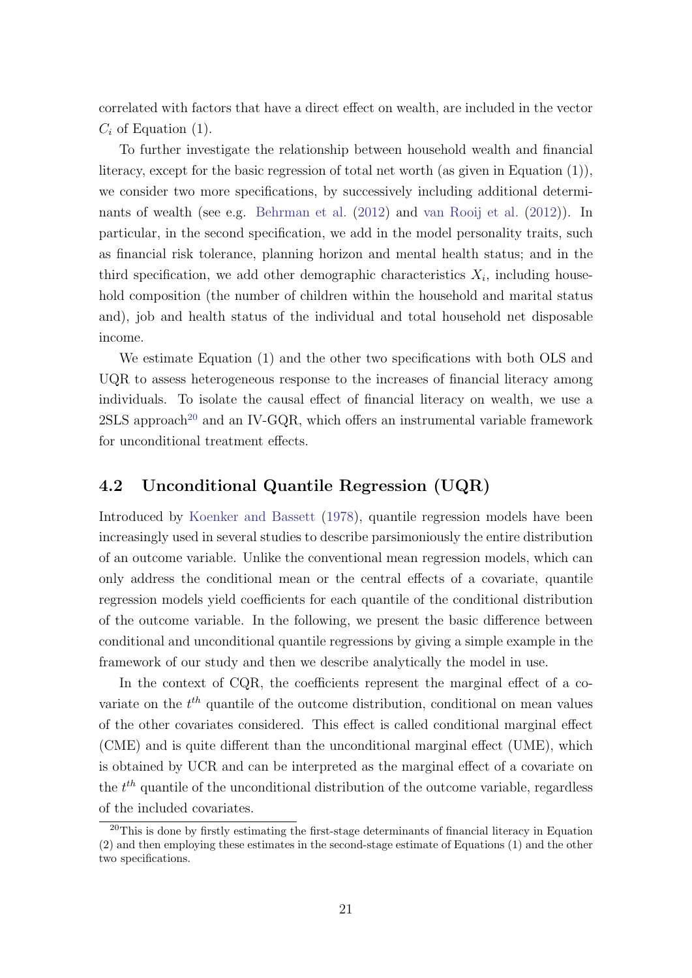correlated with factors that have a direct effect on wealth, are included in the vector  $C_i$  of Equation (1).

To further investigate the relationship between household wealth and financial literacy, except for the basic regression of total net worth (as given in Equation (1)), we consider two more specifications, by successively including additional determi-nants of wealth (see e.g. [Behrman et al.](#page-47-0) [\(2012\)](#page-50-0) and [van Rooij et al.](#page-50-0) (2012)). In particular, in the second specification, we add in the model personality traits, such as financial risk tolerance, planning horizon and mental health status; and in the third specification, we add other demographic characteristics  $X_i$ , including household composition (the number of children within the household and marital status and), job and health status of the individual and total household net disposable income.

We estimate Equation (1) and the other two specifications with both OLS and UQR to assess heterogeneous response to the increases of financial literacy among individuals. To isolate the causal effect of financial literacy on wealth, we use a  $2SLS$  approach<sup>[20](#page-21-0)</sup> and an IV-GQR, which offers an instrumental variable framework for unconditional treatment effects.

### 4.2 Unconditional Quantile Regression (UQR)

Introduced by [Koenker and Bassett](#page-49-14) [\(1978\)](#page-49-14), quantile regression models have been increasingly used in several studies to describe parsimoniously the entire distribution of an outcome variable. Unlike the conventional mean regression models, which can only address the conditional mean or the central effects of a covariate, quantile regression models yield coefficients for each quantile of the conditional distribution of the outcome variable. In the following, we present the basic difference between conditional and unconditional quantile regressions by giving a simple example in the framework of our study and then we describe analytically the model in use.

In the context of CQR, the coefficients represent the marginal effect of a covariate on the  $t^{th}$  quantile of the outcome distribution, conditional on mean values of the other covariates considered. This effect is called conditional marginal effect (CME) and is quite different than the unconditional marginal effect (UME), which is obtained by UCR and can be interpreted as the marginal effect of a covariate on the  $t^{th}$  quantile of the unconditional distribution of the outcome variable, regardless of the included covariates.

<span id="page-21-0"></span><sup>&</sup>lt;sup>20</sup>This is done by firstly estimating the first-stage determinants of financial literacy in Equation (2) and then employing these estimates in the second-stage estimate of Equations (1) and the other two specifications.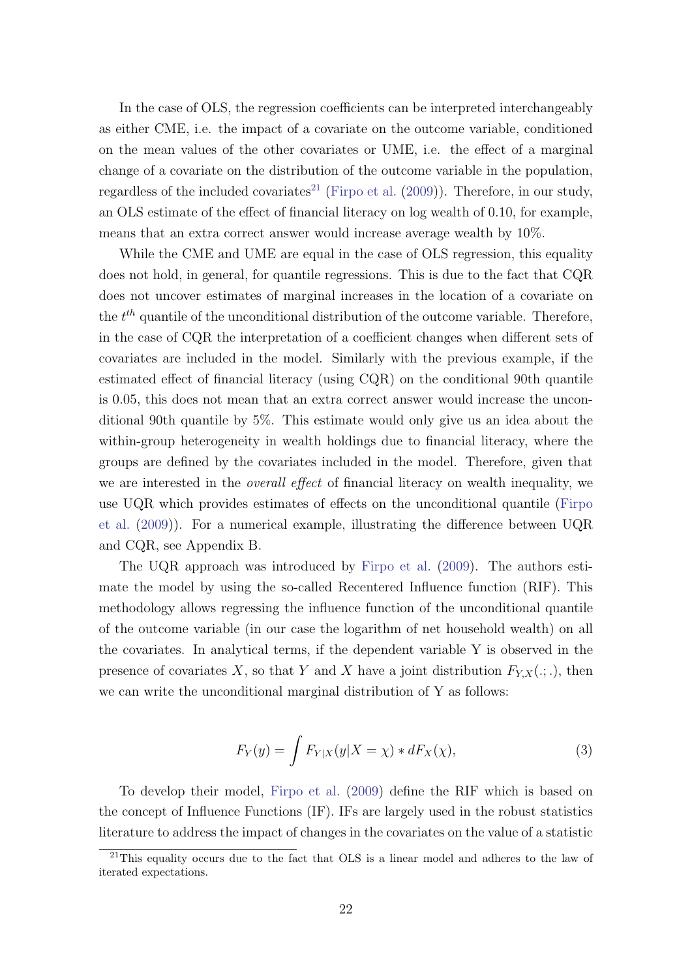In the case of OLS, the regression coefficients can be interpreted interchangeably as either CME, i.e. the impact of a covariate on the outcome variable, conditioned on the mean values of the other covariates or UME, i.e. the effect of a marginal change of a covariate on the distribution of the outcome variable in the population, regardless of the included covariates<sup>[21](#page-22-0)</sup> [\(Firpo et al.](#page-49-1)  $(2009)$ ). Therefore, in our study, an OLS estimate of the effect of financial literacy on log wealth of 0.10, for example, means that an extra correct answer would increase average wealth by 10%.

While the CME and UME are equal in the case of OLS regression, this equality does not hold, in general, for quantile regressions. This is due to the fact that CQR does not uncover estimates of marginal increases in the location of a covariate on the  $t^{th}$  quantile of the unconditional distribution of the outcome variable. Therefore, in the case of CQR the interpretation of a coefficient changes when different sets of covariates are included in the model. Similarly with the previous example, if the estimated effect of financial literacy (using CQR) on the conditional 90th quantile is 0.05, this does not mean that an extra correct answer would increase the unconditional 90th quantile by 5%. This estimate would only give us an idea about the within-group heterogeneity in wealth holdings due to financial literacy, where the groups are defined by the covariates included in the model. Therefore, given that we are interested in the *overall effect* of financial literacy on wealth inequality, we use UQR which provides estimates of effects on the unconditional quantile [\(Firpo](#page-49-1) [et al.](#page-49-1) [\(2009\)](#page-49-1)). For a numerical example, illustrating the difference between UQR and CQR, see Appendix B.

The UQR approach was introduced by [Firpo et al.](#page-49-1) [\(2009\)](#page-49-1). The authors estimate the model by using the so-called Recentered Influence function (RIF). This methodology allows regressing the influence function of the unconditional quantile of the outcome variable (in our case the logarithm of net household wealth) on all the covariates. In analytical terms, if the dependent variable Y is observed in the presence of covariates X, so that Y and X have a joint distribution  $F_{Y,X}(.,.)$ , then we can write the unconditional marginal distribution of Y as follows:

$$
F_Y(y) = \int F_{Y|X}(y|X=\chi) * dF_X(\chi), \tag{3}
$$

To develop their model, [Firpo et al.](#page-49-1) [\(2009\)](#page-49-1) define the RIF which is based on the concept of Influence Functions (IF). IFs are largely used in the robust statistics literature to address the impact of changes in the covariates on the value of a statistic

<span id="page-22-0"></span><sup>21</sup>This equality occurs due to the fact that OLS is a linear model and adheres to the law of iterated expectations.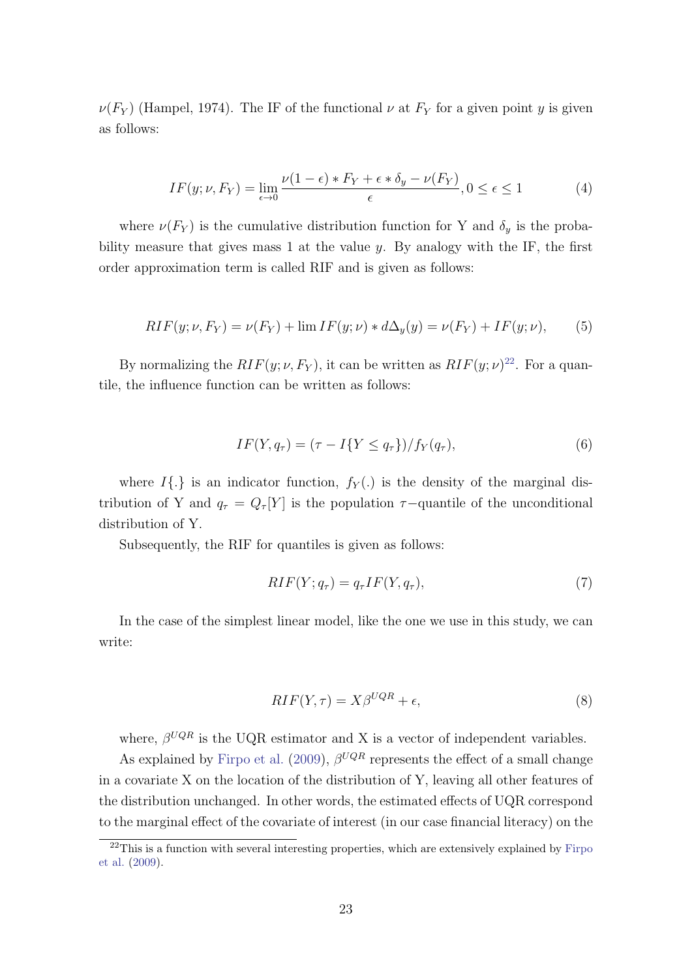$\nu(F_Y)$  (Hampel, 1974). The IF of the functional  $\nu$  at  $F_Y$  for a given point y is given as follows:

$$
IF(y; \nu, F_Y) = \lim_{\epsilon \to 0} \frac{\nu(1 - \epsilon) * F_Y + \epsilon * \delta_y - \nu(F_Y)}{\epsilon}, 0 \le \epsilon \le 1
$$
 (4)

where  $\nu(F_Y)$  is the cumulative distribution function for Y and  $\delta_y$  is the probability measure that gives mass 1 at the value  $y$ . By analogy with the IF, the first order approximation term is called RIF and is given as follows:

$$
RIF(y; \nu, F_Y) = \nu(F_Y) + \lim_{t \to \infty} IF(y; \nu) * d\Delta_y(y) = \nu(F_Y) + IF(y; \nu), \tag{5}
$$

By normalizing the  $RIF(y; \nu, F_Y)$ , it can be written as  $RIF(y; \nu)^{22}$  $RIF(y; \nu)^{22}$  $RIF(y; \nu)^{22}$ . For a quantile, the influence function can be written as follows:

$$
IF(Y, q_{\tau}) = (\tau - I\{Y \le q_{\tau}\})/f_Y(q_{\tau}), \tag{6}
$$

where  $I\{\cdot\}$  is an indicator function,  $f_Y(\cdot)$  is the density of the marginal distribution of Y and  $q_{\tau} = Q_{\tau}[Y]$  is the population  $\tau$ -quantile of the unconditional distribution of Y.

Subsequently, the RIF for quantiles is given as follows:

$$
RIF(Y; q_{\tau}) = q_{\tau}IF(Y, q_{\tau}), \qquad (7)
$$

In the case of the simplest linear model, like the one we use in this study, we can write:

$$
RIF(Y, \tau) = X\beta^{UQR} + \epsilon,\tag{8}
$$

where,  $\beta^{UQR}$  is the UQR estimator and X is a vector of independent variables.

As explained by [Firpo et al.](#page-49-1) [\(2009\)](#page-49-1),  $\beta^{UQR}$  represents the effect of a small change in a covariate X on the location of the distribution of Y, leaving all other features of the distribution unchanged. In other words, the estimated effects of UQR correspond to the marginal effect of the covariate of interest (in our case financial literacy) on the

<span id="page-23-0"></span> $22$ This is a function with several interesting properties, which are extensively explained by [Firpo](#page-49-1) [et al.](#page-49-1) [\(2009\)](#page-49-1).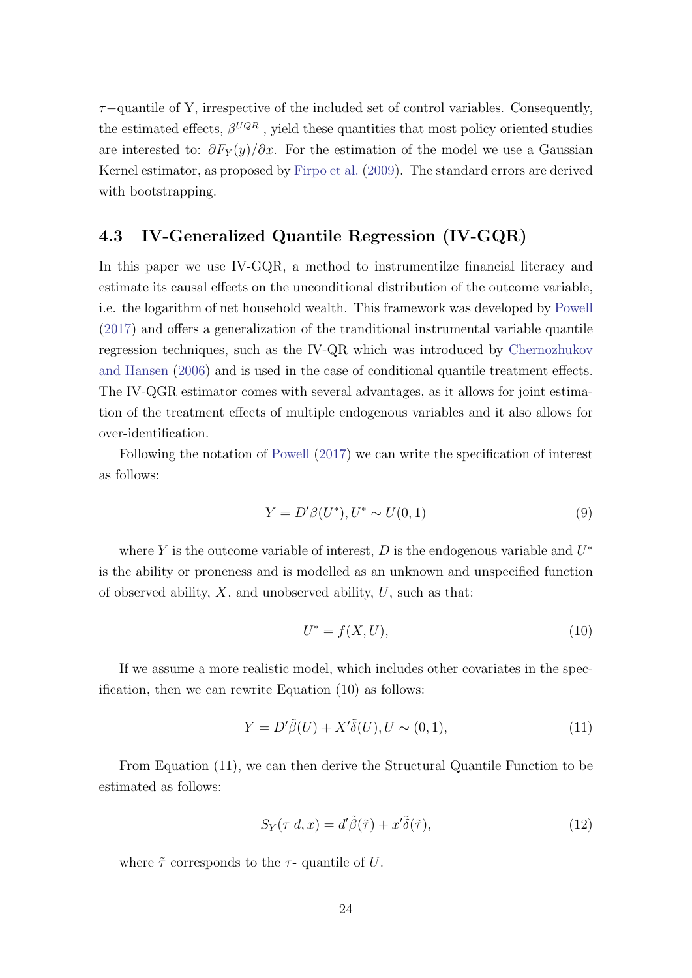$\tau$ −quantile of Y, irrespective of the included set of control variables. Consequently, the estimated effects,  $\beta^{UQR}$ , yield these quantities that most policy oriented studies are interested to:  $\partial F_Y(y)/\partial x$ . For the estimation of the model we use a Gaussian Kernel estimator, as proposed by [Firpo et al.](#page-49-1) [\(2009\)](#page-49-1). The standard errors are derived with bootstrapping.

## 4.3 IV-Generalized Quantile Regression (IV-GQR)

In this paper we use IV-GQR, a method to instrumentilze financial literacy and estimate its causal effects on the unconditional distribution of the outcome variable, i.e. the logarithm of net household wealth. This framework was developed by [Powell](#page-50-1) [\(2017\)](#page-50-1) and offers a generalization of the tranditional instrumental variable quantile regression techniques, such as the IV-QR which was introduced by [Chernozhukov](#page-48-13) [and Hansen](#page-48-13) [\(2006\)](#page-48-13) and is used in the case of conditional quantile treatment effects. The IV-QGR estimator comes with several advantages, as it allows for joint estimation of the treatment effects of multiple endogenous variables and it also allows for over-identification.

Following the notation of [Powell](#page-50-1) [\(2017\)](#page-50-1) we can write the specification of interest as follows:

$$
Y = D'\beta(U^*), U^* \sim U(0, 1)
$$
\n(9)

where Y is the outcome variable of interest,  $D$  is the endogenous variable and  $U^*$ is the ability or proneness and is modelled as an unknown and unspecified function of observed ability,  $X$ , and unobserved ability,  $U$ , such as that:

$$
U^* = f(X, U),\tag{10}
$$

If we assume a more realistic model, which includes other covariates in the specification, then we can rewrite Equation (10) as follows:

$$
Y = D'\tilde{\beta}(U) + X'\tilde{\delta}(U), U \sim (0, 1),\tag{11}
$$

From Equation (11), we can then derive the Structural Quantile Function to be estimated as follows:

$$
S_Y(\tau | d, x) = d'\tilde{\beta}(\tilde{\tau}) + x'\tilde{\delta}(\tilde{\tau}), \qquad (12)
$$

where  $\tilde{\tau}$  corresponds to the  $\tau$ - quantile of U.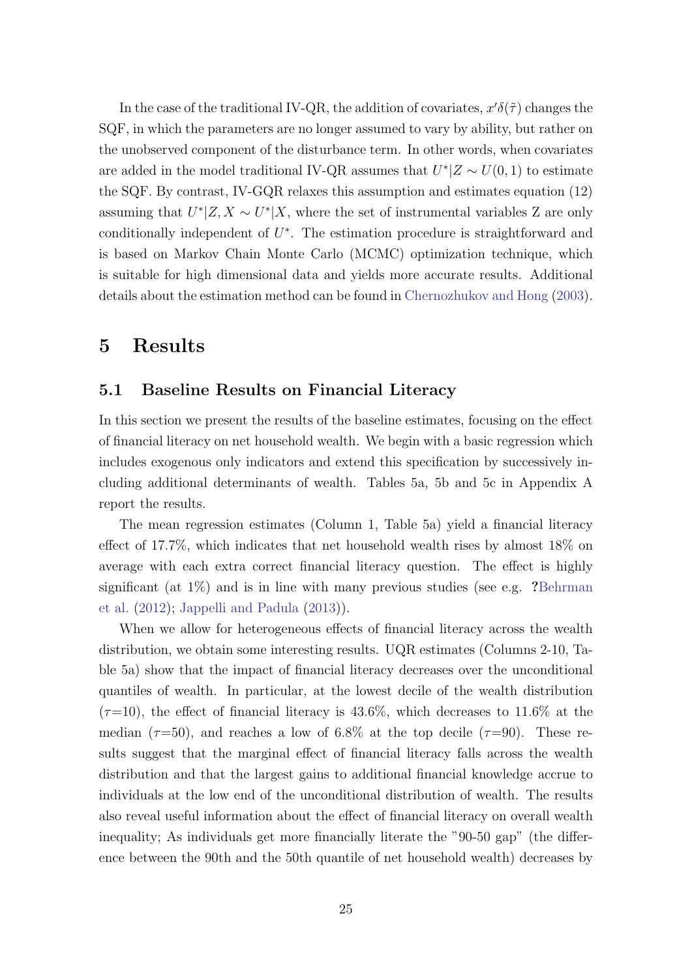In the case of the traditional IV-QR, the addition of covariates,  $x'\delta(\tilde{\tau})$  changes the SQF, in which the parameters are no longer assumed to vary by ability, but rather on the unobserved component of the disturbance term. In other words, when covariates are added in the model traditional IV-QR assumes that  $U^*|Z \sim U(0, 1)$  to estimate the SQF. By contrast, IV-GQR relaxes this assumption and estimates equation (12) assuming that  $U^*|Z, X \sim U^*|X$ , where the set of instrumental variables Z are only conditionally independent of  $U^*$ . The estimation procedure is straightforward and is based on Markov Chain Monte Carlo (MCMC) optimization technique, which is suitable for high dimensional data and yields more accurate results. Additional details about the estimation method can be found in [Chernozhukov and Hong](#page-48-14) [\(2003\)](#page-48-14).

# 5 Results

### 5.1 Baseline Results on Financial Literacy

In this section we present the results of the baseline estimates, focusing on the effect of financial literacy on net household wealth. We begin with a basic regression which includes exogenous only indicators and extend this specification by successively including additional determinants of wealth. Tables 5a, 5b and 5c in Appendix A report the results.

The mean regression estimates (Column 1, Table 5a) yield a financial literacy effect of 17.7%, which indicates that net household wealth rises by almost 18% on average with each extra correct financial literacy question. The effect is highly significant (at  $1\%$ ) and is in line with many previous studies (see e.g. ?[Behrman](#page-47-0) [et al.](#page-47-0) [\(2012\)](#page-47-0); [Jappelli and Padula](#page-49-2) [\(2013\)](#page-49-2)).

When we allow for heterogeneous effects of financial literacy across the wealth distribution, we obtain some interesting results. UQR estimates (Columns 2-10, Table 5a) show that the impact of financial literacy decreases over the unconditional quantiles of wealth. In particular, at the lowest decile of the wealth distribution  $(\tau=10)$ , the effect of financial literacy is 43.6%, which decreases to 11.6% at the median ( $\tau$ =50), and reaches a low of 6.8% at the top decile ( $\tau$ =90). These results suggest that the marginal effect of financial literacy falls across the wealth distribution and that the largest gains to additional financial knowledge accrue to individuals at the low end of the unconditional distribution of wealth. The results also reveal useful information about the effect of financial literacy on overall wealth inequality; As individuals get more financially literate the "90-50 gap" (the difference between the 90th and the 50th quantile of net household wealth) decreases by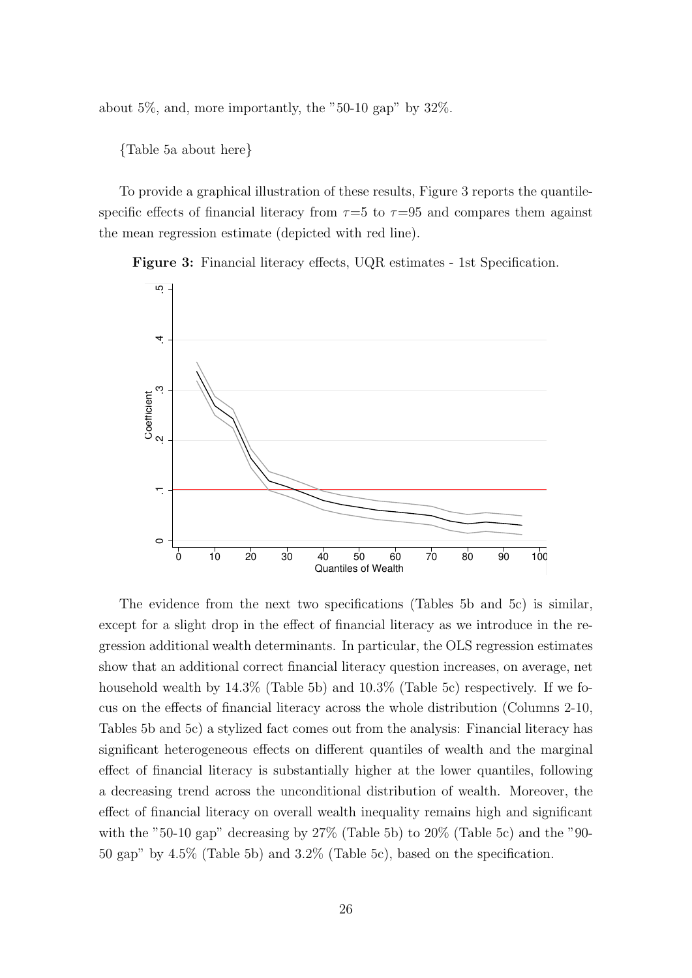about  $5\%$ , and, more importantly, the "50-10 gap" by  $32\%$ .

{Table 5a about here}

To provide a graphical illustration of these results, Figure 3 reports the quantilespecific effects of financial literacy from  $\tau=5$  to  $\tau=95$  and compares them against the mean regression estimate (depicted with red line).

Figure 3: Financial literacy effects, UQR estimates - 1st Specification.



The evidence from the next two specifications (Tables 5b and 5c) is similar, except for a slight drop in the effect of financial literacy as we introduce in the regression additional wealth determinants. In particular, the OLS regression estimates show that an additional correct financial literacy question increases, on average, net household wealth by  $14.3\%$  (Table 5b) and  $10.3\%$  (Table 5c) respectively. If we focus on the effects of financial literacy across the whole distribution (Columns 2-10, Tables 5b and 5c) a stylized fact comes out from the analysis: Financial literacy has significant heterogeneous effects on different quantiles of wealth and the marginal effect of financial literacy is substantially higher at the lower quantiles, following a decreasing trend across the unconditional distribution of wealth. Moreover, the effect of financial literacy on overall wealth inequality remains high and significant with the "50-10 gap" decreasing by  $27\%$  (Table 5b) to  $20\%$  (Table 5c) and the "90-50 gap" by 4.5% (Table 5b) and 3.2% (Table 5c), based on the specification.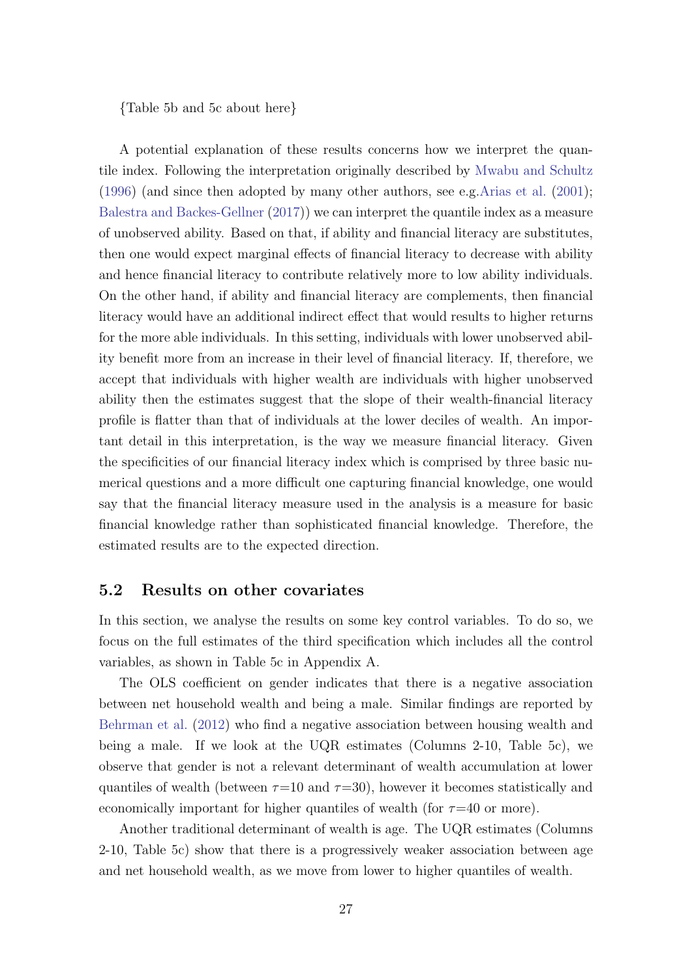{Table 5b and 5c about here}

A potential explanation of these results concerns how we interpret the quantile index. Following the interpretation originally described by [Mwabu and Schultz](#page-50-12) [\(1996\)](#page-50-12) (and since then adopted by many other authors, see e.g[.Arias et al.](#page-47-12) [\(2001\)](#page-47-12); [Balestra and Backes-Gellner](#page-47-13) [\(2017\)](#page-47-13)) we can interpret the quantile index as a measure of unobserved ability. Based on that, if ability and financial literacy are substitutes, then one would expect marginal effects of financial literacy to decrease with ability and hence financial literacy to contribute relatively more to low ability individuals. On the other hand, if ability and financial literacy are complements, then financial literacy would have an additional indirect effect that would results to higher returns for the more able individuals. In this setting, individuals with lower unobserved ability benefit more from an increase in their level of financial literacy. If, therefore, we accept that individuals with higher wealth are individuals with higher unobserved ability then the estimates suggest that the slope of their wealth-financial literacy profile is flatter than that of individuals at the lower deciles of wealth. An important detail in this interpretation, is the way we measure financial literacy. Given the specificities of our financial literacy index which is comprised by three basic numerical questions and a more difficult one capturing financial knowledge, one would say that the financial literacy measure used in the analysis is a measure for basic financial knowledge rather than sophisticated financial knowledge. Therefore, the estimated results are to the expected direction.

#### 5.2 Results on other covariates

In this section, we analyse the results on some key control variables. To do so, we focus on the full estimates of the third specification which includes all the control variables, as shown in Table 5c in Appendix A.

The OLS coefficient on gender indicates that there is a negative association between net household wealth and being a male. Similar findings are reported by [Behrman et al.](#page-47-0) [\(2012\)](#page-47-0) who find a negative association between housing wealth and being a male. If we look at the UQR estimates (Columns 2-10, Table 5c), we observe that gender is not a relevant determinant of wealth accumulation at lower quantiles of wealth (between  $\tau=10$  and  $\tau=30$ ), however it becomes statistically and economically important for higher quantiles of wealth (for  $\tau=40$  or more).

Another traditional determinant of wealth is age. The UQR estimates (Columns 2-10, Table 5c) show that there is a progressively weaker association between age and net household wealth, as we move from lower to higher quantiles of wealth.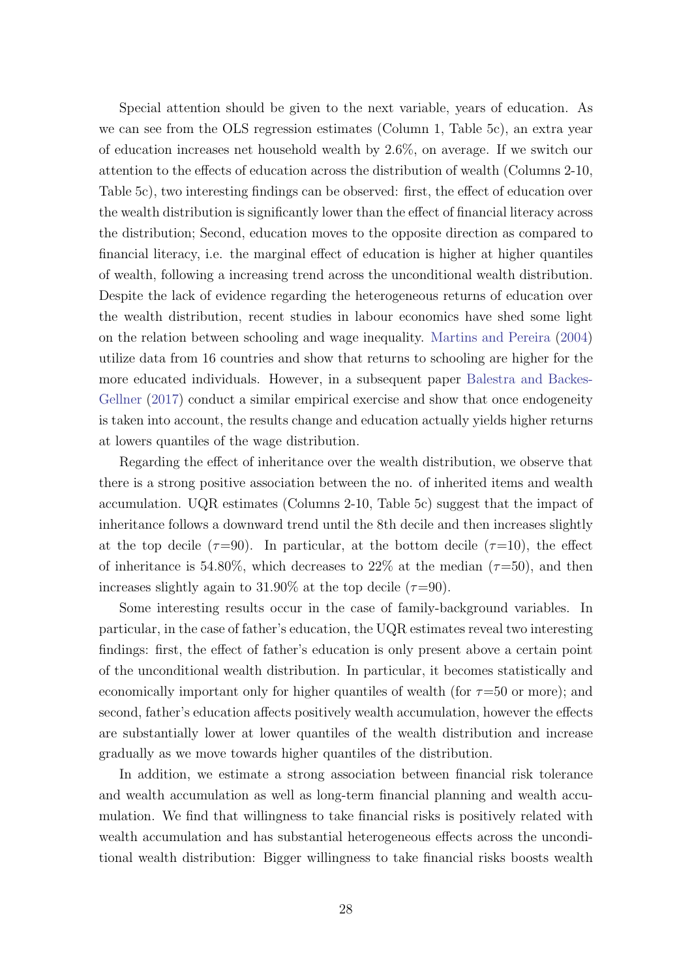Special attention should be given to the next variable, years of education. As we can see from the OLS regression estimates (Column 1, Table 5c), an extra year of education increases net household wealth by 2.6%, on average. If we switch our attention to the effects of education across the distribution of wealth (Columns 2-10, Table 5c), two interesting findings can be observed: first, the effect of education over the wealth distribution is significantly lower than the effect of financial literacy across the distribution; Second, education moves to the opposite direction as compared to financial literacy, i.e. the marginal effect of education is higher at higher quantiles of wealth, following a increasing trend across the unconditional wealth distribution. Despite the lack of evidence regarding the heterogeneous returns of education over the wealth distribution, recent studies in labour economics have shed some light on the relation between schooling and wage inequality. [Martins and Pereira](#page-50-13) [\(2004\)](#page-50-13) utilize data from 16 countries and show that returns to schooling are higher for the more educated individuals. However, in a subsequent paper [Balestra and Backes-](#page-47-13)[Gellner](#page-47-13) [\(2017\)](#page-47-13) conduct a similar empirical exercise and show that once endogeneity is taken into account, the results change and education actually yields higher returns at lowers quantiles of the wage distribution.

Regarding the effect of inheritance over the wealth distribution, we observe that there is a strong positive association between the no. of inherited items and wealth accumulation. UQR estimates (Columns 2-10, Table 5c) suggest that the impact of inheritance follows a downward trend until the 8th decile and then increases slightly at the top decile ( $\tau=90$ ). In particular, at the bottom decile ( $\tau=10$ ), the effect of inheritance is 54.80%, which decreases to 22% at the median  $(\tau=50)$ , and then increases slightly again to 31.90% at the top decile  $(\tau=90)$ .

Some interesting results occur in the case of family-background variables. In particular, in the case of father's education, the UQR estimates reveal two interesting findings: first, the effect of father's education is only present above a certain point of the unconditional wealth distribution. In particular, it becomes statistically and economically important only for higher quantiles of wealth (for  $\tau=50$  or more); and second, father's education affects positively wealth accumulation, however the effects are substantially lower at lower quantiles of the wealth distribution and increase gradually as we move towards higher quantiles of the distribution.

In addition, we estimate a strong association between financial risk tolerance and wealth accumulation as well as long-term financial planning and wealth accumulation. We find that willingness to take financial risks is positively related with wealth accumulation and has substantial heterogeneous effects across the unconditional wealth distribution: Bigger willingness to take financial risks boosts wealth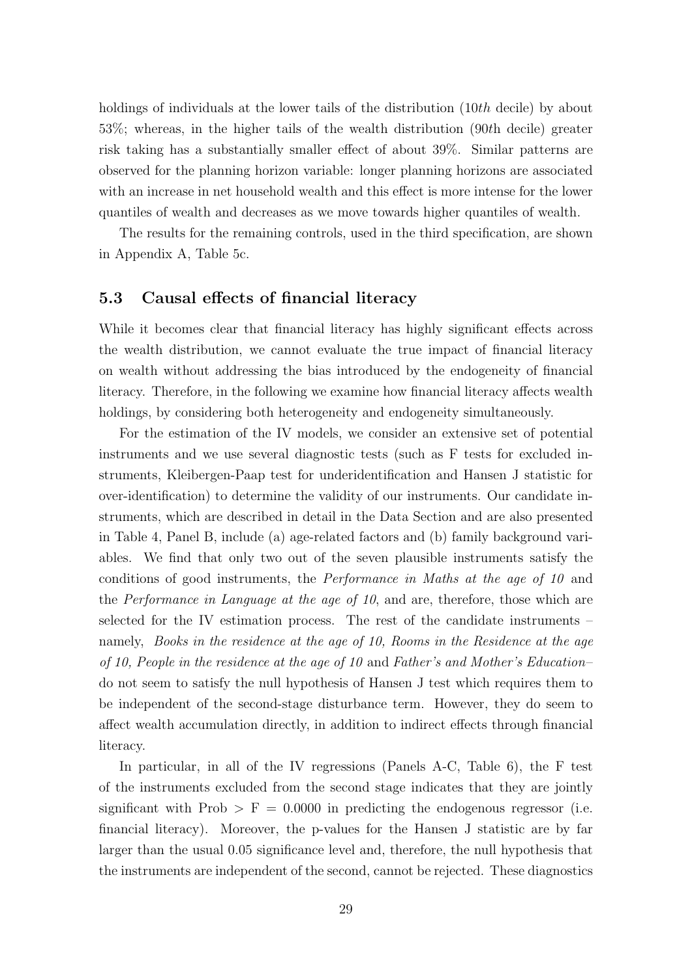holdings of individuals at the lower tails of the distribution (10th decile) by about 53%; whereas, in the higher tails of the wealth distribution (90th decile) greater risk taking has a substantially smaller effect of about 39%. Similar patterns are observed for the planning horizon variable: longer planning horizons are associated with an increase in net household wealth and this effect is more intense for the lower quantiles of wealth and decreases as we move towards higher quantiles of wealth.

The results for the remaining controls, used in the third specification, are shown in Appendix A, Table 5c.

#### 5.3 Causal effects of financial literacy

While it becomes clear that financial literacy has highly significant effects across the wealth distribution, we cannot evaluate the true impact of financial literacy on wealth without addressing the bias introduced by the endogeneity of financial literacy. Therefore, in the following we examine how financial literacy affects wealth holdings, by considering both heterogeneity and endogeneity simultaneously.

For the estimation of the IV models, we consider an extensive set of potential instruments and we use several diagnostic tests (such as F tests for excluded instruments, Kleibergen-Paap test for underidentification and Hansen J statistic for over-identification) to determine the validity of our instruments. Our candidate instruments, which are described in detail in the Data Section and are also presented in Table 4, Panel B, include (a) age-related factors and (b) family background variables. We find that only two out of the seven plausible instruments satisfy the conditions of good instruments, the Performance in Maths at the age of 10 and the Performance in Language at the age of 10, and are, therefore, those which are selected for the IV estimation process. The rest of the candidate instruments – namely, Books in the residence at the age of 10, Rooms in the Residence at the age of 10, People in the residence at the age of 10 and Father's and Mother's Education– do not seem to satisfy the null hypothesis of Hansen J test which requires them to be independent of the second-stage disturbance term. However, they do seem to affect wealth accumulation directly, in addition to indirect effects through financial literacy.

In particular, in all of the IV regressions (Panels A-C, Table 6), the F test of the instruments excluded from the second stage indicates that they are jointly significant with Prob  $>$  F = 0.0000 in predicting the endogenous regressor (i.e. financial literacy). Moreover, the p-values for the Hansen J statistic are by far larger than the usual 0.05 significance level and, therefore, the null hypothesis that the instruments are independent of the second, cannot be rejected. These diagnostics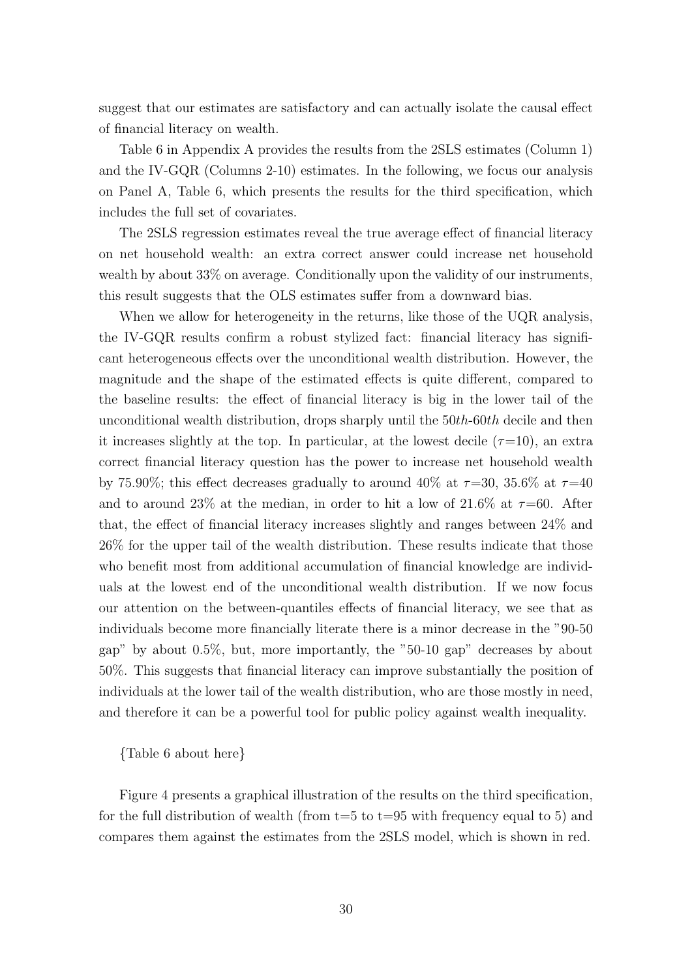suggest that our estimates are satisfactory and can actually isolate the causal effect of financial literacy on wealth.

Table 6 in Appendix A provides the results from the 2SLS estimates (Column 1) and the IV-GQR (Columns 2-10) estimates. In the following, we focus our analysis on Panel A, Table 6, which presents the results for the third specification, which includes the full set of covariates.

The 2SLS regression estimates reveal the true average effect of financial literacy on net household wealth: an extra correct answer could increase net household wealth by about 33% on average. Conditionally upon the validity of our instruments, this result suggests that the OLS estimates suffer from a downward bias.

When we allow for heterogeneity in the returns, like those of the UQR analysis, the IV-GQR results confirm a robust stylized fact: financial literacy has significant heterogeneous effects over the unconditional wealth distribution. However, the magnitude and the shape of the estimated effects is quite different, compared to the baseline results: the effect of financial literacy is big in the lower tail of the unconditional wealth distribution, drops sharply until the  $50th$ -60th decile and then it increases slightly at the top. In particular, at the lowest decile  $(\tau=10)$ , an extra correct financial literacy question has the power to increase net household wealth by 75.90%; this effect decreases gradually to around 40% at  $\tau$ =30, 35.6% at  $\tau$ =40 and to around 23% at the median, in order to hit a low of 21.6% at  $\tau$ =60. After that, the effect of financial literacy increases slightly and ranges between 24% and 26% for the upper tail of the wealth distribution. These results indicate that those who benefit most from additional accumulation of financial knowledge are individuals at the lowest end of the unconditional wealth distribution. If we now focus our attention on the between-quantiles effects of financial literacy, we see that as individuals become more financially literate there is a minor decrease in the "90-50 gap" by about 0.5%, but, more importantly, the "50-10 gap" decreases by about 50%. This suggests that financial literacy can improve substantially the position of individuals at the lower tail of the wealth distribution, who are those mostly in need, and therefore it can be a powerful tool for public policy against wealth inequality.

{Table 6 about here}

Figure 4 presents a graphical illustration of the results on the third specification, for the full distribution of wealth (from  $t=5$  to  $t=95$  with frequency equal to 5) and compares them against the estimates from the 2SLS model, which is shown in red.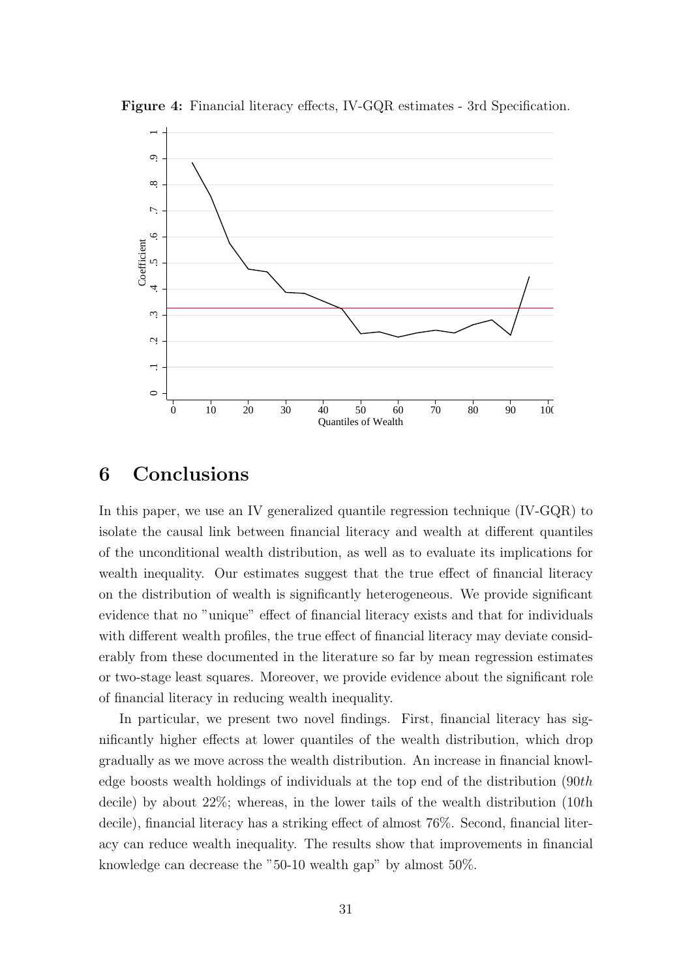

Figure 4: Financial literacy effects, IV-GQR estimates - 3rd Specification.

# 6 Conclusions

In this paper, we use an IV generalized quantile regression technique (IV-GQR) to isolate the causal link between financial literacy and wealth at different quantiles of the unconditional wealth distribution, as well as to evaluate its implications for wealth inequality. Our estimates suggest that the true effect of financial literacy on the distribution of wealth is significantly heterogeneous. We provide significant evidence that no "unique" effect of financial literacy exists and that for individuals with different wealth profiles, the true effect of financial literacy may deviate considerably from these documented in the literature so far by mean regression estimates or two-stage least squares. Moreover, we provide evidence about the significant role of financial literacy in reducing wealth inequality.

In particular, we present two novel findings. First, financial literacy has significantly higher effects at lower quantiles of the wealth distribution, which drop gradually as we move across the wealth distribution. An increase in financial knowledge boosts wealth holdings of individuals at the top end of the distribution (90th decile) by about 22%; whereas, in the lower tails of the wealth distribution (10th decile), financial literacy has a striking effect of almost 76%. Second, financial literacy can reduce wealth inequality. The results show that improvements in financial knowledge can decrease the "50-10 wealth gap" by almost 50%.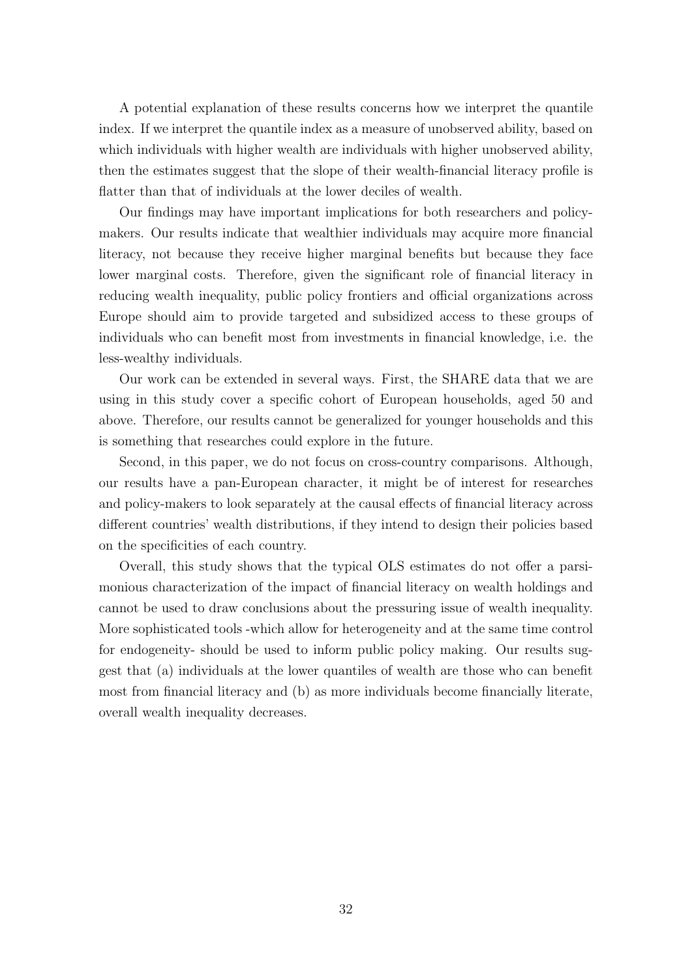A potential explanation of these results concerns how we interpret the quantile index. If we interpret the quantile index as a measure of unobserved ability, based on which individuals with higher wealth are individuals with higher unobserved ability, then the estimates suggest that the slope of their wealth-financial literacy profile is flatter than that of individuals at the lower deciles of wealth.

Our findings may have important implications for both researchers and policymakers. Our results indicate that wealthier individuals may acquire more financial literacy, not because they receive higher marginal benefits but because they face lower marginal costs. Therefore, given the significant role of financial literacy in reducing wealth inequality, public policy frontiers and official organizations across Europe should aim to provide targeted and subsidized access to these groups of individuals who can benefit most from investments in financial knowledge, i.e. the less-wealthy individuals.

Our work can be extended in several ways. First, the SHARE data that we are using in this study cover a specific cohort of European households, aged 50 and above. Therefore, our results cannot be generalized for younger households and this is something that researches could explore in the future.

Second, in this paper, we do not focus on cross-country comparisons. Although, our results have a pan-European character, it might be of interest for researches and policy-makers to look separately at the causal effects of financial literacy across different countries' wealth distributions, if they intend to design their policies based on the specificities of each country.

Overall, this study shows that the typical OLS estimates do not offer a parsimonious characterization of the impact of financial literacy on wealth holdings and cannot be used to draw conclusions about the pressuring issue of wealth inequality. More sophisticated tools -which allow for heterogeneity and at the same time control for endogeneity- should be used to inform public policy making. Our results suggest that (a) individuals at the lower quantiles of wealth are those who can benefit most from financial literacy and (b) as more individuals become financially literate, overall wealth inequality decreases.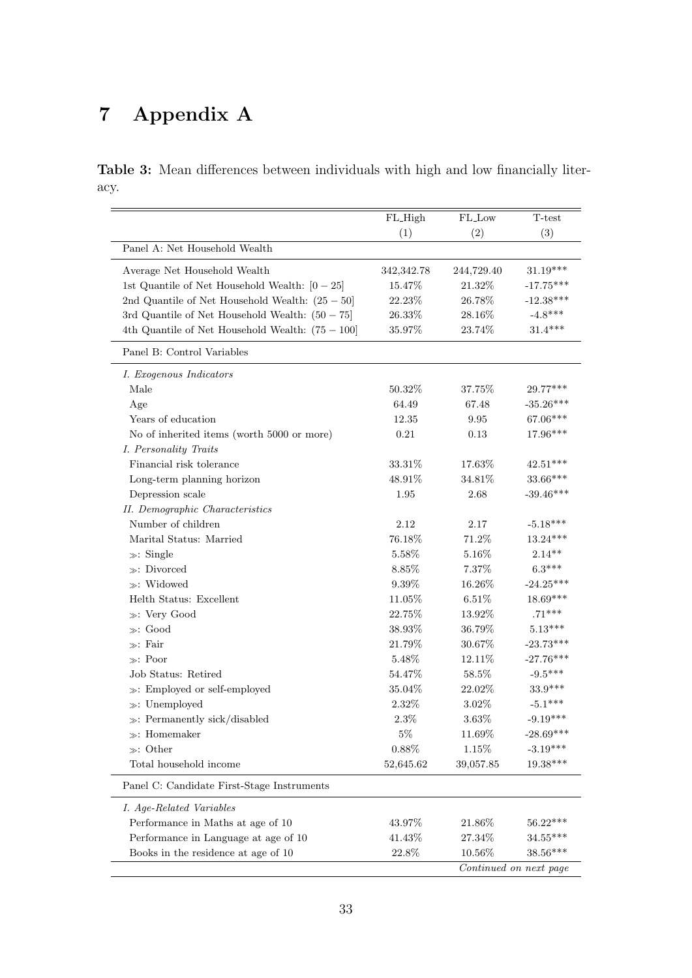# 7 Appendix A

Table 3: Mean differences between individuals with high and low financially literacy.

|                                                    | FL_High      | FL_Low     | T-test                 |
|----------------------------------------------------|--------------|------------|------------------------|
|                                                    | (1)          | (2)        | (3)                    |
| Panel A: Net Household Wealth                      |              |            |                        |
| Average Net Household Wealth                       | 342, 342. 78 | 244,729.40 | $31.19***$             |
| 1st Quantile of Net Household Wealth: $[0 - 25]$   | 15.47%       | 21.32%     | $-17.75***$            |
| 2nd Quantile of Net Household Wealth: $(25-50)$    | 22.23%       | 26.78%     | $-12.38***$            |
| 3rd Quantile of Net Household Wealth: $(50 - 75)$  | 26.33%       | 28.16%     | $-4.8***$              |
| 4th Quantile of Net Household Wealth: $(75 - 100)$ | 35.97%       | 23.74%     | $31.4***$              |
| Panel B: Control Variables                         |              |            |                        |
| I. Exogenous Indicators                            |              |            |                        |
| Male                                               | 50.32%       | 37.75%     | 29.77***               |
| Age                                                | 64.49        | 67.48      | $-35.26***$            |
| Years of education                                 | 12.35        | 9.95       | 67.06***               |
| No of inherited items (worth 5000 or more)         | 0.21         | 0.13       | 17.96***               |
| I. Personality Traits                              |              |            |                        |
| Financial risk tolerance                           | 33.31\%      | 17.63%     | $42.51***$             |
| Long-term planning horizon                         | 48.91%       | 34.81%     | $33.66***$             |
| Depression scale                                   | 1.95         | 2.68       | $-39.46***$            |
| II. Demographic Characteristics                    |              |            |                        |
| Number of children                                 | 2.12         | 2.17       | $-5.18***$             |
| Marital Status: Married                            | 76.18%       | 71.2%      | $13.24***$             |
| $\gg$ : Single                                     | 5.58%        | 5.16\%     | $2.14**$               |
| $\gg$ : Divorced                                   | 8.85%        | 7.37%      | $6.3***$               |
| $\gg:$ Widowed                                     | $9.39\%$     | 16.26%     | $-24.25***$            |
| Helth Status: Excellent                            | 11.05%       | 6.51%      | 18.69***               |
| $\gg:$ Very Good                                   | 22.75%       | 13.92%     | $.71***$               |
| $\gg$ : Good                                       | 38.93%       | 36.79%     | $5.13***$              |
| $\gg$ : Fair                                       | 21.79%       | 30.67%     | $-23.73***$            |
| $\gg$ : Poor                                       | 5.48%        | 12.11\%    | $-27.76***$            |
| Job Status: Retired                                | 54.47%       | 58.5%      | $-9.5***$              |
| »: Employed or self-employed                       | 35.04%       | 22.02%     | $33.9***$              |
| $\gg:$ Unemployed                                  | 2.32%        | 3.02%      | $-5.1***$              |
| $\gg$ : Permanently sick/disabled                  | $2.3\%$      | 3.63%      | $-9.19***$             |
| $\gg$ : Homemaker                                  | $5\%$        | 11.69%     | $-28.69***$            |
| $\gg$ : Other                                      | 0.88%        | $1.15\%$   | $-3.19***$             |
| Total household income                             | 52,645.62    | 39,057.85  | $19.38***$             |
| Panel C: Candidate First-Stage Instruments         |              |            |                        |
| I. Age-Related Variables                           |              |            |                        |
| Performance in Maths at age of 10                  | 43.97%       | 21.86%     | $56.22***$             |
| Performance in Language at age of 10               | 41.43%       | 27.34\%    | $34.55***$             |
| Books in the residence at age of 10                | 22.8%        | 10.56%     | $38.56***$             |
|                                                    |              |            | Continued on next page |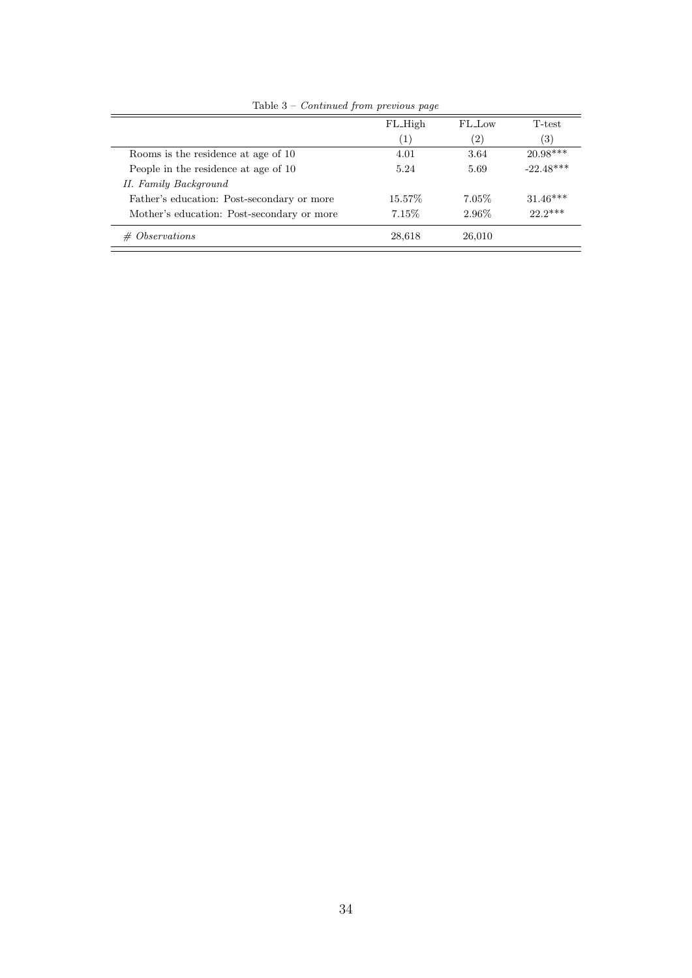|                                            | FL_High  | FL Low   | T-test            |
|--------------------------------------------|----------|----------|-------------------|
|                                            | (1)      | (2)      | $\left( 3\right)$ |
| Rooms is the residence at age of 10        | 4.01     | 3.64     | $20.98***$        |
| People in the residence at age of 10       | 5.24     | 5.69     | $-22.48***$       |
| II. Family Background                      |          |          |                   |
| Father's education: Post-secondary or more | 15.57\%  | $7.05\%$ | $31.46***$        |
| Mother's education: Post-secondary or more | $7.15\%$ | 2.96\%   | $22.2***$         |
| <i>Observations</i><br>#                   | 28,618   | 26,010   |                   |

Table 3 – Continued from previous page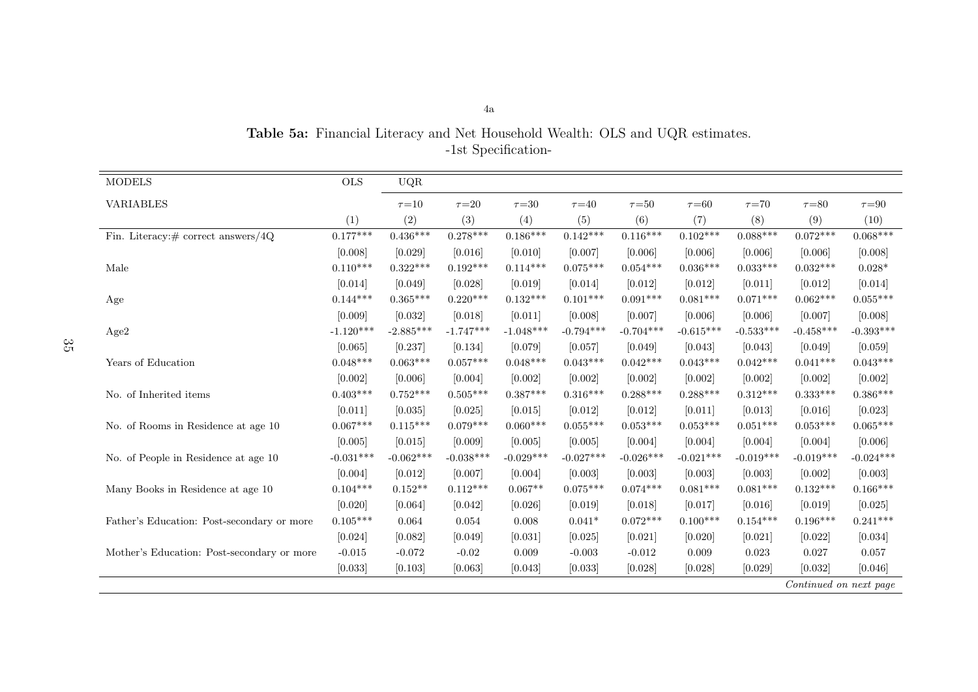| <b>MODELS</b>                              | $_{\rm OLS}$ | $_{\rm UQR}$ |             |             |             |             |             |             |                        |             |
|--------------------------------------------|--------------|--------------|-------------|-------------|-------------|-------------|-------------|-------------|------------------------|-------------|
| <b>VARIABLES</b>                           |              | $\tau = 10$  | $\tau = 20$ | $\tau = 30$ | $\tau = 40$ | $\tau = 50$ | $\tau = 60$ | $\tau = 70$ | $\tau = 80$            | $\tau = 90$ |
|                                            | (1)          | (2)          | (3)         | (4)         | (5)         | (6)         | (7)         | (8)         | (9)                    | (10)        |
| Fin. Literacy: $\#$ correct answers/4Q     | $0.177***$   | $0.436***$   | $0.278***$  | $0.186***$  | $0.142***$  | $0.116***$  | $0.102***$  | $0.088***$  | $0.072***$             | $0.068***$  |
|                                            | [0.008]      | [0.029]      | [0.016]     | [0.010]     | [0.007]     | [0.006]     | [0.006]     | [0.006]     | [0.006]                | [0.008]     |
| Male                                       | $0.110***$   | $0.322***$   | $0.192***$  | $0.114***$  | $0.075***$  | $0.054***$  | $0.036***$  | $0.033***$  | $0.032***$             | $0.028*$    |
|                                            | [0.014]      | [0.049]      | [0.028]     | [0.019]     | [0.014]     | [0.012]     | [0.012]     | [0.011]     | [0.012]                | [0.014]     |
| Age                                        | $0.144***$   | $0.365***$   | $0.220***$  | $0.132***$  | $0.101***$  | $0.091***$  | $0.081***$  | $0.071***$  | $0.062***$             | $0.055***$  |
|                                            | [0.009]      | [0.032]      | [0.018]     | [0.011]     | [0.008]     | [0.007]     | [0.006]     | [0.006]     | [0.007]                | [0.008]     |
| Age2                                       | $-1.120***$  | $-2.885***$  | $-1.747***$ | $-1.048***$ | $-0.794***$ | $-0.704***$ | $-0.615***$ | $-0.533***$ | $-0.458***$            | $-0.393***$ |
|                                            | [0.065]      | [0.237]      | [0.134]     | [0.079]     | [0.057]     | [0.049]     | [0.043]     | [0.043]     | [0.049]                | [0.059]     |
| Years of Education                         | $0.048***$   | $0.063***$   | $0.057***$  | $0.048***$  | $0.043***$  | $0.042***$  | $0.043***$  | $0.042***$  | $0.041***$             | $0.043***$  |
|                                            | [0.002]      | [0.006]      | [0.004]     | [0.002]     | [0.002]     | [0.002]     | [0.002]     | [0.002]     | [0.002]                | [0.002]     |
| No. of Inherited items                     | $0.403***$   | $0.752***$   | $0.505***$  | $0.387***$  | $0.316***$  | $0.288***$  | $0.288***$  | $0.312***$  | $0.333***$             | $0.386***$  |
|                                            | [0.011]      | [0.035]      | [0.025]     | [0.015]     | [0.012]     | [0.012]     | [0.011]     | [0.013]     | [0.016]                | [0.023]     |
| No. of Rooms in Residence at age 10        | $0.067***$   | $0.115***$   | $0.079***$  | $0.060***$  | $0.055***$  | $0.053***$  | $0.053***$  | $0.051***$  | $0.053***$             | $0.065***$  |
|                                            | [0.005]      | [0.015]      | [0.009]     | [0.005]     | [0.005]     | [0.004]     | [0.004]     | [0.004]     | [0.004]                | [0.006]     |
| No. of People in Residence at age 10       | $-0.031***$  | $-0.062***$  | $-0.038***$ | $-0.029***$ | $-0.027***$ | $-0.026***$ | $-0.021***$ | $-0.019***$ | $-0.019***$            | $-0.024***$ |
|                                            | [0.004]      | [0.012]      | [0.007]     | [0.004]     | [0.003]     | [0.003]     | [0.003]     | [0.003]     | [0.002]                | [0.003]     |
| Many Books in Residence at age 10          | $0.104***$   | $0.152**$    | $0.112***$  | $0.067**$   | $0.075***$  | $0.074***$  | $0.081***$  | $0.081***$  | $0.132***$             | $0.166***$  |
|                                            | [0.020]      | [0.064]      | [0.042]     | [0.026]     | [0.019]     | [0.018]     | [0.017]     | [0.016]     | [0.019]                | [0.025]     |
| Father's Education: Post-secondary or more | $0.105***$   | 0.064        | 0.054       | 0.008       | $0.041*$    | $0.072***$  | $0.100***$  | $0.154***$  | $0.196***$             | $0.241***$  |
|                                            | [0.024]      | [0.082]      | [0.049]     | [0.031]     | [0.025]     | [0.021]     | [0.020]     | [0.021]     | [0.022]                | [0.034]     |
| Mother's Education: Post-secondary or more | $-0.015$     | $-0.072$     | $-0.02$     | 0.009       | $-0.003$    | $-0.012$    | 0.009       | 0.023       | 0.027                  | 0.057       |
|                                            | [0.033]      | [0.103]      | [0.063]     | [0.043]     | [0.033]     | [0.028]     | [0.028]     | [0.029]     | [0.032]                | [0.046]     |
|                                            |              |              |             |             |             |             |             |             | Continued on next page |             |

Table 5a: Financial Literacy and Net Household Wealth: OLS and UQR estimates. -1st Specification-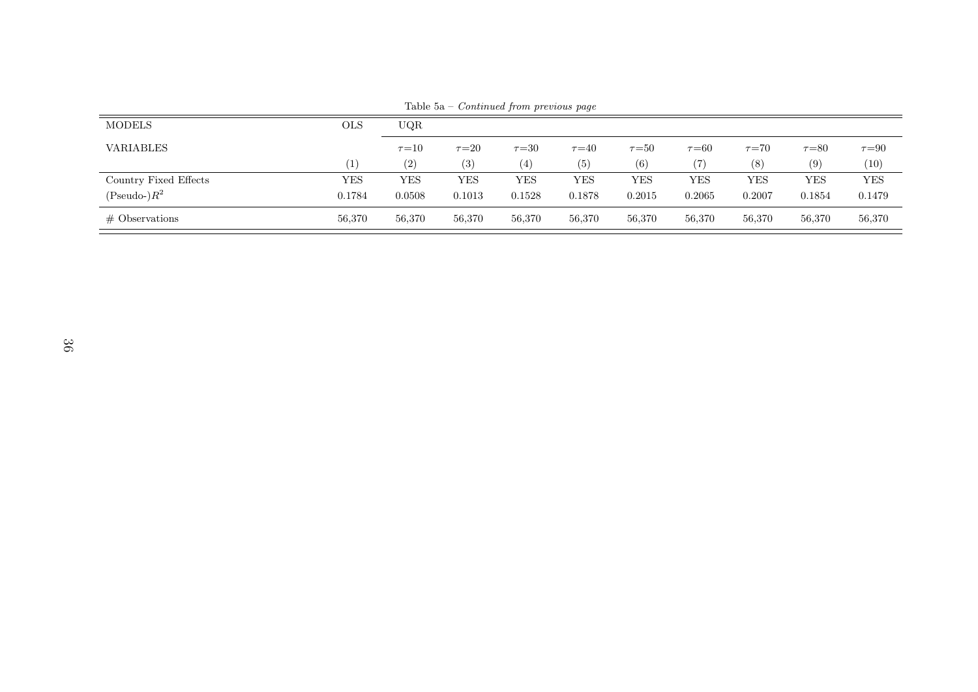| <b>MODELS</b>         | <b>OLS</b> | UQR               |             |             |             |             |             |             |             |             |
|-----------------------|------------|-------------------|-------------|-------------|-------------|-------------|-------------|-------------|-------------|-------------|
| <b>VARIABLES</b>      |            | $\tau = 10$       | $\tau = 20$ | $\tau = 30$ | $\tau = 40$ | $\tau = 50$ | $\tau = 60$ | $\tau = 70$ | $\tau = 80$ | $\tau = 90$ |
|                       |            | $\left( 2\right)$ | (3)         | (4)         | (5)         | (6)         |             | (8)         | (9)         | (10)        |
| Country Fixed Effects | YES        | YES               | YES         | YES         | YES         | YES         | YES         | YES         | YES         | <b>YES</b>  |
| (Pseudo-) $R^2$       | 0.1784     | 0.0508            | 0.1013      | 0.1528      | 0.1878      | 0.2015      | 0.2065      | 0.2007      | 0.1854      | 0.1479      |
| $\#$ Observations     | 56,370     | 56,370            | 56,370      | 56,370      | 56,370      | 56,370      | 56,370      | 56,370      | 56,370      | 56,370      |

Table 5a – Continued from previous page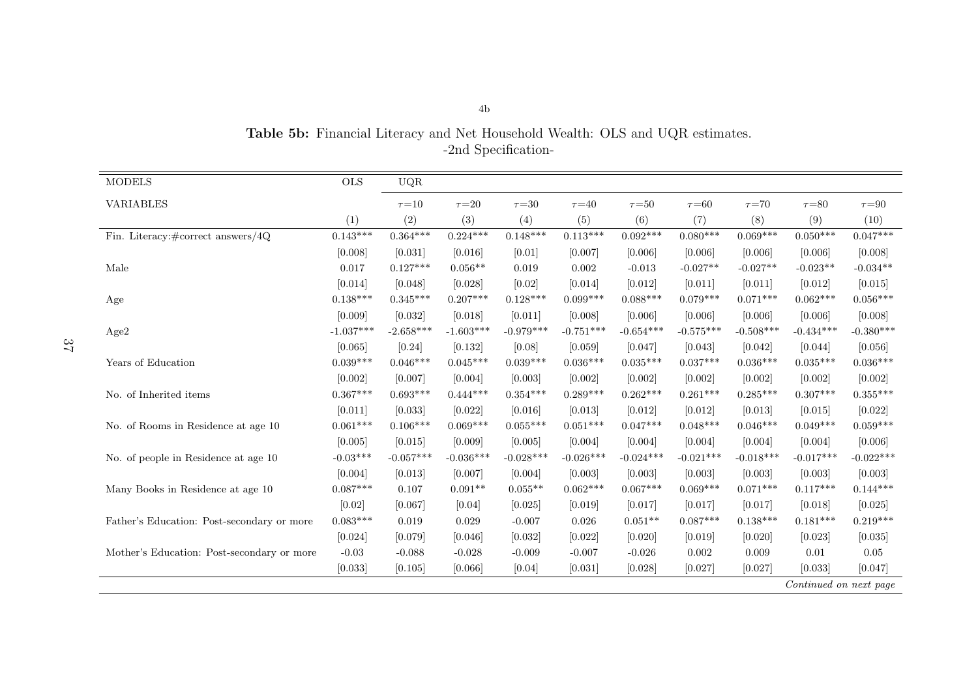| <b>MODELS</b>                                 | <b>OLS</b>  | UQR         |             |             |             |             |             |             |             |             |
|-----------------------------------------------|-------------|-------------|-------------|-------------|-------------|-------------|-------------|-------------|-------------|-------------|
| <b>VARIABLES</b>                              |             | $\tau = 10$ | $\tau = 20$ | $\tau = 30$ | $\tau = 40$ | $\tau = 50$ | $\tau = 60$ | $\tau = 70$ | $\tau = 80$ | $\tau = 90$ |
|                                               | (1)         | (2)         | (3)         | (4)         | (5)         | (6)         | (7)         | (8)         | (9)         | (10)        |
| Fin. Literacy: $\# \text{correct answers}/4Q$ | $0.143***$  | $0.364***$  | $0.224***$  | $0.148***$  | $0.113***$  | $0.092***$  | $0.080***$  | $0.069***$  | $0.050***$  | $0.047***$  |
|                                               | [0.008]     | [0.031]     | [0.016]     | [0.01]      | [0.007]     | [0.006]     | [0.006]     | [0.006]     | [0.006]     | [0.008]     |
| Male                                          | 0.017       | $0.127***$  | $0.056**$   | 0.019       | 0.002       | $-0.013$    | $-0.027**$  | $-0.027**$  | $-0.023**$  | $-0.034**$  |
|                                               | [0.014]     | [0.048]     | [0.028]     | [0.02]      | [0.014]     | [0.012]     | [0.011]     | [0.011]     | [0.012]     | [0.015]     |
| Age                                           | $0.138***$  | $0.345***$  | $0.207***$  | $0.128***$  | $0.099***$  | $0.088***$  | $0.079***$  | $0.071***$  | $0.062***$  | $0.056***$  |
|                                               | [0.009]     | [0.032]     | [0.018]     | [0.011]     | [0.008]     | [0.006]     | [0.006]     | [0.006]     | [0.006]     | [0.008]     |
| Age2                                          | $-1.037***$ | $-2.658***$ | $-1.603***$ | $-0.979***$ | $-0.751***$ | $-0.654***$ | $-0.575***$ | $-0.508***$ | $-0.434***$ | $-0.380***$ |
|                                               | [0.065]     | [0.24]      | [0.132]     | [0.08]      | [0.059]     | [0.047]     | [0.043]     | [0.042]     | [0.044]     | [0.056]     |
| Years of Education                            | $0.039***$  | $0.046***$  | $0.045***$  | $0.039***$  | $0.036***$  | $0.035***$  | $0.037***$  | $0.036***$  | $0.035***$  | $0.036***$  |
|                                               | [0.002]     | [0.007]     | [0.004]     | [0.003]     | [0.002]     | [0.002]     | [0.002]     | [0.002]     | [0.002]     | [0.002]     |
| No. of Inherited items                        | $0.367***$  | $0.693***$  | $0.444***$  | $0.354***$  | $0.289***$  | $0.262***$  | $0.261***$  | $0.285***$  | $0.307***$  | $0.355***$  |
|                                               | [0.011]     | [0.033]     | [0.022]     | [0.016]     | [0.013]     | [0.012]     | [0.012]     | [0.013]     | [0.015]     | [0.022]     |
| No. of Rooms in Residence at age 10           | $0.061***$  | $0.106***$  | $0.069***$  | $0.055***$  | $0.051***$  | $0.047***$  | $0.048***$  | $0.046***$  | $0.049***$  | $0.059***$  |
|                                               | [0.005]     | [0.015]     | [0.009]     | [0.005]     | [0.004]     | [0.004]     | [0.004]     | [0.004]     | [0.004]     | [0.006]     |
| No. of people in Residence at age 10          | $-0.03***$  | $-0.057***$ | $-0.036***$ | $-0.028***$ | $-0.026***$ | $-0.024***$ | $-0.021***$ | $-0.018***$ | $-0.017***$ | $-0.022***$ |
|                                               | [0.004]     | [0.013]     | [0.007]     | [0.004]     | [0.003]     | [0.003]     | [0.003]     | [0.003]     | [0.003]     | [0.003]     |
| Many Books in Residence at age 10             | $0.087***$  | 0.107       | $0.091**$   | $0.055**$   | $0.062***$  | $0.067***$  | $0.069***$  | $0.071***$  | $0.117***$  | $0.144***$  |
|                                               | [0.02]      | [0.067]     | [0.04]      | [0.025]     | [0.019]     | [0.017]     | [0.017]     | [0.017]     | [0.018]     | [0.025]     |
| Father's Education: Post-secondary or more    | $0.083***$  | 0.019       | 0.029       | $-0.007$    | 0.026       | $0.051**$   | $0.087***$  | $0.138***$  | $0.181***$  | $0.219***$  |
|                                               | [0.024]     | [0.079]     | [0.046]     | [0.032]     | [0.022]     | [0.020]     | [0.019]     | [0.020]     | [0.023]     | [0.035]     |
| Mother's Education: Post-secondary or more    | $-0.03$     | $-0.088$    | $-0.028$    | $-0.009$    | $-0.007$    | $-0.026$    | 0.002       | 0.009       | 0.01        | $0.05\,$    |
|                                               | [0.033]     | [0.105]     | [0.066]     | [0.04]      | [0.031]     | [0.028]     | [0.027]     | [0.027]     | [0.033]     | [0.047]     |

Table 5b: Financial Literacy and Net Household Wealth: OLS and UQR estimates. -2nd Specification-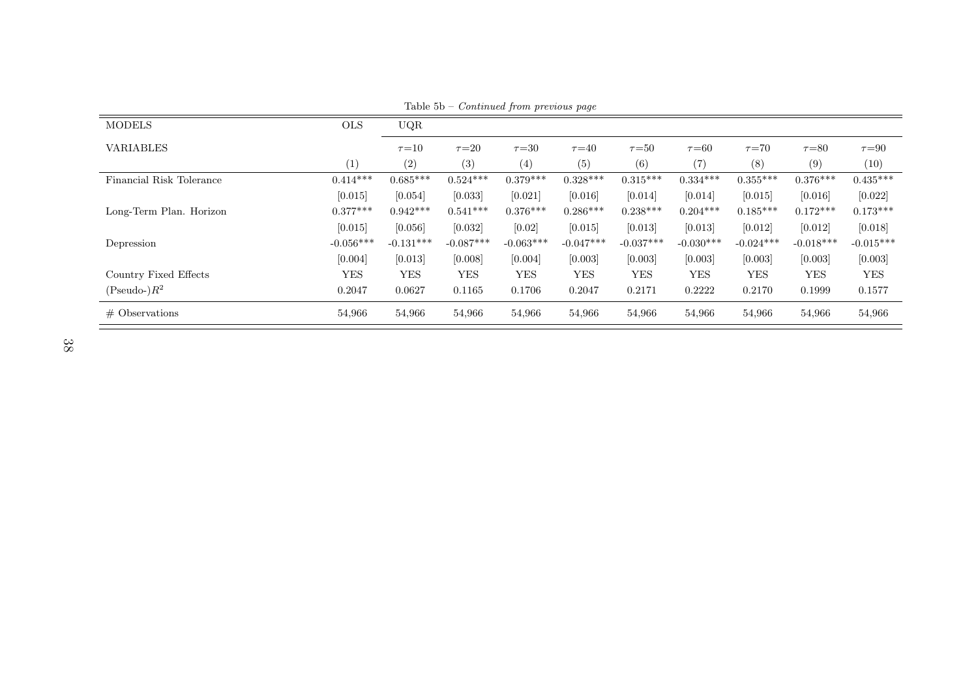| <b>MODELS</b>            | <b>OLS</b>  | UQR         |             |             |             |             |             |             |             |             |
|--------------------------|-------------|-------------|-------------|-------------|-------------|-------------|-------------|-------------|-------------|-------------|
| <b>VARIABLES</b>         |             | $\tau = 10$ | $\tau = 20$ | $\tau = 30$ | $\tau = 40$ | $\tau = 50$ | $\tau = 60$ | $\tau = 70$ | $\tau = 80$ | $\tau = 90$ |
|                          | (1)         | (2)         | (3)         | (4)         | (5)         | (6)         | (7)         | (8)         | (9)         | (10)        |
| Financial Risk Tolerance | $0.414***$  | $0.685***$  | $0.524***$  | $0.379***$  | $0.328***$  | $0.315***$  | $0.334***$  | $0.355***$  | $0.376***$  | $0.435***$  |
|                          | [0.015]     | [0.054]     | [0.033]     | [0.021]     | [0.016]     | [0.014]     | [0.014]     | [0.015]     | [0.016]     | [0.022]     |
| Long-Term Plan. Horizon  | $0.377***$  | $0.942***$  | $0.541***$  | $0.376***$  | $0.286***$  | $0.238***$  | $0.204***$  | $0.185***$  | $0.172***$  | $0.173***$  |
|                          | [0.015]     | [0.056]     | [0.032]     | [0.02]      | [0.015]     | [0.013]     | [0.013]     | $[0.012]$   | [0.012]     | [0.018]     |
| Depression               | $-0.056***$ | $-0.131***$ | $-0.087***$ | $-0.063***$ | $-0.047***$ | $-0.037***$ | $-0.030***$ | $-0.024***$ | $-0.018***$ | $-0.015***$ |
|                          | [0.004]     | [0.013]     | [0.008]     | [0.004]     | [0.003]     | [0.003]     | [0.003]     | [0.003]     | [0.003]     | [0.003]     |
| Country Fixed Effects    | <b>YES</b>  | <b>YES</b>  | <b>YES</b>  | <b>YES</b>  | <b>YES</b>  | <b>YES</b>  | <b>YES</b>  | <b>YES</b>  | <b>YES</b>  | <b>YES</b>  |
| $(Pseudo-)R^2$           | 0.2047      | 0.0627      | 0.1165      | 0.1706      | 0.2047      | 0.2171      | 0.2222      | 0.2170      | 0.1999      | 0.1577      |
| $\#$ Observations        | 54,966      | 54,966      | 54,966      | 54,966      | 54,966      | 54,966      | 54,966      | 54,966      | 54,966      | 54,966      |

Table 5b – Continued from previous page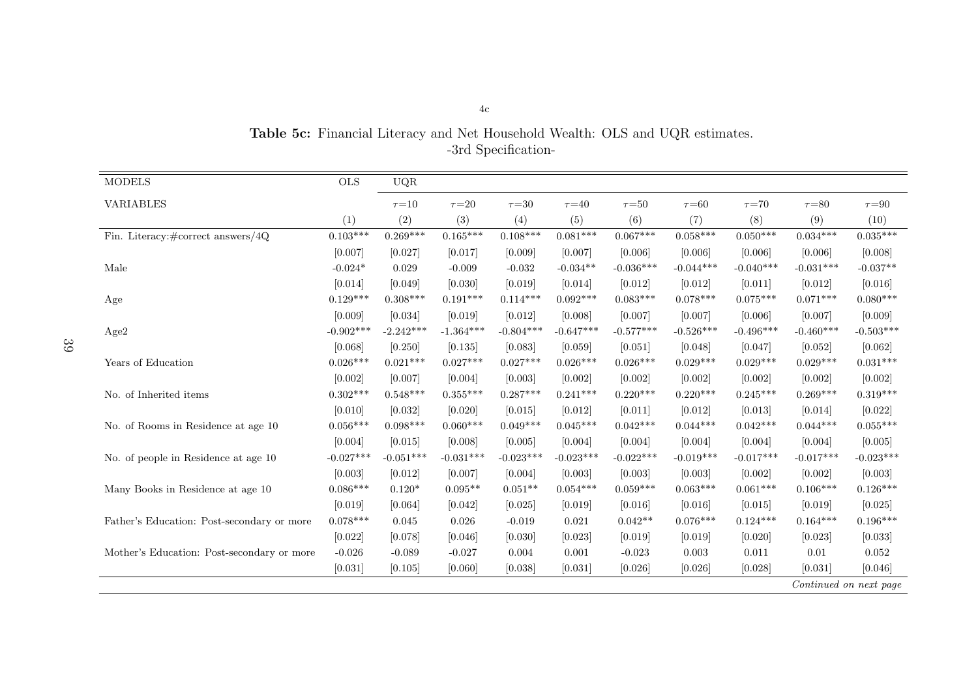| <b>MODELS</b>                                | $\rm OLS$   | UQR         |             |             |             |             |             |             |             |                        |
|----------------------------------------------|-------------|-------------|-------------|-------------|-------------|-------------|-------------|-------------|-------------|------------------------|
| <b>VARIABLES</b>                             |             | $\tau = 10$ | $\tau = 20$ | $\tau = 30$ | $\tau = 40$ | $\tau{=}50$ | $\tau = 60$ | $\tau = 70$ | $\tau = 80$ | $\tau{=}90$            |
|                                              | (1)         | (2)         | (3)         | (4)         | (5)         | (6)         | (7)         | (8)         | (9)         | (10)                   |
| Fin. Literacy: $\#\text{correct answers}/4Q$ | $0.103***$  | $0.269***$  | $0.165***$  | $0.108***$  | $0.081***$  | $0.067***$  | $0.058***$  | $0.050***$  | $0.034***$  | $0.035***$             |
|                                              | [0.007]     | [0.027]     | [0.017]     | [0.009]     | [0.007]     | [0.006]     | [0.006]     | [0.006]     | [0.006]     | [0.008]                |
| Male                                         | $-0.024*$   | 0.029       | $-0.009$    | $-0.032$    | $-0.034**$  | $-0.036***$ | $-0.044***$ | $-0.040***$ | $-0.031***$ | $-0.037**$             |
|                                              | [0.014]     | [0.049]     | [0.030]     | [0.019]     | [0.014]     | [0.012]     | [0.012]     | [0.011]     | [0.012]     | [0.016]                |
| Age                                          | $0.129***$  | $0.308***$  | $0.191***$  | $0.114***$  | $0.092***$  | $0.083***$  | $0.078***$  | $0.075***$  | $0.071***$  | $0.080***$             |
|                                              | [0.009]     | [0.034]     | [0.019]     | [0.012]     | [0.008]     | [0.007]     | [0.007]     | [0.006]     | [0.007]     | [0.009]                |
| Age2                                         | $-0.902***$ | $-2.242***$ | $-1.364***$ | $-0.804***$ | $-0.647***$ | $-0.577***$ | $-0.526***$ | $-0.496***$ | $-0.460***$ | $-0.503***$            |
|                                              | [0.068]     | [0.250]     | [0.135]     | [0.083]     | [0.059]     | [0.051]     | [0.048]     | [0.047]     | $[0.052]$   | [0.062]                |
| Years of Education                           | $0.026***$  | $0.021***$  | $0.027***$  | $0.027***$  | $0.026***$  | $0.026***$  | $0.029***$  | $0.029***$  | $0.029***$  | $0.031***$             |
|                                              | [0.002]     | [0.007]     | [0.004]     | [0.003]     | [0.002]     | [0.002]     | [0.002]     | [0.002]     | $[0.002]$   | [0.002]                |
| No. of Inherited items                       | $0.302***$  | $0.548***$  | $0.355***$  | $0.287***$  | $0.241***$  | $0.220***$  | $0.220***$  | $0.245***$  | $0.269***$  | $0.319***$             |
|                                              | [0.010]     | [0.032]     | [0.020]     | [0.015]     | [0.012]     | [0.011]     | [0.012]     | [0.013]     | [0.014]     | [0.022]                |
| No. of Rooms in Residence at age 10          | $0.056***$  | $0.098***$  | $0.060***$  | $0.049***$  | $0.045***$  | $0.042***$  | $0.044***$  | $0.042***$  | $0.044***$  | $0.055***$             |
|                                              | [0.004]     | [0.015]     | [0.008]     | [0.005]     | [0.004]     | [0.004]     | [0.004]     | [0.004]     | [0.004]     | [0.005]                |
| No. of people in Residence at age 10         | $-0.027***$ | $-0.051***$ | $-0.031***$ | $-0.023***$ | $-0.023***$ | $-0.022***$ | $-0.019***$ | $-0.017***$ | $-0.017***$ | $-0.023***$            |
|                                              | [0.003]     | [0.012]     | [0.007]     | [0.004]     | [0.003]     | [0.003]     | [0.003]     | [0.002]     | [0.002]     | [0.003]                |
| Many Books in Residence at age 10            | $0.086***$  | $0.120*$    | $0.095**$   | $0.051**$   | $0.054***$  | $0.059***$  | $0.063***$  | $0.061***$  | $0.106***$  | $0.126***$             |
|                                              | [0.019]     | [0.064]     | [0.042]     | [0.025]     | [0.019]     | [0.016]     | [0.016]     | [0.015]     | [0.019]     | [0.025]                |
| Father's Education: Post-secondary or more   | $0.078***$  | 0.045       | 0.026       | $-0.019$    | 0.021       | $0.042**$   | $0.076***$  | $0.124***$  | $0.164***$  | $0.196***$             |
|                                              | [0.022]     | [0.078]     | [0.046]     | [0.030]     | [0.023]     | [0.019]     | [0.019]     | [0.020]     | [0.023]     | [0.033]                |
| Mother's Education: Post-secondary or more   | $-0.026$    | $-0.089$    | $-0.027$    | 0.004       | 0.001       | $-0.023$    | 0.003       | 0.011       | 0.01        | 0.052                  |
|                                              | [0.031]     | [0.105]     | [0.060]     | [0.038]     | [0.031]     | [0.026]     | [0.026]     | [0.028]     | [0.031]     | [0.046]                |
|                                              |             |             |             |             |             |             |             |             |             | Continued on next page |

Table 5c: Financial Literacy and Net Household Wealth: OLS and UQR estimates. -3rd Specification-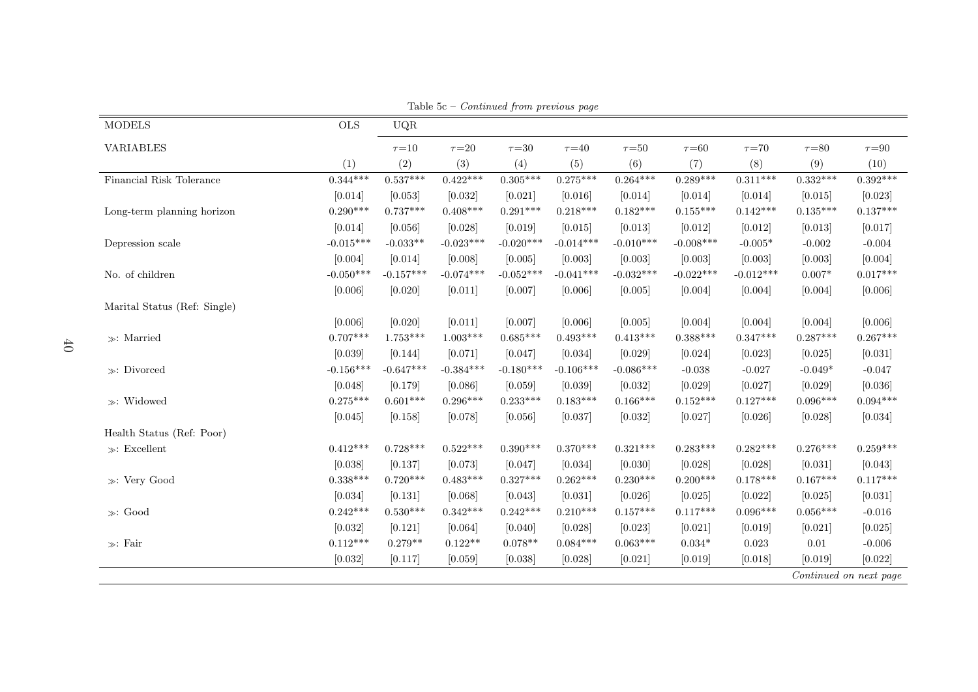| <b>MODELS</b>                | $\rm OLS$   | UQR         |             |             |             |             |             |             |             |                        |
|------------------------------|-------------|-------------|-------------|-------------|-------------|-------------|-------------|-------------|-------------|------------------------|
| <b>VARIABLES</b>             |             | $\tau = 10$ | $\tau = 20$ | $\tau = 30$ | $\tau{=}40$ | $\tau = 50$ | $\tau = 60$ | $\tau = 70$ | $\tau = 80$ | $\tau{=}90$            |
|                              | (1)         | (2)         | (3)         | (4)         | (5)         | (6)         | (7)         | (8)         | (9)         | (10)                   |
| Financial Risk Tolerance     | $0.344***$  | $0.537***$  | $0.422***$  | $0.305***$  | $0.275***$  | $0.264***$  | $0.289***$  | $0.311***$  | $0.332***$  | $0.392***$             |
|                              | [0.014]     | [0.053]     | [0.032]     | [0.021]     | [0.016]     | [0.014]     | [0.014]     | [0.014]     | [0.015]     | [0.023]                |
| Long-term planning horizon   | $0.290***$  | $0.737***$  | $0.408***$  | $0.291***$  | $0.218***$  | $0.182***$  | $0.155***$  | $0.142***$  | $0.135***$  | $0.137***$             |
|                              | [0.014]     | [0.056]     | [0.028]     | [0.019]     | [0.015]     | [0.013]     | [0.012]     | [0.012]     | [0.013]     | [0.017]                |
| Depression scale             | $-0.015***$ | $-0.033**$  | $-0.023***$ | $-0.020***$ | $-0.014***$ | $-0.010***$ | $-0.008***$ | $-0.005*$   | $-0.002$    | $-0.004$               |
|                              | [0.004]     | [0.014]     | [0.008]     | [0.005]     | [0.003]     | [0.003]     | [0.003]     | [0.003]     | [0.003]     | [0.004]                |
| No. of children              | $-0.050***$ | $-0.157***$ | $-0.074***$ | $-0.052***$ | $-0.041***$ | $-0.032***$ | $-0.022***$ | $-0.012***$ | $0.007*$    | $0.017***$             |
|                              | [0.006]     | [0.020]     | [0.011]     | [0.007]     | [0.006]     | [0.005]     | [0.004]     | [0.004]     | [0.004]     | [0.006]                |
| Marital Status (Ref: Single) |             |             |             |             |             |             |             |             |             |                        |
|                              | [0.006]     | [0.020]     | [0.011]     | [0.007]     | [0.006]     | [0.005]     | [0.004]     | [0.004]     | [0.004]     | [0.006]                |
| $\gg:$ Married               | $0.707***$  | $1.753***$  | $1.003***$  | $0.685***$  | $0.493***$  | $0.413***$  | $0.388***$  | $0.347***$  | $0.287***$  | $0.267***$             |
|                              | [0.039]     | [0.144]     | [0.071]     | [0.047]     | [0.034]     | [0.029]     | [0.024]     | [0.023]     | [0.025]     | [0.031]                |
| $\gg:$ Divorced              | $-0.156***$ | $-0.647***$ | $-0.384***$ | $-0.180***$ | $-0.106***$ | $-0.086***$ | $-0.038$    | $-0.027$    | $-0.049*$   | $-0.047$               |
|                              | [0.048]     | [0.179]     | [0.086]     | [0.059]     | [0.039]     | [0.032]     | [0.029]     | [0.027]     | [0.029]     | [0.036]                |
| $\gg:$ Widowed               | $0.275***$  | $0.601***$  | $0.296***$  | $0.233***$  | $0.183***$  | $0.166***$  | $0.152***$  | $0.127***$  | $0.096***$  | $0.094***$             |
|                              | [0.045]     | [0.158]     | [0.078]     | [0.056]     | [0.037]     | [0.032]     | [0.027]     | [0.026]     | [0.028]     | [0.034]                |
| Health Status (Ref: Poor)    |             |             |             |             |             |             |             |             |             |                        |
| $\gg$ : Excellent            | $0.412***$  | $0.728***$  | $0.522***$  | $0.390***$  | $0.370***$  | $0.321***$  | $0.283***$  | $0.282***$  | $0.276***$  | $0.259***$             |
|                              | [0.038]     | [0.137]     | [0.073]     | [0.047]     | [0.034]     | [0.030]     | [0.028]     | [0.028]     | [0.031]     | [0.043]                |
| $\gg:$ Very Good             | $0.338***$  | $0.720***$  | $0.483***$  | $0.327***$  | $0.262***$  | $0.230***$  | $0.200***$  | $0.178***$  | $0.167***$  | $0.117***$             |
|                              | [0.034]     | [0.131]     | [0.068]     | [0.043]     | [0.031]     | [0.026]     | [0.025]     | [0.022]     | [0.025]     | [0.031]                |
| $\gg$ : Good                 | $0.242***$  | $0.530***$  | $0.342***$  | $0.242***$  | $0.210***$  | $0.157***$  | $0.117***$  | $0.096***$  | $0.056***$  | $-0.016$               |
|                              | [0.032]     | [0.121]     | [0.064]     | [0.040]     | [0.028]     | [0.023]     | [0.021]     | [0.019]     | [0.021]     | [0.025]                |
| $\gg:$ Fair                  | $0.112***$  | $0.279**$   | $0.122**$   | $0.078**$   | $0.084***$  | $0.063***$  | $0.034*$    | 0.023       | 0.01        | $-0.006$               |
|                              | [0.032]     | [0.117]     | [0.059]     | [0.038]     | [0.028]     | [0.021]     | [0.019]     | [0.018]     | [0.019]     | [0.022]                |
|                              |             |             |             |             |             |             |             |             |             | Continued on next page |

Table 5c – Continued from previous page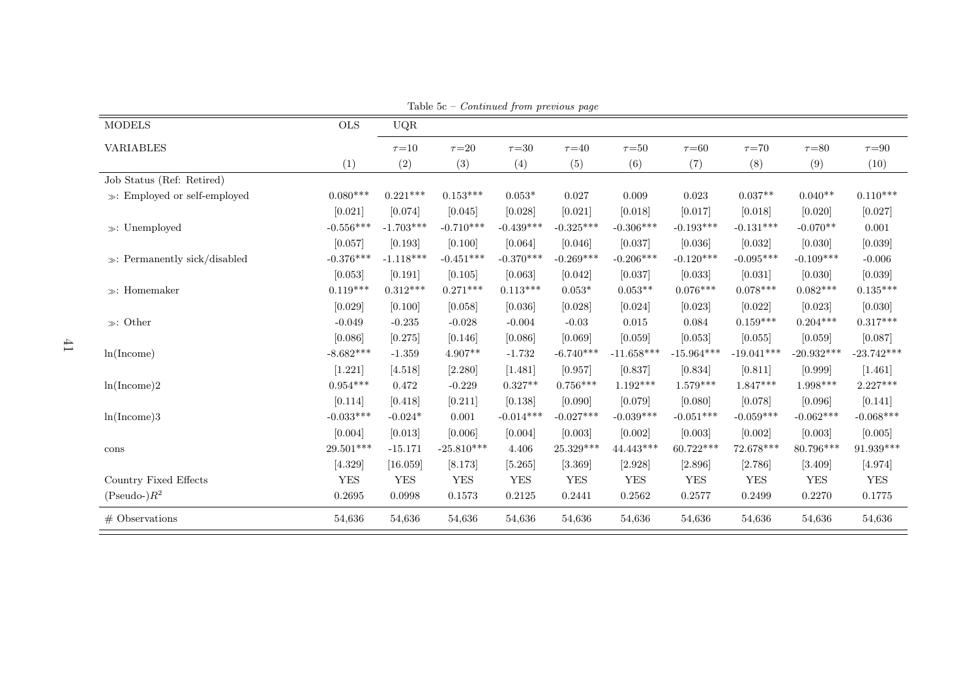|                                   |             |              |              | contentaca from procto ao pago |             |              |              |              |              |              |
|-----------------------------------|-------------|--------------|--------------|--------------------------------|-------------|--------------|--------------|--------------|--------------|--------------|
| <b>MODELS</b>                     | <b>OLS</b>  | $_{\rm UQR}$ |              |                                |             |              |              |              |              |              |
| <b>VARIABLES</b>                  |             | $\tau = 10$  | $\tau = 20$  | $\tau{=}30$                    | $\tau = 40$ | $\tau = 50$  | $\tau = 60$  | $\tau = 70$  | $\tau{=}80$  | $\tau = 90$  |
|                                   | (1)         | (2)          | (3)          | (4)                            | (5)         | (6)          | (7)          | (8)          | (9)          | (10)         |
| Job Status (Ref: Retired)         |             |              |              |                                |             |              |              |              |              |              |
| $\gg$ : Employed or self-employed | $0.080***$  | $0.221***$   | $0.153***$   | $0.053*$                       | 0.027       | 0.009        | 0.023        | $0.037**$    | $0.040**$    | $0.110***$   |
|                                   | [0.021]     | [0.074]      | [0.045]      | [0.028]                        | [0.021]     | [0.018]      | [0.017]      | [0.018]      | [0.020]      | [0.027]      |
| $\gg:$ Unemployed                 | $-0.556***$ | $-1.703***$  | $-0.710***$  | $-0.439***$                    | $-0.325***$ | $-0.306***$  | $-0.193***$  | $-0.131***$  | $-0.070**$   | 0.001        |
|                                   | [0.057]     | [0.193]      | [0.100]      | [0.064]                        | [0.046]     | [0.037]      | [0.036]      | [0.032]      | [0.030]      | [0.039]      |
| $\gg$ : Permanently sick/disabled | $-0.376***$ | $-1.118***$  | $-0.451***$  | $-0.370***$                    | $-0.269***$ | $-0.206***$  | $-0.120***$  | $-0.095***$  | $-0.109***$  | $-0.006$     |
|                                   | [0.053]     | [0.191]      | [0.105]      | [0.063]                        | [0.042]     | [0.037]      | [0.033]      | [0.031]      | [0.030]      | [0.039]      |
| $\gg$ : Homemaker                 | $0.119***$  | $0.312***$   | $0.271***$   | $0.113***$                     | $0.053*$    | $0.053**$    | $0.076***$   | $0.078***$   | $0.082***$   | $0.135***$   |
|                                   | [0.029]     | [0.100]      | [0.058]      | [0.036]                        | [0.028]     | [0.024]      | [0.023]      | [0.022]      | [0.023]      | [0.030]      |
| $\gg$ : Other                     | $-0.049$    | $-0.235$     | $-0.028$     | $-0.004$                       | $-0.03$     | 0.015        | 0.084        | $0.159***$   | $0.204***$   | $0.317***$   |
|                                   | [0.086]     | [0.275]      | [0.146]      | [0.086]                        | [0.069]     | [0.059]      | [0.053]      | [0.055]      | [0.059]      | [0.087]      |
| ln(Income)                        | $-8.682***$ | $-1.359$     | $4.907**$    | $-1.732$                       | $-6.740***$ | $-11.658***$ | $-15.964***$ | $-19.041***$ | $-20.932***$ | $-23.742***$ |
|                                   | [1.221]     | [4.518]      | [2.280]      | [1.481]                        | [0.957]     | [0.837]      | [0.834]      | [0.811]      | [0.999]      | [1.461]      |
| ln(Income)2                       | $0.954***$  | 0.472        | $-0.229$     | $0.327**$                      | $0.756***$  | $1.192***$   | $1.579***$   | $1.847***$   | $1.998***$   | $2.227***$   |
|                                   | [0.114]     | [0.418]      | [0.211]      | [0.138]                        | [0.090]     | [0.079]      | [0.080]      | [0.078]      | [0.096]      | [0.141]      |
| ln(Income)3                       | $-0.033***$ | $-0.024*$    | 0.001        | $-0.014***$                    | $-0.027***$ | $-0.039***$  | $-0.051***$  | $-0.059***$  | $-0.062***$  | $-0.068***$  |
|                                   | [0.004]     | [0.013]      | [0.006]      | [0.004]                        | [0.003]     | [0.002]      | [0.003]      | [0.002]      | [0.003]      | [0.005]      |
| cons                              | 29.501***   | $-15.171$    | $-25.810***$ | $4.406\,$                      | 25.329***   | 44.443***    | 60.722***    | 72.678***    | 80.796***    | $91.939***$  |
|                                   | [4.329]     | [16.059]     | [8.173]      | [5.265]                        | [3.369]     | [2.928]      | [2.896]      | [2.786]      | [3.409]      | [4.974]      |
| Country Fixed Effects             | <b>YES</b>  | <b>YES</b>   | <b>YES</b>   | <b>YES</b>                     | <b>YES</b>  | <b>YES</b>   | <b>YES</b>   | <b>YES</b>   | <b>YES</b>   | <b>YES</b>   |
| $(Pseudo-)R^2$                    | 0.2695      | 0.0998       | 0.1573       | 0.2125                         | 0.2441      | 0.2562       | 0.2577       | 0.2499       | 0.2270       | 0.1775       |
| $#$ Observations                  | 54,636      | 54,636       | 54,636       | 54,636                         | 54,636      | 54,636       | 54,636       | 54,636       | 54,636       | 54,636       |

Table 5c – Continued from previous page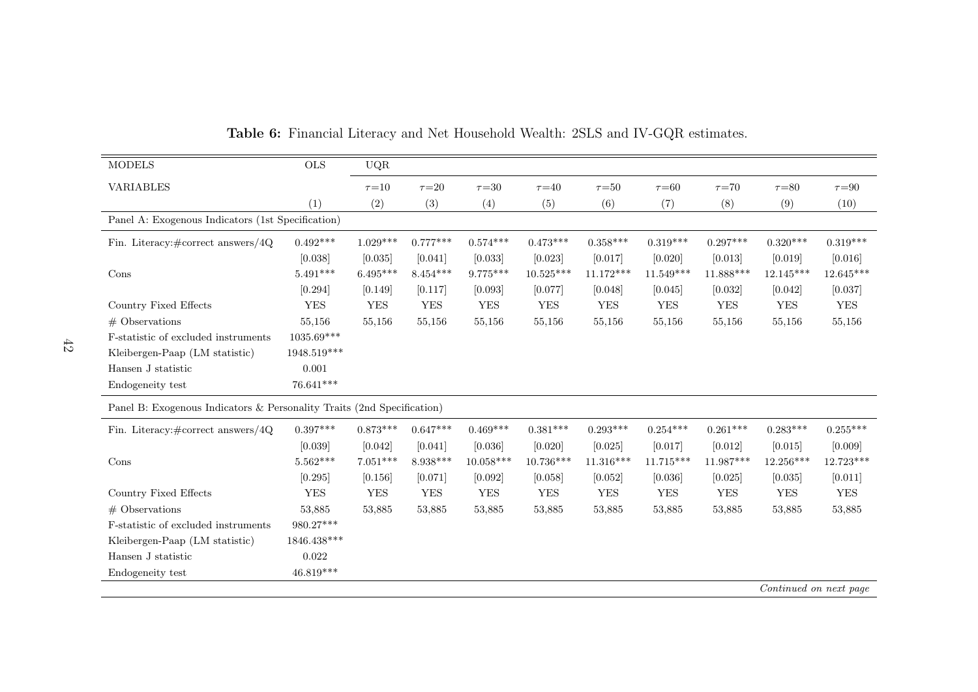| <b>MODELS</b>                                                          | <b>OLS</b>   | UQR         |             |             |             |             |             |             |                        |             |
|------------------------------------------------------------------------|--------------|-------------|-------------|-------------|-------------|-------------|-------------|-------------|------------------------|-------------|
| <b>VARIABLES</b>                                                       |              | $\tau = 10$ | $\tau = 20$ | $\tau = 30$ | $\tau = 40$ | $\tau = 50$ | $\tau = 60$ | $\tau = 70$ | $\tau = 80$            | $\tau = 90$ |
|                                                                        | (1)          | (2)         | (3)         | (4)         | (5)         | (6)         | (7)         | (8)         | (9)                    | (10)        |
| Panel A: Exogenous Indicators (1st Specification)                      |              |             |             |             |             |             |             |             |                        |             |
| Fin. Literacy: $\# \text{correct answers}/4Q$                          | $0.492***$   | $1.029***$  | $0.777***$  | $0.574***$  | $0.473***$  | $0.358***$  | $0.319***$  | $0.297***$  | $0.320***$             | $0.319***$  |
|                                                                        | [0.038]      | [0.035]     | [0.041]     | [0.033]     | [0.023]     | [0.017]     | [0.020]     | [0.013]     | [0.019]                | [0.016]     |
| Cons                                                                   | $5.491***$   | $6.495***$  | $8.454***$  | $9.775***$  | $10.525***$ | $11.172***$ | $11.549***$ | 11.888***   | $12.145***$            | $12.645***$ |
|                                                                        | [0.294]      | [0.149]     | [0.117]     | [0.093]     | [0.077]     | [0.048]     | [0.045]     | [0.032]     | [0.042]                | [0.037]     |
| Country Fixed Effects                                                  | <b>YES</b>   | <b>YES</b>  | <b>YES</b>  | <b>YES</b>  | <b>YES</b>  | <b>YES</b>  | ${\rm YES}$ | ${\rm YES}$ | <b>YES</b>             | ${\rm YES}$ |
| $#$ Observations                                                       | 55,156       | 55,156      | 55,156      | 55,156      | 55,156      | 55,156      | 55,156      | 55,156      | 55,156                 | 55,156      |
| F-statistic of excluded instruments                                    | $1035.69***$ |             |             |             |             |             |             |             |                        |             |
| Kleibergen-Paap (LM statistic)                                         | 1948.519***  |             |             |             |             |             |             |             |                        |             |
| Hansen J statistic                                                     | 0.001        |             |             |             |             |             |             |             |                        |             |
| Endogeneity test                                                       | 76.641***    |             |             |             |             |             |             |             |                        |             |
| Panel B: Exogenous Indicators & Personality Traits (2nd Specification) |              |             |             |             |             |             |             |             |                        |             |
| Fin. Literacy: $\# \text{correct answers}/4Q$                          | $0.397***$   | $0.873***$  | $0.647***$  | $0.469***$  | $0.381***$  | $0.293***$  | $0.254***$  | $0.261***$  | $0.283***$             | $0.255***$  |
|                                                                        | [0.039]      | [0.042]     | [0.041]     | [0.036]     | [0.020]     | [0.025]     | [0.017]     | [0.012]     | [0.015]                | [0.009]     |
| Cons                                                                   | $5.562***$   | $7.051***$  | $8.938***$  | $10.058***$ | 10.736***   | $11.316***$ | $11.715***$ | $11.987***$ | 12.256***              | 12.723***   |
|                                                                        | [0.295]      | [0.156]     | [0.071]     | [0.092]     | [0.058]     | [0.052]     | [0.036]     | [0.025]     | [0.035]                | [0.011]     |
| Country Fixed Effects                                                  | <b>YES</b>   | <b>YES</b>  | <b>YES</b>  | <b>YES</b>  | <b>YES</b>  | <b>YES</b>  | <b>YES</b>  | <b>YES</b>  | <b>YES</b>             | <b>YES</b>  |
| $#$ Observations                                                       | 53,885       | 53,885      | 53,885      | 53,885      | 53,885      | 53,885      | 53,885      | 53,885      | 53,885                 | 53,885      |
| F-statistic of excluded instruments                                    | $980.27***$  |             |             |             |             |             |             |             |                        |             |
| Kleibergen-Paap (LM statistic)                                         | 1846.438***  |             |             |             |             |             |             |             |                        |             |
| Hansen J statistic                                                     | 0.022        |             |             |             |             |             |             |             |                        |             |
| Endogeneity test                                                       | $46.819***$  |             |             |             |             |             |             |             |                        |             |
|                                                                        |              |             |             |             |             |             |             |             | Continued on next page |             |

Table 6: Financial Literacy and Net Household Wealth: 2SLS and IV-GQR estimates.

Continued on next page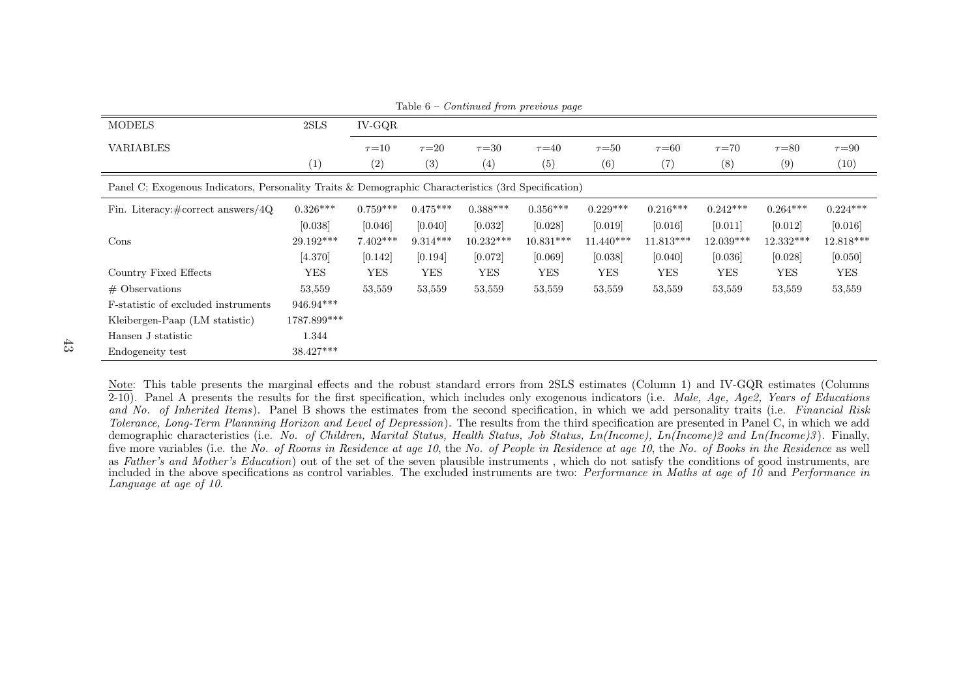| <b>MODELS</b>                                                                                       | 2SLS        | $IV-GQR$    |             |             | $\sqrt{2}$  |             |             |             |             |             |
|-----------------------------------------------------------------------------------------------------|-------------|-------------|-------------|-------------|-------------|-------------|-------------|-------------|-------------|-------------|
| VARIABLES                                                                                           |             | $\tau = 10$ | $\tau = 20$ | $\tau = 30$ | $\tau = 40$ | $\tau = 50$ | $\tau = 60$ | $\tau = 70$ | $\tau = 80$ | $\tau = 90$ |
|                                                                                                     | (1)         | (2)         | (3)         | (4)         | (5)         | (6)         | (7)         | (8)         | (9)         | (10)        |
| Panel C: Exogenous Indicators, Personality Traits & Demographic Characteristics (3rd Specification) |             |             |             |             |             |             |             |             |             |             |
| Fin. Literacy: $\# \text{correct answers}/4Q$                                                       | $0.326***$  | $0.759***$  | $0.475***$  | $0.388***$  | $0.356***$  | $0.229***$  | $0.216***$  | $0.242***$  | $0.264***$  | $0.224***$  |
|                                                                                                     | [0.038]     | [0.046]     | [0.040]     | [0.032]     | [0.028]     | [0.019]     | [0.016]     | [0.011]     | [0.012]     | [0.016]     |
| Cons                                                                                                | 29.192***   | $7.402***$  | $9.314***$  | $10.232***$ | $10.831***$ | $11.440***$ | $11.813***$ | 12.039***   | 12.332***   | 12.818***   |
|                                                                                                     | [4.370]     | [0.142]     | [0.194]     | [0.072]     | [0.069]     | [0.038]     | [0.040]     | [0.036]     | [0.028]     | [0.050]     |
| Country Fixed Effects                                                                               | <b>YES</b>  | <b>YES</b>  | <b>YES</b>  | <b>YES</b>  | <b>YES</b>  | <b>YES</b>  | <b>YES</b>  | <b>YES</b>  | <b>YES</b>  | <b>YES</b>  |
| $#$ Observations                                                                                    | 53,559      | 53,559      | 53,559      | 53,559      | 53,559      | 53,559      | 53,559      | 53,559      | 53,559      | 53,559      |
| F-statistic of excluded instruments                                                                 | 946.94***   |             |             |             |             |             |             |             |             |             |
| Kleibergen-Paap (LM statistic)                                                                      | 1787.899*** |             |             |             |             |             |             |             |             |             |
| Hansen J statistic                                                                                  | 1.344       |             |             |             |             |             |             |             |             |             |
| Endogeneity test                                                                                    | $38.427***$ |             |             |             |             |             |             |             |             |             |

Table 6 – Continued from previous page

Note: This table presents the marginal effects and the robust standard errors from 2SLS estimates (Column 1) and IV-GQR estimates (Columns2-10). Panel A presents the results for the first specification, which includes only exogenous indicators (i.e. Male, Age, Age2, Years of Educations and No. of Inherited Items). Panel B shows the estimates from the second specification, in which we add personality traits (i.e. Financial Risk Tolerance, Long-Term Plannning Horizon and Level of Depression). The results from the third specification are presented in Panel C, in which we add demographic characteristics (i.e. No. of Children, Marital Status, Health Status, Job Status, Ln(Income), Ln(Income)2 and Ln(Income)3). Finally, five more variables (i.e. the *No. of Rooms in Residence at age 10*, the *No. of People in Residence at age 10*, the *No. of Books in the Residence* as well as Father's and Mother's Education) out of the set of the seven plausible instruments, which do not satisfy the conditions of good instruments, are included in the above specifications as control variables. The excluded instruments are two: *Performance in Maths at age of 10* and *Performance in* Language at age of 10.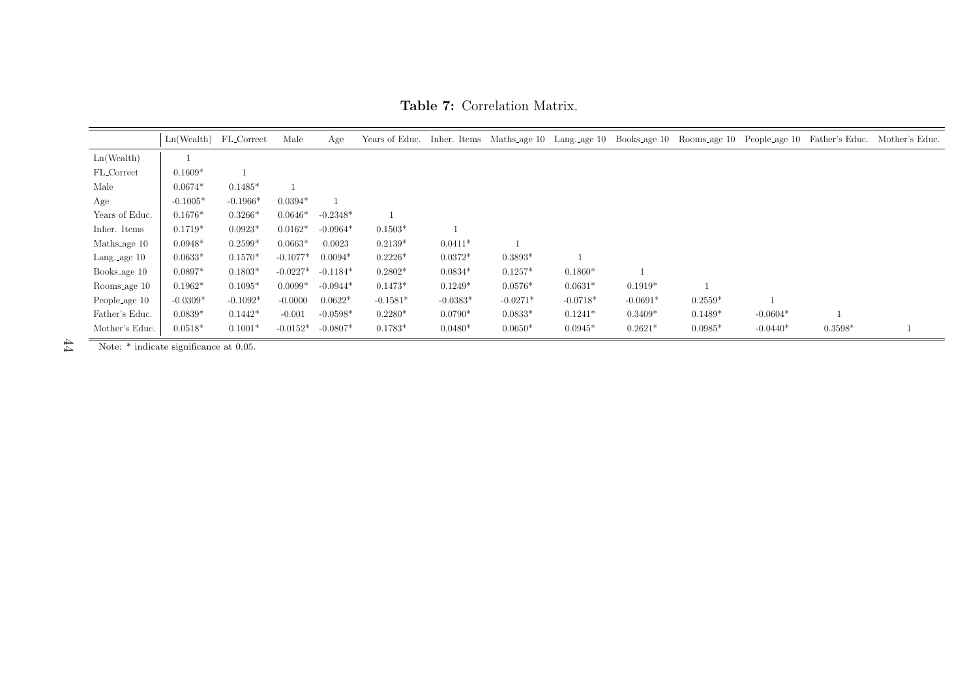Table 7: Correlation Matrix.

|                        | $Ln(Wealth)$ FL_Correct |            | Male       | Age        |            |            |            |            |            |           |            |           | Years of Educ. Inher. Items Maths.age 10 Lang.age 10 Books.age 10 Rooms.age 10 People.age 10 Father's Educ. Mother's Educ. |
|------------------------|-------------------------|------------|------------|------------|------------|------------|------------|------------|------------|-----------|------------|-----------|----------------------------------------------------------------------------------------------------------------------------|
| Ln(Wealth)             |                         |            |            |            |            |            |            |            |            |           |            |           |                                                                                                                            |
| FL_Correct             | $0.1609*$               |            |            |            |            |            |            |            |            |           |            |           |                                                                                                                            |
| Male                   | $0.0674*$               | $0.1485*$  |            |            |            |            |            |            |            |           |            |           |                                                                                                                            |
| Age                    | $-0.1005*$              | $-0.1966*$ | $0.0394*$  |            |            |            |            |            |            |           |            |           |                                                                                                                            |
| Years of Educ.         | $0.1676*$               | $0.3266*$  | $0.0646*$  | $-0.2348*$ |            |            |            |            |            |           |            |           |                                                                                                                            |
| Inher. Items           | $0.1719*$               | $0.0923*$  | $0.0162*$  | $-0.0964*$ | $0.1503*$  |            |            |            |            |           |            |           |                                                                                                                            |
| Maths_age 10           | $0.0948*$               | $0.2599*$  | $0.0663*$  | 0.0023     | $0.2139*$  | $0.0411*$  |            |            |            |           |            |           |                                                                                                                            |
| Lang. $\text{age } 10$ | $0.0633*$               | $0.1570*$  | $-0.1077*$ | $0.0094*$  | $0.2226*$  | $0.0372*$  | $0.3893*$  |            |            |           |            |           |                                                                                                                            |
| Books_age 10           | $0.0897*$               | $0.1803*$  | $-0.0227*$ | $-0.1184*$ | $0.2802*$  | $0.0834*$  | $0.1257*$  | $0.1860*$  |            |           |            |           |                                                                                                                            |
| Rooms_age 10           | $0.1962*$               | $0.1095*$  | $0.0099*$  | $-0.0944*$ | $0.1473*$  | $0.1249*$  | $0.0576*$  | $0.0631*$  | $0.1919*$  |           |            |           |                                                                                                                            |
| People_age 10          | $-0.0309*$              | $-0.1092*$ | $-0.0000$  | $0.0622*$  | $-0.1581*$ | $-0.0383*$ | $-0.0271*$ | $-0.0718*$ | $-0.0691*$ | $0.2559*$ |            |           |                                                                                                                            |
| Father's Educ.         | $0.0839*$               | $0.1442*$  | $-0.001$   | $-0.0598*$ | $0.2280*$  | $0.0790*$  | $0.0833*$  | $0.1241*$  | $0.3409*$  | $0.1489*$ | $-0.0604*$ |           |                                                                                                                            |
| Mother's Educ.         | $0.0518*$               | $0.1001*$  | $-0.0152*$ | $-0.0807*$ | $0.1783*$  | $0.0480*$  | $0.0650*$  | $0.0945*$  | $0.2621*$  | $0.0985*$ | $-0.0440*$ | $0.3598*$ |                                                                                                                            |

Note: \* indicate significance at 0.05. $\pm4$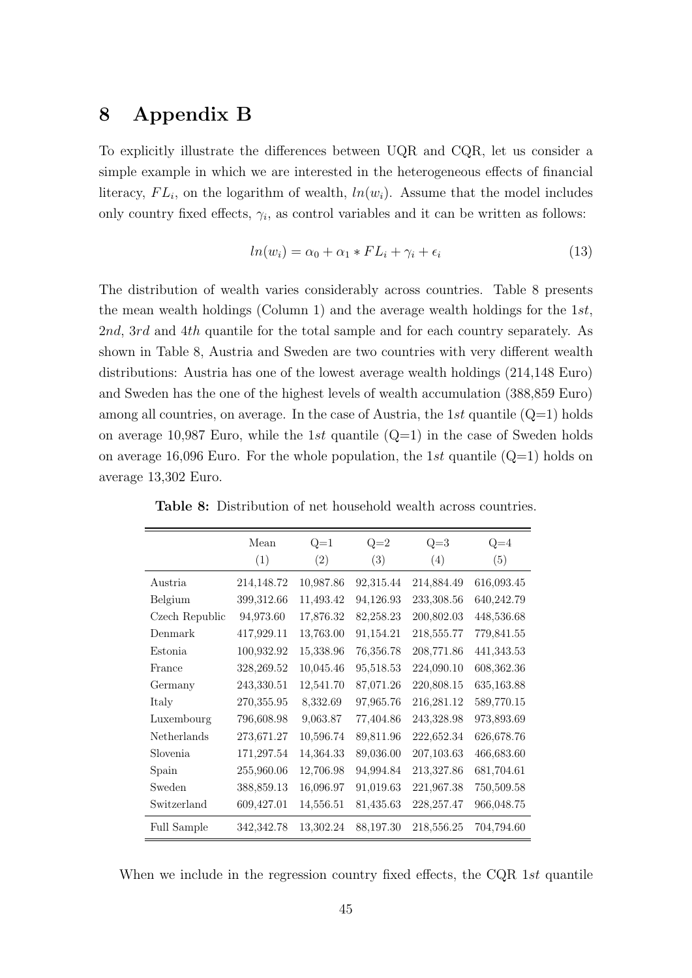# 8 Appendix B

To explicitly illustrate the differences between UQR and CQR, let us consider a simple example in which we are interested in the heterogeneous effects of financial literacy,  $FL_i$ , on the logarithm of wealth,  $ln(w_i)$ . Assume that the model includes only country fixed effects,  $\gamma_i$ , as control variables and it can be written as follows:

$$
ln(w_i) = \alpha_0 + \alpha_1 * FL_i + \gamma_i + \epsilon_i \tag{13}
$$

The distribution of wealth varies considerably across countries. Table 8 presents the mean wealth holdings (Column 1) and the average wealth holdings for the 1st, 2nd, 3rd and 4th quantile for the total sample and for each country separately. As shown in Table 8, Austria and Sweden are two countries with very different wealth distributions: Austria has one of the lowest average wealth holdings (214,148 Euro) and Sweden has the one of the highest levels of wealth accumulation (388,859 Euro) among all countries, on average. In the case of Austria, the 1st quantile  $(Q=1)$  holds on average 10,987 Euro, while the 1st quantile  $(Q=1)$  in the case of Sweden holds on average 16,096 Euro. For the whole population, the 1st quantile  $(Q=1)$  holds on average 13,302 Euro.

|                | Mean       | $Q=1$     | $Q=2$     | $Q=3$        | $Q=4$      |
|----------------|------------|-----------|-----------|--------------|------------|
|                | (1)        | (2)       | (3)       | (4)          | (5)        |
| Austria        | 214,148.72 | 10,987.86 | 92,315.44 | 214,884.49   | 616,093.45 |
| Belgium        | 399,312.66 | 11,493.42 | 94,126.93 | 233,308.56   | 640,242.79 |
| Czech Republic | 94,973.60  | 17,876.32 | 82,258.23 | 200,802.03   | 448,536.68 |
| Denmark        | 417,929.11 | 13,763.00 | 91,154.21 | 218,555.77   | 779,841.55 |
| Estonia        | 100,932.92 | 15,338.96 | 76,356.78 | 208,771.86   | 441,343.53 |
| France         | 328,269.52 | 10,045.46 | 95,518.53 | 224,090.10   | 608,362.36 |
| Germany        | 243,330.51 | 12,541.70 | 87,071.26 | 220,808.15   | 635,163.88 |
| Italy          | 270,355.95 | 8,332.69  | 97,965.76 | 216,281.12   | 589,770.15 |
| Luxembourg     | 796,608.98 | 9,063.87  | 77,404.86 | 243,328.98   | 973,893.69 |
| Netherlands    | 273,671.27 | 10,596.74 | 89,811.96 | 222,652.34   | 626,678.76 |
| Slovenia       | 171,297.54 | 14,364.33 | 89,036.00 | 207,103.63   | 466,683.60 |
| Spain          | 255,960.06 | 12,706.98 | 94,994.84 | 213,327.86   | 681,704.61 |
| Sweden         | 388,859.13 | 16,096.97 | 91,019.63 | 221,967.38   | 750,509.58 |
| Switzerland    | 609,427.01 | 14,556.51 | 81,435.63 | 228, 257. 47 | 966,048.75 |
| Full Sample    | 342,342.78 | 13,302.24 | 88,197.30 | 218,556.25   | 704,794.60 |

Table 8: Distribution of net household wealth across countries.

When we include in the regression country fixed effects, the CQR 1st quantile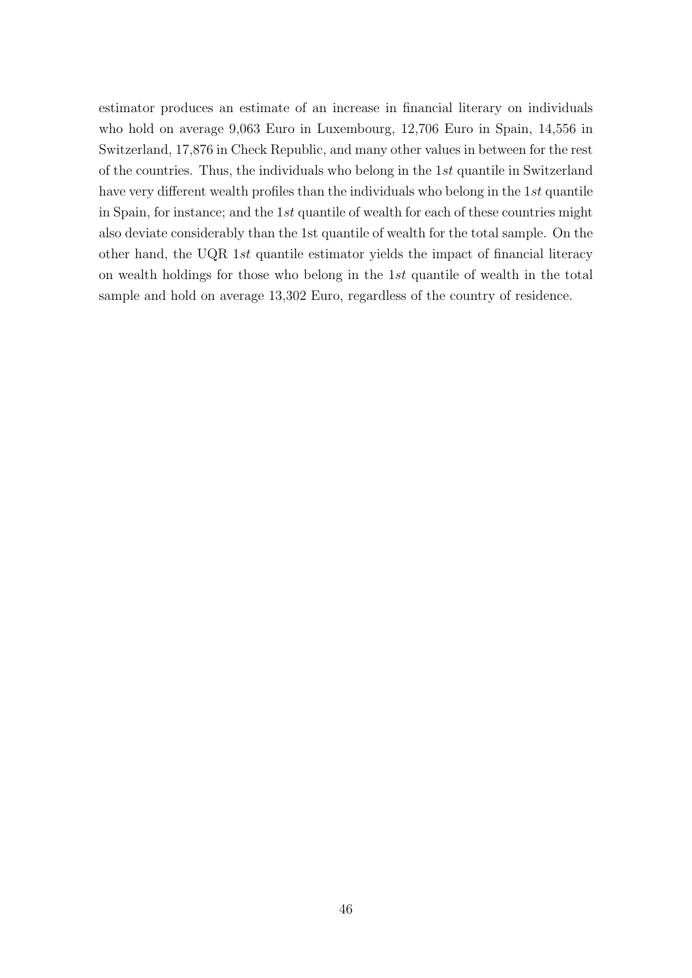estimator produces an estimate of an increase in financial literary on individuals who hold on average 9,063 Euro in Luxembourg, 12,706 Euro in Spain, 14,556 in Switzerland, 17,876 in Check Republic, and many other values in between for the rest of the countries. Thus, the individuals who belong in the 1st quantile in Switzerland have very different wealth profiles than the individuals who belong in the 1st quantile in Spain, for instance; and the 1st quantile of wealth for each of these countries might also deviate considerably than the 1st quantile of wealth for the total sample. On the other hand, the UQR 1st quantile estimator yields the impact of financial literacy on wealth holdings for those who belong in the 1st quantile of wealth in the total sample and hold on average 13,302 Euro, regardless of the country of residence.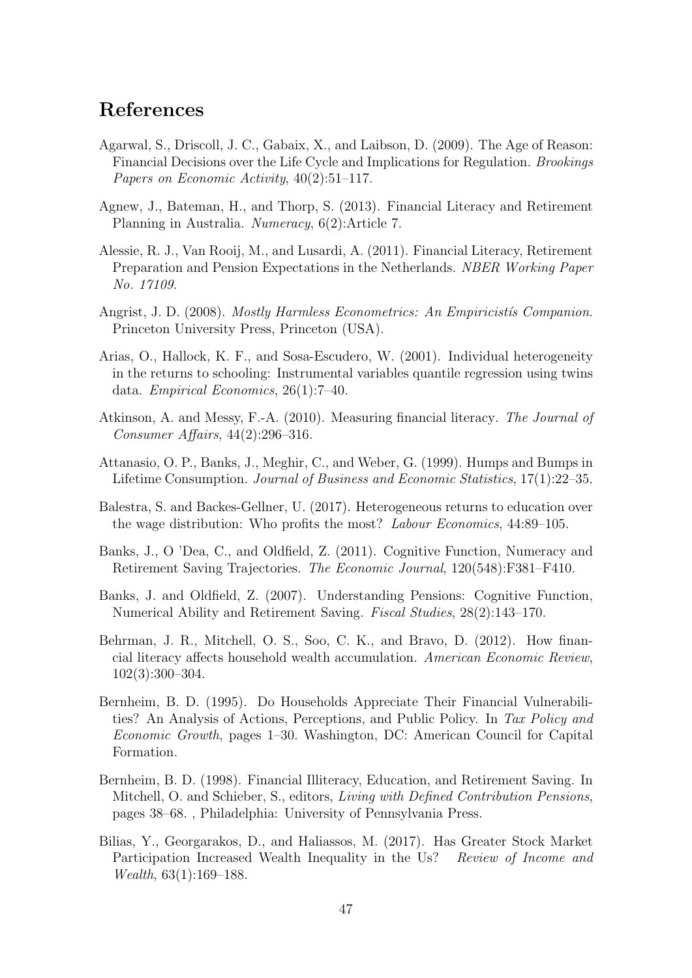# References

- <span id="page-47-5"></span>Agarwal, S., Driscoll, J. C., Gabaix, X., and Laibson, D. (2009). The Age of Reason: Financial Decisions over the Life Cycle and Implications for Regulation. Brookings Papers on Economic Activity, 40(2):51–117.
- <span id="page-47-11"></span>Agnew, J., Bateman, H., and Thorp, S. (2013). Financial Literacy and Retirement Planning in Australia. Numeracy, 6(2):Article 7.
- <span id="page-47-10"></span>Alessie, R. J., Van Rooij, M., and Lusardi, A. (2011). Financial Literacy, Retirement Preparation and Pension Expectations in the Netherlands. NBER Working Paper No. 17109.
- <span id="page-47-9"></span>Angrist, J. D. (2008). *Mostly Harmless Econometrics: An Empiricistis Companion.* Princeton University Press, Princeton (USA).
- <span id="page-47-12"></span>Arias, O., Hallock, K. F., and Sosa-Escudero, W. (2001). Individual heterogeneity in the returns to schooling: Instrumental variables quantile regression using twins data. Empirical Economics, 26(1):7–40.
- <span id="page-47-8"></span>Atkinson, A. and Messy, F.-A. (2010). Measuring financial literacy. The Journal of Consumer Affairs, 44(2):296–316.
- <span id="page-47-1"></span>Attanasio, O. P., Banks, J., Meghir, C., and Weber, G. (1999). Humps and Bumps in Lifetime Consumption. Journal of Business and Economic Statistics, 17(1):22–35.
- <span id="page-47-13"></span>Balestra, S. and Backes-Gellner, U. (2017). Heterogeneous returns to education over the wage distribution: Who profits the most? Labour Economics, 44:89–105.
- <span id="page-47-2"></span>Banks, J., O 'Dea, C., and Oldfield, Z. (2011). Cognitive Function, Numeracy and Retirement Saving Trajectories. The Economic Journal, 120(548):F381–F410.
- <span id="page-47-7"></span>Banks, J. and Oldfield, Z. (2007). Understanding Pensions: Cognitive Function, Numerical Ability and Retirement Saving. Fiscal Studies, 28(2):143–170.
- <span id="page-47-0"></span>Behrman, J. R., Mitchell, O. S., Soo, C. K., and Bravo, D. (2012). How financial literacy affects household wealth accumulation. American Economic Review, 102(3):300–304.
- <span id="page-47-3"></span>Bernheim, B. D. (1995). Do Households Appreciate Their Financial Vulnerabilities? An Analysis of Actions, Perceptions, and Public Policy. In Tax Policy and Economic Growth, pages 1–30. Washington, DC: American Council for Capital Formation.
- <span id="page-47-4"></span>Bernheim, B. D. (1998). Financial Illiteracy, Education, and Retirement Saving. In Mitchell, O. and Schieber, S., editors, Living with Defined Contribution Pensions, pages 38–68. , Philadelphia: University of Pennsylvania Press.
- <span id="page-47-6"></span>Bilias, Y., Georgarakos, D., and Haliassos, M. (2017). Has Greater Stock Market Participation Increased Wealth Inequality in the Us? Review of Income and Wealth, 63(1):169–188.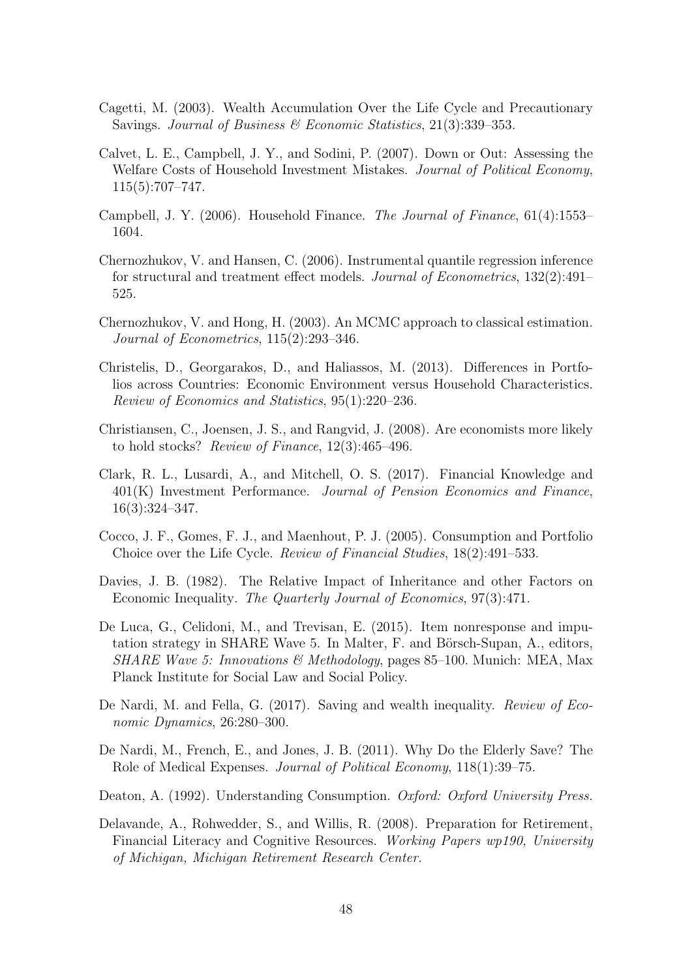- <span id="page-48-3"></span>Cagetti, M. (2003). Wealth Accumulation Over the Life Cycle and Precautionary Savings. Journal of Business & Economic Statistics, 21(3):339–353.
- <span id="page-48-8"></span>Calvet, L. E., Campbell, J. Y., and Sodini, P. (2007). Down or Out: Assessing the Welfare Costs of Household Investment Mistakes. Journal of Political Economy, 115(5):707–747.
- <span id="page-48-10"></span>Campbell, J. Y. (2006). Household Finance. The Journal of Finance, 61(4):1553– 1604.
- <span id="page-48-13"></span>Chernozhukov, V. and Hansen, C. (2006). Instrumental quantile regression inference for structural and treatment effect models. Journal of Econometrics, 132(2):491– 525.
- <span id="page-48-14"></span>Chernozhukov, V. and Hong, H. (2003). An MCMC approach to classical estimation. Journal of Econometrics, 115(2):293–346.
- <span id="page-48-0"></span>Christelis, D., Georgarakos, D., and Haliassos, M. (2013). Differences in Portfolios across Countries: Economic Environment versus Household Characteristics. Review of Economics and Statistics, 95(1):220–236.
- <span id="page-48-12"></span>Christiansen, C., Joensen, J. S., and Rangvid, J. (2008). Are economists more likely to hold stocks? Review of Finance, 12(3):465–496.
- <span id="page-48-7"></span>Clark, R. L., Lusardi, A., and Mitchell, O. S. (2017). Financial Knowledge and 401(K) Investment Performance. Journal of Pension Economics and Finance, 16(3):324–347.
- <span id="page-48-9"></span>Cocco, J. F., Gomes, F. J., and Maenhout, P. J. (2005). Consumption and Portfolio Choice over the Life Cycle. Review of Financial Studies, 18(2):491–533.
- <span id="page-48-2"></span>Davies, J. B. (1982). The Relative Impact of Inheritance and other Factors on Economic Inequality. The Quarterly Journal of Economics, 97(3):471.
- <span id="page-48-11"></span>De Luca, G., Celidoni, M., and Trevisan, E. (2015). Item nonresponse and imputation strategy in SHARE Wave 5. In Malter, F. and Börsch-Supan, A., editors, SHARE Wave 5: Innovations & Methodology, pages 85–100. Munich: MEA, Max Planck Institute for Social Law and Social Policy.
- <span id="page-48-5"></span>De Nardi, M. and Fella, G. (2017). Saving and wealth inequality. Review of Economic Dynamics, 26:280–300.
- <span id="page-48-4"></span>De Nardi, M., French, E., and Jones, J. B. (2011). Why Do the Elderly Save? The Role of Medical Expenses. Journal of Political Economy, 118(1):39–75.
- <span id="page-48-1"></span>Deaton, A. (1992). Understanding Consumption. Oxford: Oxford University Press.
- <span id="page-48-6"></span>Delavande, A., Rohwedder, S., and Willis, R. (2008). Preparation for Retirement, Financial Literacy and Cognitive Resources. Working Papers wp190, University of Michigan, Michigan Retirement Research Center.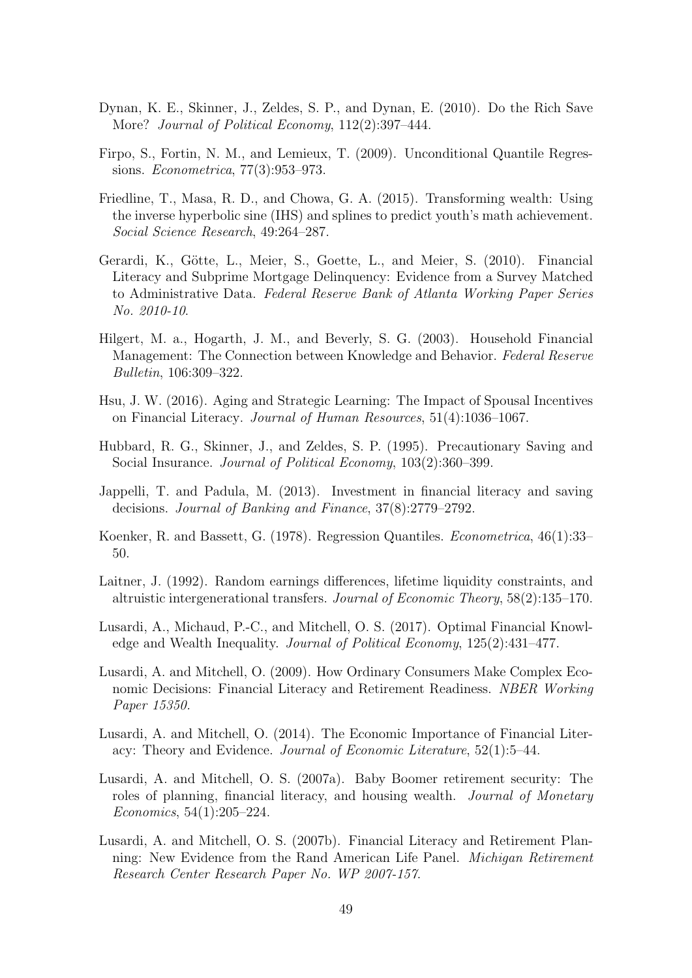- <span id="page-49-4"></span>Dynan, K. E., Skinner, J., Zeldes, S. P., and Dynan, E. (2010). Do the Rich Save More? Journal of Political Economy, 112(2):397-444.
- <span id="page-49-1"></span>Firpo, S., Fortin, N. M., and Lemieux, T. (2009). Unconditional Quantile Regressions. Econometrica, 77(3):953–973.
- <span id="page-49-12"></span>Friedline, T., Masa, R. D., and Chowa, G. A. (2015). Transforming wealth: Using the inverse hyperbolic sine (IHS) and splines to predict youth's math achievement. Social Science Research, 49:264–287.
- <span id="page-49-11"></span>Gerardi, K., Götte, L., Meier, S., Goette, L., and Meier, S. (2010). Financial Literacy and Subprime Mortgage Delinquency: Evidence from a Survey Matched to Administrative Data. Federal Reserve Bank of Atlanta Working Paper Series No. 2010-10.
- <span id="page-49-7"></span>Hilgert, M. a., Hogarth, J. M., and Beverly, S. G. (2003). Household Financial Management: The Connection between Knowledge and Behavior. Federal Reserve Bulletin, 106:309–322.
- <span id="page-49-9"></span>Hsu, J. W. (2016). Aging and Strategic Learning: The Impact of Spousal Incentives on Financial Literacy. Journal of Human Resources, 51(4):1036–1067.
- <span id="page-49-5"></span>Hubbard, R. G., Skinner, J., and Zeldes, S. P. (1995). Precautionary Saving and Social Insurance. *Journal of Political Economy*, 103(2):360–399.
- <span id="page-49-2"></span>Jappelli, T. and Padula, M. (2013). Investment in financial literacy and saving decisions. Journal of Banking and Finance, 37(8):2779–2792.
- <span id="page-49-14"></span>Koenker, R. and Bassett, G. (1978). Regression Quantiles. Econometrica, 46(1):33– 50.
- <span id="page-49-6"></span>Laitner, J. (1992). Random earnings differences, lifetime liquidity constraints, and altruistic intergenerational transfers. Journal of Economic Theory, 58(2):135–170.
- <span id="page-49-0"></span>Lusardi, A., Michaud, P.-C., and Mitchell, O. S. (2017). Optimal Financial Knowledge and Wealth Inequality. Journal of Political Economy, 125(2):431–477.
- <span id="page-49-13"></span>Lusardi, A. and Mitchell, O. (2009). How Ordinary Consumers Make Complex Economic Decisions: Financial Literacy and Retirement Readiness. NBER Working Paper 15350.
- <span id="page-49-3"></span>Lusardi, A. and Mitchell, O. (2014). The Economic Importance of Financial Literacy: Theory and Evidence. Journal of Economic Literature, 52(1):5–44.
- <span id="page-49-10"></span>Lusardi, A. and Mitchell, O. S. (2007a). Baby Boomer retirement security: The roles of planning, financial literacy, and housing wealth. Journal of Monetary Economics, 54(1):205–224.
- <span id="page-49-8"></span>Lusardi, A. and Mitchell, O. S. (2007b). Financial Literacy and Retirement Planning: New Evidence from the Rand American Life Panel. Michigan Retirement Research Center Research Paper No. WP 2007-157.